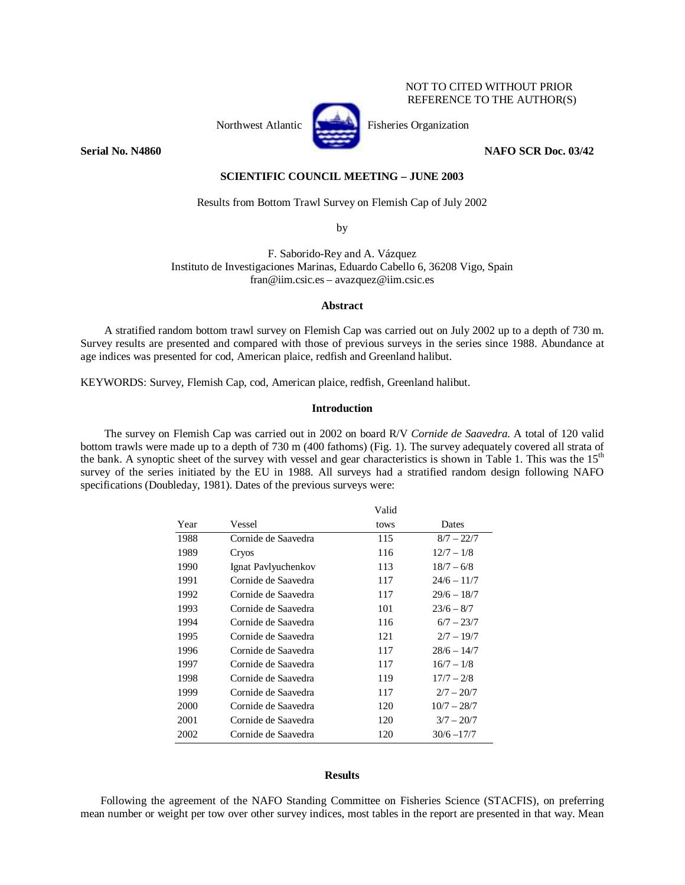## NOT TO CITED WITHOUT PRIOR REFERENCE TO THE AUTHOR(S)



Northwest Atlantic **Fisheries** Organization

**Serial No. N4860** NAFO SCR Doc. 03/42

### **SCIENTIFIC COUNCIL MEETING – JUNE 2003**

### Results from Bottom Trawl Survey on Flemish Cap of July 2002

by

F. Saborido-Rey and A. Vázquez Instituto de Investigaciones Marinas, Eduardo Cabello 6, 36208 Vigo, Spain fran@iim.csic.es – avazquez@iim.csic.es

### **Abstract**

A stratified random bottom trawl survey on Flemish Cap was carried out on July 2002 up to a depth of 730 m. Survey results are presented and compared with those of previous surveys in the series since 1988. Abundance at age indices was presented for cod, American plaice, redfish and Greenland halibut.

KEYWORDS: Survey, Flemish Cap, cod, American plaice, redfish, Greenland halibut.

## **Introduction**

The survey on Flemish Cap was carried out in 2002 on board R/V *Cornide de Saavedra*. A total of 120 valid bottom trawls were made up to a depth of 730 m (400 fathoms) (Fig. 1). The survey adequately covered all strata of the bank. A synoptic sheet of the survey with vessel and gear characteristics is shown in Table 1. This was the 15<sup>th</sup> survey of the series initiated by the EU in 1988. All surveys had a stratified random design following NAFO specifications (Doubleday, 1981). Dates of the previous surveys were:

|      |                     | Valid |               |
|------|---------------------|-------|---------------|
| Year | Vessel              | tows  | Dates         |
| 1988 | Cornide de Saavedra | 115   | $8/7 - 22/7$  |
| 1989 | Cryos               | 116   | $12/7 - 1/8$  |
| 1990 | Ignat Pavlyuchenkov | 113   | $18/7 - 6/8$  |
| 1991 | Cornide de Saavedra | 117   | $24/6 - 11/7$ |
| 1992 | Cornide de Saavedra | 117   | $29/6 - 18/7$ |
| 1993 | Cornide de Saavedra | 101   | $23/6 - 8/7$  |
| 1994 | Cornide de Saavedra | 116   | $6/7 - 23/7$  |
| 1995 | Cornide de Saavedra | 121   | $2/7 - 19/7$  |
| 1996 | Cornide de Saavedra | 117   | $28/6 - 14/7$ |
| 1997 | Cornide de Saavedra | 117   | $16/7 - 1/8$  |
| 1998 | Cornide de Saavedra | 119   | $17/7 - 2/8$  |
| 1999 | Cornide de Saavedra | 117   | $2/7 - 20/7$  |
| 2000 | Cornide de Saavedra | 120   | $10/7 - 28/7$ |
| 2001 | Cornide de Saavedra | 120   | $3/7 - 20/7$  |
| 2002 | Cornide de Saavedra | 120   | $30/6 - 17/7$ |

#### **Results**

Following the agreement of the NAFO Standing Committee on Fisheries Science (STACFIS), on preferring mean number or weight per tow over other survey indices, most tables in the report are presented in that way. Mean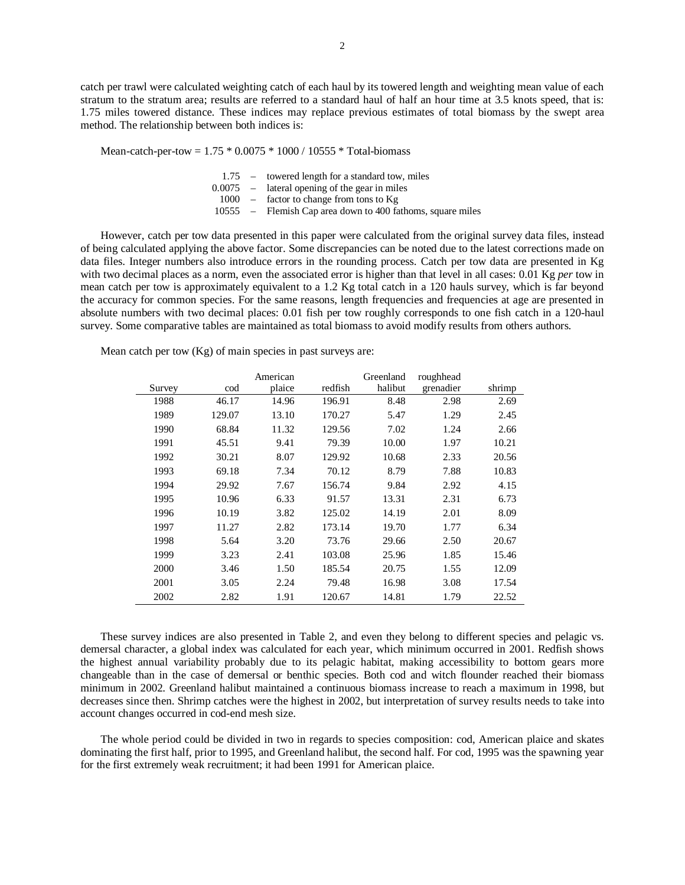catch per trawl were calculated weighting catch of each haul by its towered length and weighting mean value of each stratum to the stratum area; results are referred to a standard haul of half an hour time at 3.5 knots speed, that is: 1.75 miles towered distance. These indices may replace previous estimates of total biomass by the swept area method. The relationship between both indices is:

Mean-catch-per-tow =  $1.75 * 0.0075 * 1000 / 10555 * Total-biomass$ 

|  | 1.75 – towered length for a standard tow, miles            |
|--|------------------------------------------------------------|
|  | $0.0075$ – lateral opening of the gear in miles            |
|  | $1000 -$ factor to change from tons to Kg                  |
|  | 10555 – Flemish Cap area down to 400 fathoms, square miles |
|  |                                                            |

However, catch per tow data presented in this paper were calculated from the original survey data files, instead of being calculated applying the above factor. Some discrepancies can be noted due to the latest corrections made on data files. Integer numbers also introduce errors in the rounding process. Catch per tow data are presented in Kg with two decimal places as a norm, even the associated error is higher than that level in all cases: 0.01 Kg *per* tow in mean catch per tow is approximately equivalent to a 1.2 Kg total catch in a 120 hauls survey, which is far beyond the accuracy for common species. For the same reasons, length frequencies and frequencies at age are presented in absolute numbers with two decimal places: 0.01 fish per tow roughly corresponds to one fish catch in a 120-haul survey. Some comparative tables are maintained as total biomass to avoid modify results from others authors.

Mean catch per tow  $(Kg)$  of main species in past surveys are:

|        |        | American |         | Greenland | roughhead |        |
|--------|--------|----------|---------|-----------|-----------|--------|
| Survey | cod    | plaice   | redfish | halibut   | grenadier | shrimp |
| 1988   | 46.17  | 14.96    | 196.91  | 8.48      | 2.98      | 2.69   |
| 1989   | 129.07 | 13.10    | 170.27  | 5.47      | 1.29      | 2.45   |
| 1990   | 68.84  | 11.32    | 129.56  | 7.02      | 1.24      | 2.66   |
| 1991   | 45.51  | 9.41     | 79.39   | 10.00     | 1.97      | 10.21  |
| 1992   | 30.21  | 8.07     | 129.92  | 10.68     | 2.33      | 20.56  |
| 1993   | 69.18  | 7.34     | 70.12   | 8.79      | 7.88      | 10.83  |
| 1994   | 29.92  | 7.67     | 156.74  | 9.84      | 2.92      | 4.15   |
| 1995   | 10.96  | 6.33     | 91.57   | 13.31     | 2.31      | 6.73   |
| 1996   | 10.19  | 3.82     | 125.02  | 14.19     | 2.01      | 8.09   |
| 1997   | 11.27  | 2.82     | 173.14  | 19.70     | 1.77      | 6.34   |
| 1998   | 5.64   | 3.20     | 73.76   | 29.66     | 2.50      | 20.67  |
| 1999   | 3.23   | 2.41     | 103.08  | 25.96     | 1.85      | 15.46  |
| 2000   | 3.46   | 1.50     | 185.54  | 20.75     | 1.55      | 12.09  |
| 2001   | 3.05   | 2.24     | 79.48   | 16.98     | 3.08      | 17.54  |
| 2002   | 2.82   | 1.91     | 120.67  | 14.81     | 1.79      | 22.52  |

These survey indices are also presented in Table 2, and even they belong to different species and pelagic vs. demersal character, a global index was calculated for each year, which minimum occurred in 2001. Redfish shows the highest annual variability probably due to its pelagic habitat, making accessibility to bottom gears more changeable than in the case of demersal or benthic species. Both cod and witch flounder reached their biomass minimum in 2002. Greenland halibut maintained a continuous biomass increase to reach a maximum in 1998, but decreases since then. Shrimp catches were the highest in 2002, but interpretation of survey results needs to take into account changes occurred in cod-end mesh size.

The whole period could be divided in two in regards to species composition: cod, American plaice and skates dominating the first half, prior to 1995, and Greenland halibut, the second half. For cod, 1995 was the spawning year for the first extremely weak recruitment; it had been 1991 for American plaice.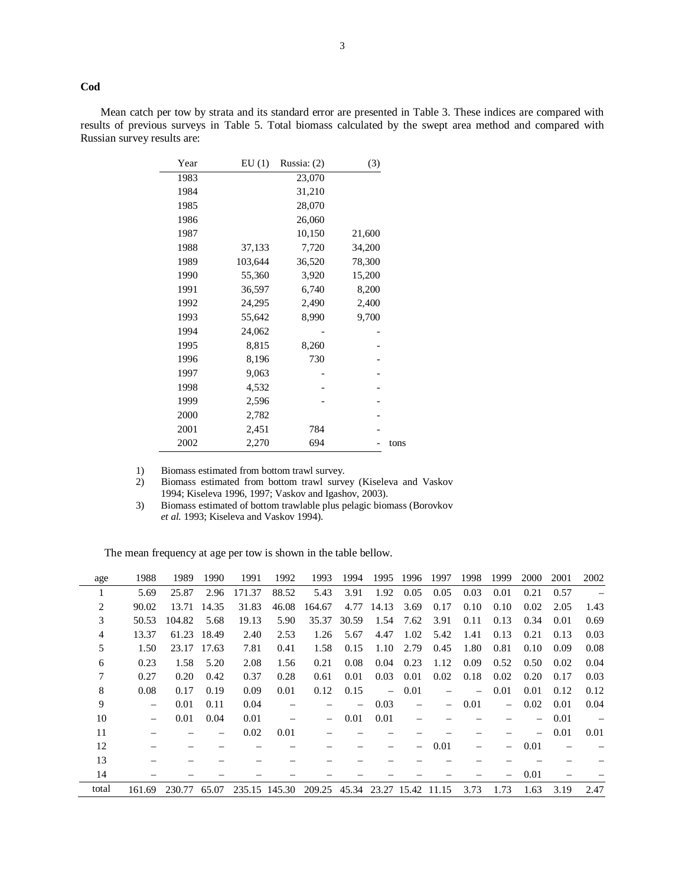**Cod** 

Mean catch per tow by strata and its standard error are presented in Table 3. These indices are compared with results of previous surveys in Table 5. Total biomass calculated by the swept area method and compared with Russian survey results are:

| Year | EU(1)   | Russia: $(2)$ | (3)    |      |
|------|---------|---------------|--------|------|
| 1983 |         | 23,070        |        |      |
| 1984 |         | 31,210        |        |      |
| 1985 |         | 28,070        |        |      |
| 1986 |         | 26,060        |        |      |
| 1987 |         | 10,150        | 21,600 |      |
| 1988 | 37,133  | 7,720         | 34,200 |      |
| 1989 | 103,644 | 36,520        | 78,300 |      |
| 1990 | 55,360  | 3,920         | 15,200 |      |
| 1991 | 36,597  | 6,740         | 8,200  |      |
| 1992 | 24,295  | 2,490         | 2,400  |      |
| 1993 | 55,642  | 8,990         | 9,700  |      |
| 1994 | 24,062  |               |        |      |
| 1995 | 8,815   | 8,260         |        |      |
| 1996 | 8,196   | 730           |        |      |
| 1997 | 9,063   |               |        |      |
| 1998 | 4,532   |               |        |      |
| 1999 | 2,596   |               |        |      |
| 2000 | 2,782   |               |        |      |
| 2001 | 2,451   | 784           |        |      |
| 2002 | 2,270   | 694           |        | tons |

1) Biomass estimated from bottom trawl survey.<br>
2) Biomass estimated from bottom trawl survey. 2) Biomass estimated from bottom trawl survey (Kiseleva and Vaskov 1994; Kiseleva 1996, 1997; Vaskov and Igashov, 2003).

3) Biomass estimated of bottom trawlable plus pelagic biomass (Borovkov *et al.* 1993; Kiseleva and Vaskov 1994).

The mean frequency at age per tow is shown in the table bellow.

| age   | 1988                     | 1989   | 1990        | 1991          | 1992  | 1993                     | 1994                     | 1995                     | 1996                     | 1997              | 1998 | 1999     | 2000 | 2001 | 2002 |
|-------|--------------------------|--------|-------------|---------------|-------|--------------------------|--------------------------|--------------------------|--------------------------|-------------------|------|----------|------|------|------|
|       | 5.69                     | 25.87  | 2.96        | 171.37        | 88.52 | 5.43                     | 3.91                     | 1.92                     | 0.05                     | 0.05              | 0.03 | 0.01     | 0.21 | 0.57 |      |
| 2     | 90.02                    | 13.71  | 14.35       | 31.83         | 46.08 | 164.67                   | 4.77                     | 14.13                    | 3.69                     | 0.17              | 0.10 | 0.10     | 0.02 | 2.05 | 1.43 |
| 3     | 50.53                    | 104.82 | 5.68        | 19.13         | 5.90  | 35.37                    | 30.59                    | 1.54                     | 7.62                     | 3.91              | 0.11 | 0.13     | 0.34 | 0.01 | 0.69 |
| 4     | 13.37                    | 61.23  | 18.49       | 2.40          | 2.53  | 1.26                     | 5.67                     | 4.47                     | 1.02                     | 5.42              | 1.41 | 0.13     | 0.21 | 0.13 | 0.03 |
| 5     | 1.50                     |        | 23.17 17.63 | 7.81          | 0.41  | 1.58                     | 0.15                     | 1.10                     | 2.79                     | 0.45              | 1.80 | 0.81     | 0.10 | 0.09 | 0.08 |
| 6     | 0.23                     | 1.58   | 5.20        | 2.08          | 1.56  | 0.21                     | 0.08                     | 0.04                     | 0.23                     | 1.12              | 0.09 | 0.52     | 0.50 | 0.02 | 0.04 |
| 7     | 0.27                     | 0.20   | 0.42        | 0.37          | 0.28  | 0.61                     | 0.01                     | 0.03                     | 0.01                     | 0.02              | 0.18 | 0.02     | 0.20 | 0.17 | 0.03 |
| 8     | 0.08                     | 0.17   | 0.19        | 0.09          | 0.01  | 0.12                     | 0.15                     | $\overline{\phantom{0}}$ | 0.01                     |                   |      | 0.01     | 0.01 | 0.12 | 0.12 |
| 9     | $\overline{\phantom{m}}$ | 0.01   | 0.11        | 0.04          |       |                          | $\overline{\phantom{0}}$ | 0.03                     | $\overline{\phantom{0}}$ | $\qquad \qquad -$ | 0.01 | $\equiv$ | 0.02 | 0.01 | 0.04 |
| 10    | $\overline{\phantom{m}}$ | 0.01   | 0.04        | 0.01          |       | $\overline{\phantom{0}}$ | 0.01                     | 0.01                     |                          |                   |      |          |      | 0.01 |      |
| 11    |                          |        |             | 0.02          | 0.01  |                          |                          |                          |                          |                   |      |          |      | 0.01 | 0.01 |
| 12    |                          |        |             |               |       |                          |                          |                          |                          | 0.01              |      |          | 0.01 |      |      |
| 13    |                          |        |             |               |       |                          |                          |                          |                          |                   |      |          |      |      |      |
| 14    |                          |        |             |               |       |                          |                          |                          |                          |                   |      |          | 0.01 |      |      |
| total | 161.69                   | 230.77 | 65.07       | 235.15 145.30 |       | 209.25                   | 45.34                    | 23.27 15.42              |                          | 11.15             | 3.73 | 1.73     | 1.63 | 3.19 | 2.47 |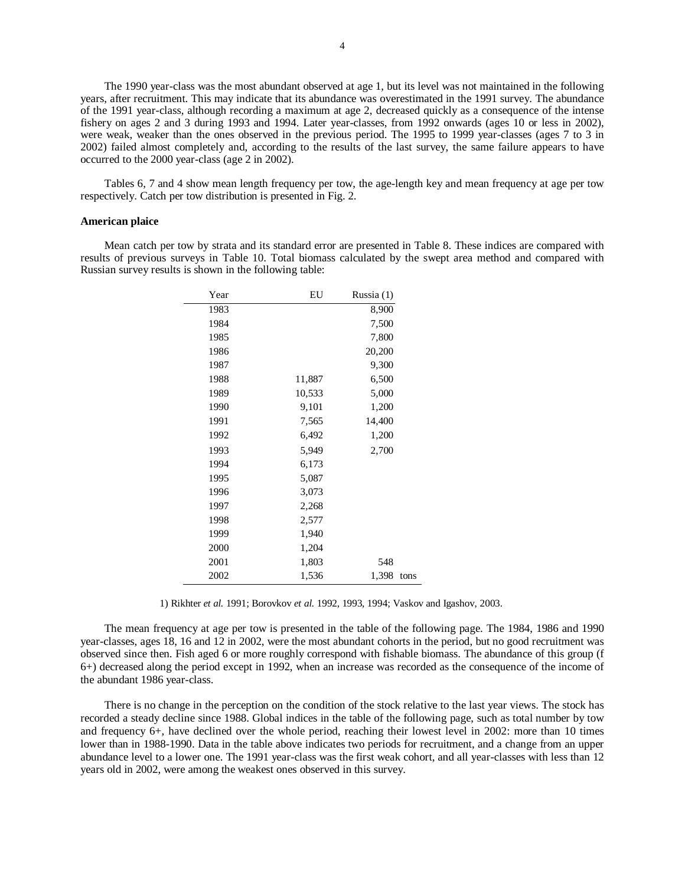The 1990 year-class was the most abundant observed at age 1, but its level was not maintained in the following years, after recruitment. This may indicate that its abundance was overestimated in the 1991 survey. The abundance of the 1991 year-class, although recording a maximum at age 2, decreased quickly as a consequence of the intense fishery on ages 2 and 3 during 1993 and 1994. Later year-classes, from 1992 onwards (ages 10 or less in 2002), were weak, weaker than the ones observed in the previous period. The 1995 to 1999 year-classes (ages 7 to 3 in 2002) failed almost completely and, according to the results of the last survey, the same failure appears to have occurred to the 2000 year-class (age 2 in 2002).

Tables 6, 7 and 4 show mean length frequency per tow, the age-length key and mean frequency at age per tow respectively. Catch per tow distribution is presented in Fig. 2.

#### **American plaice**

Mean catch per tow by strata and its standard error are presented in Table 8. These indices are compared with results of previous surveys in Table 10. Total biomass calculated by the swept area method and compared with Russian survey results is shown in the following table:

| Year | EU     | Russia (1) |      |
|------|--------|------------|------|
| 1983 |        | 8,900      |      |
| 1984 |        | 7,500      |      |
| 1985 |        | 7,800      |      |
| 1986 |        | 20,200     |      |
| 1987 |        | 9,300      |      |
| 1988 | 11,887 | 6,500      |      |
| 1989 | 10,533 | 5,000      |      |
| 1990 | 9,101  | 1,200      |      |
| 1991 | 7,565  | 14,400     |      |
| 1992 | 6,492  | 1,200      |      |
| 1993 | 5,949  | 2,700      |      |
| 1994 | 6,173  |            |      |
| 1995 | 5,087  |            |      |
| 1996 | 3,073  |            |      |
| 1997 | 2,268  |            |      |
| 1998 | 2,577  |            |      |
| 1999 | 1,940  |            |      |
| 2000 | 1,204  |            |      |
| 2001 | 1,803  | 548        |      |
| 2002 | 1,536  | 1,398      | tons |

1) Rikhter *et al.* 1991; Borovkov *et al.* 1992, 1993, 1994; Vaskov and Igashov, 2003.

The mean frequency at age per tow is presented in the table of the following page. The 1984, 1986 and 1990 year-classes, ages 18, 16 and 12 in 2002, were the most abundant cohorts in the period, but no good recruitment was observed since then. Fish aged 6 or more roughly correspond with fishable biomass. The abundance of this group (f 6+) decreased along the period except in 1992, when an increase was recorded as the consequence of the income of the abundant 1986 year-class.

There is no change in the perception on the condition of the stock relative to the last year views. The stock has recorded a steady decline since 1988. Global indices in the table of the following page, such as total number by tow and frequency 6+, have declined over the whole period, reaching their lowest level in 2002: more than 10 times lower than in 1988-1990. Data in the table above indicates two periods for recruitment, and a change from an upper abundance level to a lower one. The 1991 year-class was the first weak cohort, and all year-classes with less than 12 years old in 2002, were among the weakest ones observed in this survey.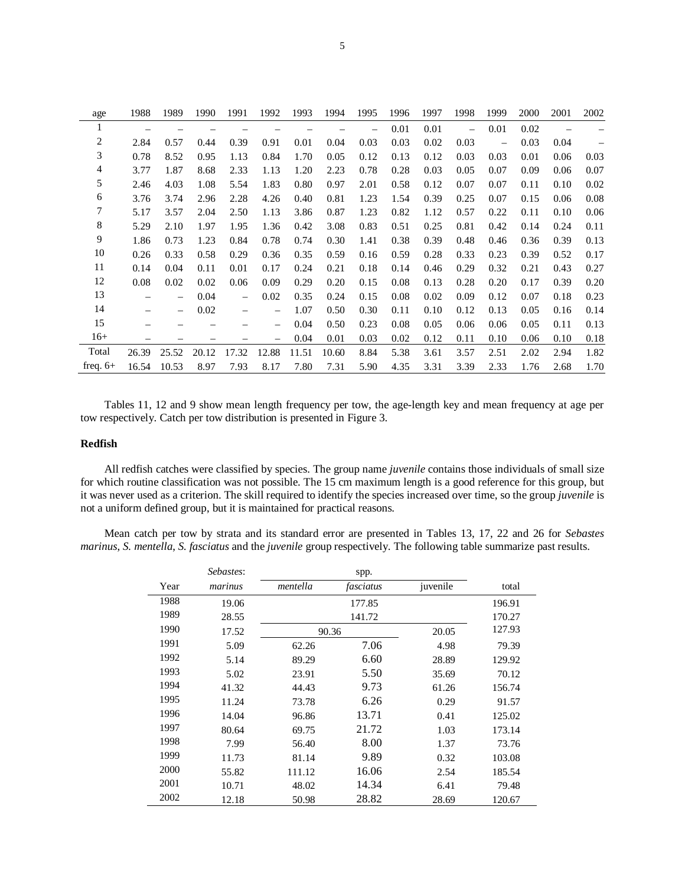| age            | 1988  | 1989              | 1990  | 1991              | 1992                     | 1993  | 1994  | 1995 | 1996 | 1997 | 1998 | 1999 | 2000 | 2001 | 2002 |
|----------------|-------|-------------------|-------|-------------------|--------------------------|-------|-------|------|------|------|------|------|------|------|------|
| 1              |       |                   |       |                   |                          |       |       |      | 0.01 | 0.01 |      | 0.01 | 0.02 |      |      |
| $\overline{c}$ | 2.84  | 0.57              | 0.44  | 0.39              | 0.91                     | 0.01  | 0.04  | 0.03 | 0.03 | 0.02 | 0.03 |      | 0.03 | 0.04 |      |
| 3              | 0.78  | 8.52              | 0.95  | 1.13              | 0.84                     | 1.70  | 0.05  | 0.12 | 0.13 | 0.12 | 0.03 | 0.03 | 0.01 | 0.06 | 0.03 |
| 4              | 3.77  | 1.87              | 8.68  | 2.33              | 1.13                     | 1.20  | 2.23  | 0.78 | 0.28 | 0.03 | 0.05 | 0.07 | 0.09 | 0.06 | 0.07 |
| 5              | 2.46  | 4.03              | 1.08  | 5.54              | 1.83                     | 0.80  | 0.97  | 2.01 | 0.58 | 0.12 | 0.07 | 0.07 | 0.11 | 0.10 | 0.02 |
| 6              | 3.76  | 3.74              | 2.96  | 2.28              | 4.26                     | 0.40  | 0.81  | 1.23 | 1.54 | 0.39 | 0.25 | 0.07 | 0.15 | 0.06 | 0.08 |
| 7              | 5.17  | 3.57              | 2.04  | 2.50              | 1.13                     | 3.86  | 0.87  | 1.23 | 0.82 | 1.12 | 0.57 | 0.22 | 0.11 | 0.10 | 0.06 |
| 8              | 5.29  | 2.10              | 1.97  | 1.95              | 1.36                     | 0.42  | 3.08  | 0.83 | 0.51 | 0.25 | 0.81 | 0.42 | 0.14 | 0.24 | 0.11 |
| 9              | 1.86  | 0.73              | 1.23  | 0.84              | 0.78                     | 0.74  | 0.30  | 1.41 | 0.38 | 0.39 | 0.48 | 0.46 | 0.36 | 0.39 | 0.13 |
| 10             | 0.26  | 0.33              | 0.58  | 0.29              | 0.36                     | 0.35  | 0.59  | 0.16 | 0.59 | 0.28 | 0.33 | 0.23 | 0.39 | 0.52 | 0.17 |
| 11             | 0.14  | 0.04              | 0.11  | 0.01              | 0.17                     | 0.24  | 0.21  | 0.18 | 0.14 | 0.46 | 0.29 | 0.32 | 0.21 | 0.43 | 0.27 |
| 12             | 0.08  | 0.02              | 0.02  | 0.06              | 0.09                     | 0.29  | 0.20  | 0.15 | 0.08 | 0.13 | 0.28 | 0.20 | 0.17 | 0.39 | 0.20 |
| 13             |       | $\qquad \qquad -$ | 0.04  | $\qquad \qquad -$ | 0.02                     | 0.35  | 0.24  | 0.15 | 0.08 | 0.02 | 0.09 | 0.12 | 0.07 | 0.18 | 0.23 |
| 14             |       | $\qquad \qquad -$ | 0.02  |                   | $\qquad \qquad -$        | 1.07  | 0.50  | 0.30 | 0.11 | 0.10 | 0.12 | 0.13 | 0.05 | 0.16 | 0.14 |
| 15             |       |                   |       |                   | -                        | 0.04  | 0.50  | 0.23 | 0.08 | 0.05 | 0.06 | 0.06 | 0.05 | 0.11 | 0.13 |
| $16+$          |       |                   |       |                   | $\overline{\phantom{0}}$ | 0.04  | 0.01  | 0.03 | 0.02 | 0.12 | 0.11 | 0.10 | 0.06 | 0.10 | 0.18 |
| Total          | 26.39 | 25.52             | 20.12 | 17.32             | 12.88                    | 11.51 | 10.60 | 8.84 | 5.38 | 3.61 | 3.57 | 2.51 | 2.02 | 2.94 | 1.82 |
| freq. $6+$     | 16.54 | 10.53             | 8.97  | 7.93              | 8.17                     | 7.80  | 7.31  | 5.90 | 4.35 | 3.31 | 3.39 | 2.33 | 1.76 | 2.68 | 1.70 |

Tables 11, 12 and 9 show mean length frequency per tow, the age-length key and mean frequency at age per tow respectively. Catch per tow distribution is presented in Figure 3.

## **Redfish**

All redfish catches were classified by species. The group name *juvenile* contains those individuals of small size for which routine classification was not possible. The 15 cm maximum length is a good reference for this group, but it was never used as a criterion. The skill required to identify the species increased over time, so the group *juvenile* is not a uniform defined group, but it is maintained for practical reasons.

Mean catch per tow by strata and its standard error are presented in Tables 13, 17, 22 and 26 for *Sebastes marinus*, *S. mentella*, *S. fasciatus* and the *juvenile* group respectively. The following table summarize past results.

|      | Sebastes: |          | spp.      |          |        |
|------|-----------|----------|-----------|----------|--------|
| Year | marinus   | mentella | fasciatus | juvenile | total  |
| 1988 | 19.06     |          | 177.85    |          | 196.91 |
| 1989 | 28.55     |          | 141.72    |          | 170.27 |
| 1990 | 17.52     |          | 90.36     | 20.05    | 127.93 |
| 1991 | 5.09      | 62.26    | 7.06      | 4.98     | 79.39  |
| 1992 | 5.14      | 89.29    | 6.60      | 28.89    | 129.92 |
| 1993 | 5.02      | 23.91    | 5.50      | 35.69    | 70.12  |
| 1994 | 41.32     | 44.43    | 9.73      | 61.26    | 156.74 |
| 1995 | 11.24     | 73.78    | 6.26      | 0.29     | 91.57  |
| 1996 | 14.04     | 96.86    | 13.71     | 0.41     | 125.02 |
| 1997 | 80.64     | 69.75    | 21.72     | 1.03     | 173.14 |
| 1998 | 7.99      | 56.40    | 8.00      | 1.37     | 73.76  |
| 1999 | 11.73     | 81.14    | 9.89      | 0.32     | 103.08 |
| 2000 | 55.82     | 111.12   | 16.06     | 2.54     | 185.54 |
| 2001 | 10.71     | 48.02    | 14.34     | 6.41     | 79.48  |
| 2002 | 12.18     | 50.98    | 28.82     | 28.69    | 120.67 |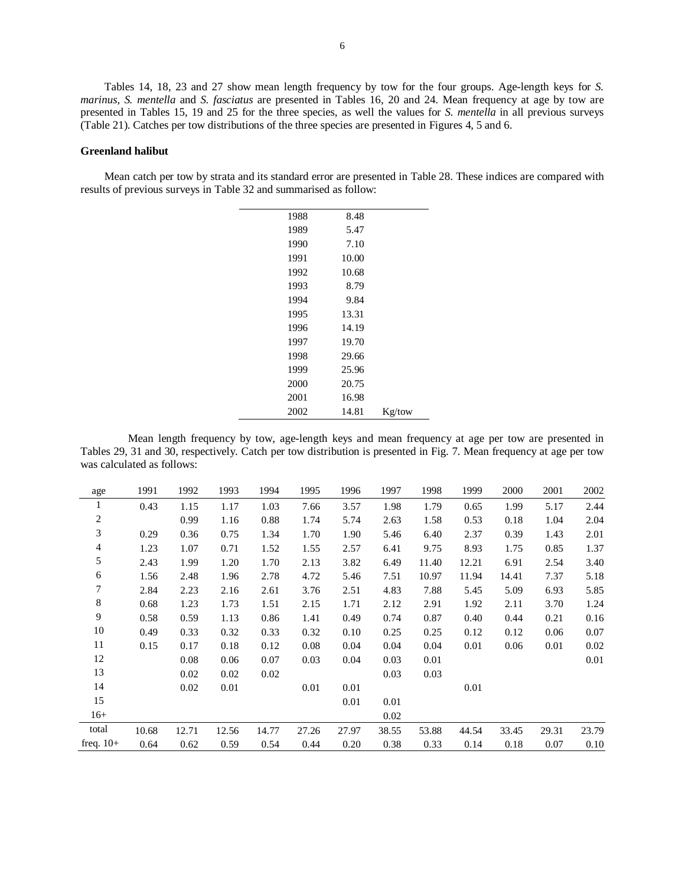Tables 14, 18, 23 and 27 show mean length frequency by tow for the four groups. Age-length keys for *S. marinus, S. mentella* and *S. fasciatus* are presented in Tables 16, 20 and 24. Mean frequency at age by tow are presented in Tables 15, 19 and 25 for the three species, as well the values for *S. mentella* in all previous surveys (Table 21). Catches per tow distributions of the three species are presented in Figures 4, 5 and 6.

### **Greenland halibut**

Mean catch per tow by strata and its standard error are presented in Table 28. These indices are compared with results of previous surveys in Table 32 and summarised as follow:

| 1988 | 8.48  |        |
|------|-------|--------|
| 1989 | 5.47  |        |
| 1990 | 7.10  |        |
| 1991 | 10.00 |        |
| 1992 | 10.68 |        |
| 1993 | 8.79  |        |
| 1994 | 9.84  |        |
| 1995 | 13.31 |        |
| 1996 | 14.19 |        |
| 1997 | 19.70 |        |
| 1998 | 29.66 |        |
| 1999 | 25.96 |        |
| 2000 | 20.75 |        |
| 2001 | 16.98 |        |
| 2002 | 14.81 | Kg/tow |
|      |       |        |

Mean length frequency by tow, age-length keys and mean frequency at age per tow are presented in Tables 29, 31 and 30, respectively. Catch per tow distribution is presented in Fig. 7. Mean frequency at age per tow was calculated as follows:

| age                     | 1991  | 1992  | 1993  | 1994  | 1995  | 1996  | 1997  | 1998  | 1999  | 2000  | 2001  | 2002  |
|-------------------------|-------|-------|-------|-------|-------|-------|-------|-------|-------|-------|-------|-------|
| $\mathbf{1}$            | 0.43  | 1.15  | 1.17  | 1.03  | 7.66  | 3.57  | 1.98  | 1.79  | 0.65  | 1.99  | 5.17  | 2.44  |
| $\overline{\mathbf{c}}$ |       | 0.99  | 1.16  | 0.88  | 1.74  | 5.74  | 2.63  | 1.58  | 0.53  | 0.18  | 1.04  | 2.04  |
| 3                       | 0.29  | 0.36  | 0.75  | 1.34  | 1.70  | 1.90  | 5.46  | 6.40  | 2.37  | 0.39  | 1.43  | 2.01  |
| 4                       | 1.23  | 1.07  | 0.71  | 1.52  | 1.55  | 2.57  | 6.41  | 9.75  | 8.93  | 1.75  | 0.85  | 1.37  |
| 5                       | 2.43  | 1.99  | 1.20  | 1.70  | 2.13  | 3.82  | 6.49  | 11.40 | 12.21 | 6.91  | 2.54  | 3.40  |
| 6                       | 1.56  | 2.48  | 1.96  | 2.78  | 4.72  | 5.46  | 7.51  | 10.97 | 11.94 | 14.41 | 7.37  | 5.18  |
| 7                       | 2.84  | 2.23  | 2.16  | 2.61  | 3.76  | 2.51  | 4.83  | 7.88  | 5.45  | 5.09  | 6.93  | 5.85  |
| 8                       | 0.68  | 1.23  | 1.73  | 1.51  | 2.15  | 1.71  | 2.12  | 2.91  | 1.92  | 2.11  | 3.70  | 1.24  |
| $\overline{9}$          | 0.58  | 0.59  | 1.13  | 0.86  | 1.41  | 0.49  | 0.74  | 0.87  | 0.40  | 0.44  | 0.21  | 0.16  |
| 10                      | 0.49  | 0.33  | 0.32  | 0.33  | 0.32  | 0.10  | 0.25  | 0.25  | 0.12  | 0.12  | 0.06  | 0.07  |
| 11                      | 0.15  | 0.17  | 0.18  | 0.12  | 0.08  | 0.04  | 0.04  | 0.04  | 0.01  | 0.06  | 0.01  | 0.02  |
| 12                      |       | 0.08  | 0.06  | 0.07  | 0.03  | 0.04  | 0.03  | 0.01  |       |       |       | 0.01  |
| 13                      |       | 0.02  | 0.02  | 0.02  |       |       | 0.03  | 0.03  |       |       |       |       |
| 14                      |       | 0.02  | 0.01  |       | 0.01  | 0.01  |       |       | 0.01  |       |       |       |
| 15                      |       |       |       |       |       | 0.01  | 0.01  |       |       |       |       |       |
| $16+$                   |       |       |       |       |       |       | 0.02  |       |       |       |       |       |
| total                   | 10.68 | 12.71 | 12.56 | 14.77 | 27.26 | 27.97 | 38.55 | 53.88 | 44.54 | 33.45 | 29.31 | 23.79 |
| freq. $10+$             | 0.64  | 0.62  | 0.59  | 0.54  | 0.44  | 0.20  | 0.38  | 0.33  | 0.14  | 0.18  | 0.07  | 0.10  |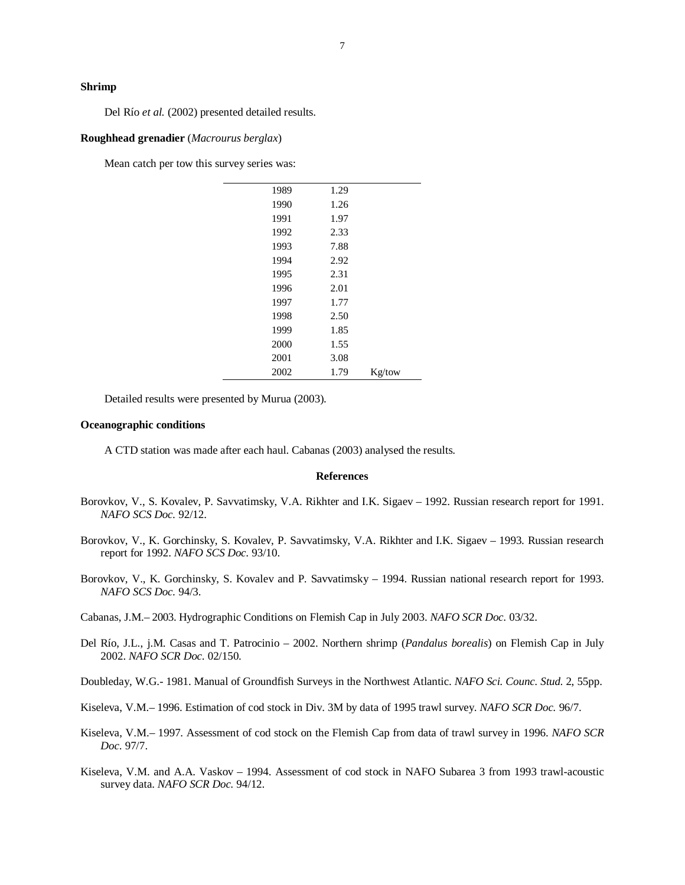### **Shrimp**

Del Río *et al.* (2002) presented detailed results.

#### **Roughhead grenadier** (*Macrourus berglax*)

Mean catch per tow this survey series was:

| 1989 | 1.29 |        |
|------|------|--------|
| 1990 | 1.26 |        |
| 1991 | 1.97 |        |
| 1992 | 2.33 |        |
| 1993 | 7.88 |        |
| 1994 | 2.92 |        |
| 1995 | 2.31 |        |
| 1996 | 2.01 |        |
| 1997 | 1.77 |        |
| 1998 | 2.50 |        |
| 1999 | 1.85 |        |
| 2000 | 1.55 |        |
| 2001 | 3.08 |        |
| 2002 | 1.79 | Kg/tow |
|      |      |        |

Detailed results were presented by Murua (2003).

#### **Oceanographic conditions**

A CTD station was made after each haul. Cabanas (2003) analysed the results.

#### **References**

- Borovkov, V., S. Kovalev, P. Savvatimsky, V.A. Rikhter and I.K. Sigaev 1992. Russian research report for 1991. *NAFO SCS Doc.* 92/12.
- Borovkov, V., K. Gorchinsky, S. Kovalev, P. Savvatimsky, V.A. Rikhter and I.K. Sigaev 1993. Russian research report for 1992. *NAFO SCS Doc.* 93/10.
- Borovkov, V., K. Gorchinsky, S. Kovalev and P. Savvatimsky 1994. Russian national research report for 1993. *NAFO SCS Doc.* 94/3.
- Cabanas, J.M.– 2003. Hydrographic Conditions on Flemish Cap in July 2003. *NAFO SCR Doc.* 03/32.
- Del Río, J.L., j.M. Casas and T. Patrocinio 2002. Northern shrimp (*Pandalus borealis*) on Flemish Cap in July 2002. *NAFO SCR Doc.* 02/150.

Doubleday, W.G.- 1981. Manual of Groundfish Surveys in the Northwest Atlantic. *NAFO Sci. Counc. Stud.* 2, 55pp.

- Kiseleva, V.M.– 1996. Estimation of cod stock in Div. 3M by data of 1995 trawl survey. *NAFO SCR Doc.* 96/7.
- Kiseleva, V.M.– 1997. Assessment of cod stock on the Flemish Cap from data of trawl survey in 1996. *NAFO SCR Doc.* 97/7.
- Kiseleva, V.M. and A.A. Vaskov 1994. Assessment of cod stock in NAFO Subarea 3 from 1993 trawl-acoustic survey data. *NAFO SCR Doc.* 94/12.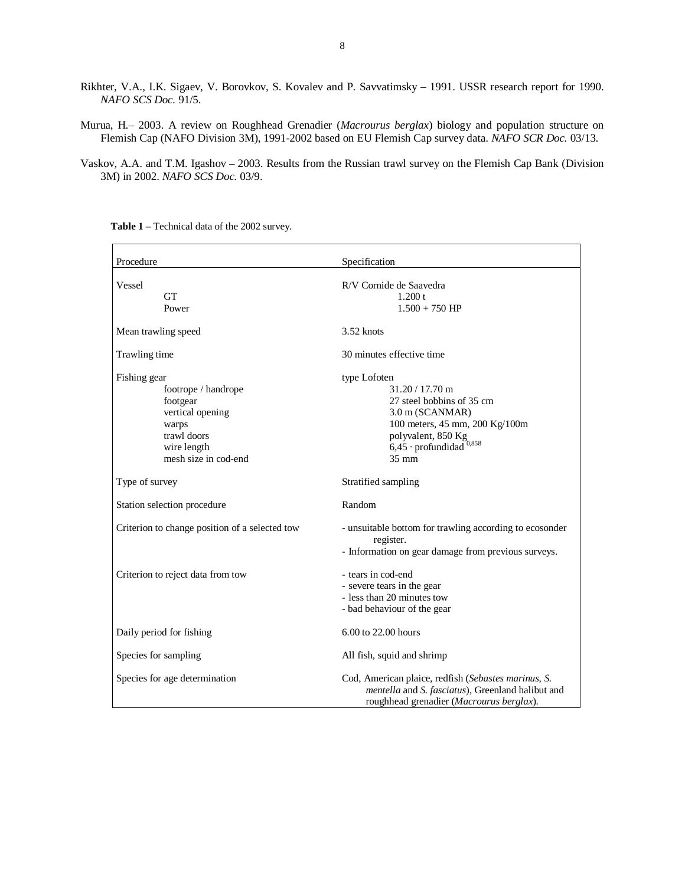- Rikhter, V.A., I.K. Sigaev, V. Borovkov, S. Kovalev and P. Savvatimsky 1991. USSR research report for 1990. *NAFO SCS Doc.* 91/5.
- Murua, H.– 2003. A review on Roughhead Grenadier (*Macrourus berglax*) biology and population structure on Flemish Cap (NAFO Division 3M), 1991-2002 based on EU Flemish Cap survey data. *NAFO SCR Doc.* 03/13.
- Vaskov, A.A. and T.M. Igashov 2003. Results from the Russian trawl survey on the Flemish Cap Bank (Division 3M) in 2002. *NAFO SCS Doc.* 03/9.

| Procedure                                                                                                                          | Specification                                                                                                                                                                                         |  |  |  |  |
|------------------------------------------------------------------------------------------------------------------------------------|-------------------------------------------------------------------------------------------------------------------------------------------------------------------------------------------------------|--|--|--|--|
| Vessel<br><b>GT</b><br>Power                                                                                                       | R/V Cornide de Saavedra<br>1.200 t<br>$1.500 + 750$ HP                                                                                                                                                |  |  |  |  |
| Mean trawling speed                                                                                                                | $3.52$ knots                                                                                                                                                                                          |  |  |  |  |
| Trawling time                                                                                                                      | 30 minutes effective time                                                                                                                                                                             |  |  |  |  |
| Fishing gear<br>footrope / handrope<br>footgear<br>vertical opening<br>warps<br>trawl doors<br>wire length<br>mesh size in cod-end | type Lofoten<br>$31.20 / 17.70$ m<br>27 steel bobbins of 35 cm<br>3.0 m (SCANMAR)<br>100 meters, 45 mm, 200 Kg/100m<br>polyvalent, 850 Kg<br>$6,45$ · profundidad <sup>0,858</sup><br>$35 \text{ mm}$ |  |  |  |  |
| Type of survey                                                                                                                     | Stratified sampling                                                                                                                                                                                   |  |  |  |  |
| Station selection procedure                                                                                                        | Random                                                                                                                                                                                                |  |  |  |  |
| Criterion to change position of a selected tow                                                                                     | - unsuitable bottom for trawling according to ecosonder<br>register.<br>- Information on gear damage from previous surveys.                                                                           |  |  |  |  |
| Criterion to reject data from tow                                                                                                  | - tears in cod-end<br>- severe tears in the gear<br>- less than 20 minutes tow<br>- bad behaviour of the gear                                                                                         |  |  |  |  |
| Daily period for fishing                                                                                                           | 6.00 to 22.00 hours                                                                                                                                                                                   |  |  |  |  |
| Species for sampling                                                                                                               | All fish, squid and shrimp                                                                                                                                                                            |  |  |  |  |
| Species for age determination                                                                                                      | Cod, American plaice, redfish (Sebastes marinus, S.<br>mentella and S. fasciatus), Greenland halibut and<br>roughhead grenadier (Macrourus berglax).                                                  |  |  |  |  |

**Table 1** – Technical data of the 2002 survey.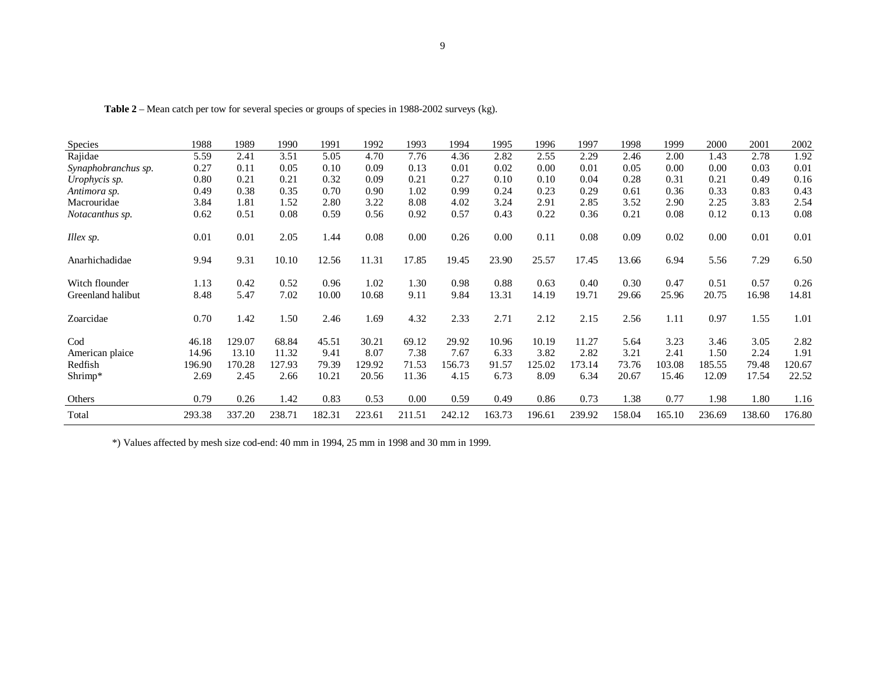|  |  | Table 2 – Mean catch per tow for several species or groups of species in 1988-2002 surveys (kg). |
|--|--|--------------------------------------------------------------------------------------------------|
|  |  |                                                                                                  |

| <b>Species</b>      | 1988   | 1989   | 1990   | 1991   | 1992   | 1993   | 1994   | 1995   | 1996   | 1997   | 1998   | 1999   | 2000   | 2001   | 2002   |
|---------------------|--------|--------|--------|--------|--------|--------|--------|--------|--------|--------|--------|--------|--------|--------|--------|
| Rajidae             | 5.59   | 2.41   | 3.51   | 5.05   | 4.70   | 7.76   | 4.36   | 2.82   | 2.55   | 2.29   | 2.46   | 2.00   | 1.43   | 2.78   | 1.92   |
| Synaphobranchus sp. | 0.27   | 0.11   | 0.05   | 0.10   | 0.09   | 0.13   | 0.01   | 0.02   | 0.00   | 0.01   | 0.05   | 0.00   | 0.00   | 0.03   | 0.01   |
| Urophycis sp.       | 0.80   | 0.21   | 0.21   | 0.32   | 0.09   | 0.21   | 0.27   | 0.10   | 0.10   | 0.04   | 0.28   | 0.31   | 0.21   | 0.49   | 0.16   |
| Antimora sp.        | 0.49   | 0.38   | 0.35   | 0.70   | 0.90   | 1.02   | 0.99   | 0.24   | 0.23   | 0.29   | 0.61   | 0.36   | 0.33   | 0.83   | 0.43   |
| Macrouridae         | 3.84   | 1.81   | 1.52   | 2.80   | 3.22   | 8.08   | 4.02   | 3.24   | 2.91   | 2.85   | 3.52   | 2.90   | 2.25   | 3.83   | 2.54   |
| Notacanthus sp.     | 0.62   | 0.51   | 0.08   | 0.59   | 0.56   | 0.92   | 0.57   | 0.43   | 0.22   | 0.36   | 0.21   | 0.08   | 0.12   | 0.13   | 0.08   |
| Illex sp.           | 0.01   | 0.01   | 2.05   | 1.44   | 0.08   | 0.00   | 0.26   | 0.00   | 0.11   | 0.08   | 0.09   | 0.02   | 0.00   | 0.01   | 0.01   |
| Anarhichadidae      | 9.94   | 9.31   | 10.10  | 12.56  | 11.31  | 17.85  | 19.45  | 23.90  | 25.57  | 17.45  | 13.66  | 6.94   | 5.56   | 7.29   | 6.50   |
| Witch flounder      | 1.13   | 0.42   | 0.52   | 0.96   | 1.02   | 1.30   | 0.98   | 0.88   | 0.63   | 0.40   | 0.30   | 0.47   | 0.51   | 0.57   | 0.26   |
| Greenland halibut   | 8.48   | 5.47   | 7.02   | 10.00  | 10.68  | 9.11   | 9.84   | 13.31  | 14.19  | 19.71  | 29.66  | 25.96  | 20.75  | 16.98  | 14.81  |
| Zoarcidae           | 0.70   | 1.42   | 1.50   | 2.46   | 1.69   | 4.32   | 2.33   | 2.71   | 2.12   | 2.15   | 2.56   | 1.11   | 0.97   | 1.55   | 1.01   |
| Cod                 | 46.18  | 129.07 | 68.84  | 45.51  | 30.21  | 69.12  | 29.92  | 10.96  | 10.19  | 11.27  | 5.64   | 3.23   | 3.46   | 3.05   | 2.82   |
| American plaice     | 14.96  | 13.10  | 11.32  | 9.41   | 8.07   | 7.38   | 7.67   | 6.33   | 3.82   | 2.82   | 3.21   | 2.41   | 1.50   | 2.24   | 1.91   |
| Redfish             | 196.90 | 170.28 | 127.93 | 79.39  | 129.92 | 71.53  | 156.73 | 91.57  | 125.02 | 173.14 | 73.76  | 103.08 | 185.55 | 79.48  | 120.67 |
| Shrimp*             | 2.69   | 2.45   | 2.66   | 10.21  | 20.56  | 11.36  | 4.15   | 6.73   | 8.09   | 6.34   | 20.67  | 15.46  | 12.09  | 17.54  | 22.52  |
| Others              | 0.79   | 0.26   | 1.42   | 0.83   | 0.53   | 0.00   | 0.59   | 0.49   | 0.86   | 0.73   | 1.38   | 0.77   | 1.98   | 1.80   | 1.16   |
| Total               | 293.38 | 337.20 | 238.71 | 182.31 | 223.61 | 211.51 | 242.12 | 163.73 | 196.61 | 239.92 | 158.04 | 165.10 | 236.69 | 138.60 | 176.80 |

\*) Values affected by mesh size cod-end: 40 mm in 1994, 25 mm in 1998 and 30 mm in 1999.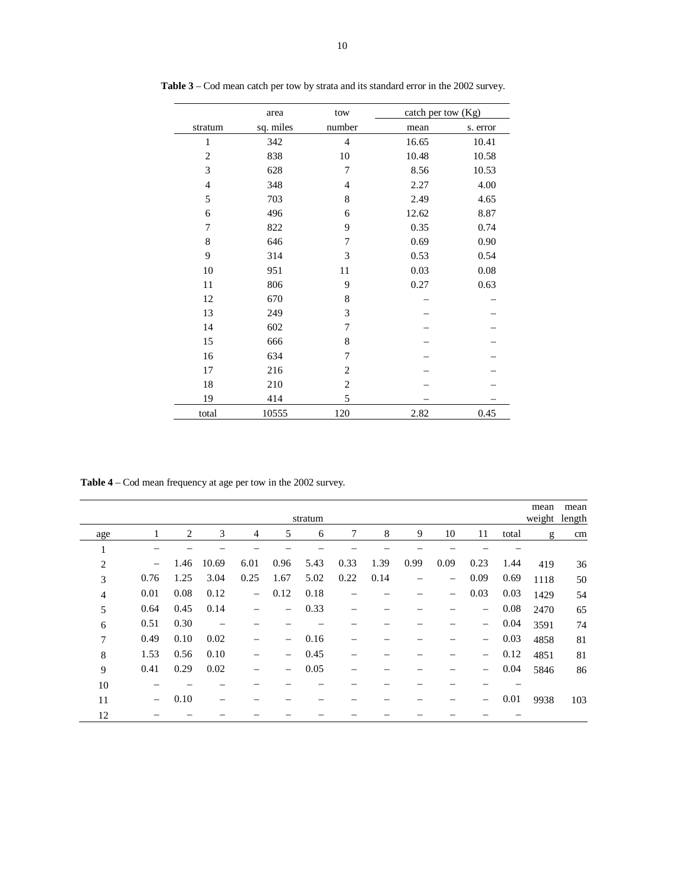|                | area      | tow            | catch per tow (Kg) |          |
|----------------|-----------|----------------|--------------------|----------|
| stratum        | sq. miles | number         | mean               | s. error |
| $\mathbf{1}$   | 342       | $\overline{4}$ | 16.65              | 10.41    |
| $\overline{2}$ | 838       | 10             | 10.48              | 10.58    |
| 3              | 628       | 7              | 8.56               | 10.53    |
| $\overline{4}$ | 348       | $\overline{4}$ | 2.27               | 4.00     |
| 5              | 703       | 8              | 2.49               | 4.65     |
| 6              | 496       | 6              | 12.62              | 8.87     |
| 7              | 822       | 9              | 0.35               | 0.74     |
| 8              | 646       | 7              | 0.69               | 0.90     |
| 9              | 314       | 3              | 0.53               | 0.54     |
| 10             | 951       | 11             | 0.03               | 0.08     |
| 11             | 806       | 9              | 0.27               | 0.63     |
| 12             | 670       | 8              |                    |          |
| 13             | 249       | 3              |                    |          |
| 14             | 602       | 7              |                    |          |
| 15             | 666       | 8              |                    |          |
| 16             | 634       | 7              |                    |          |
| 17             | 216       | $\mathfrak{2}$ |                    |          |
| 18             | 210       | $\mathfrak{2}$ |                    |          |
| 19             | 414       | 5              |                    |          |
| total          | 10555     | 120            | 2.82               | 0.45     |

**Table 3** – Cod mean catch per tow by strata and its standard error in the 2002 survey.

**Table 4** – Cod mean frequency at age per tow in the 2002 survey.

|                |                          |      |       |                   |                          | stratum |      |      |      |                   |      |       | mean<br>weight length | mean |
|----------------|--------------------------|------|-------|-------------------|--------------------------|---------|------|------|------|-------------------|------|-------|-----------------------|------|
| age            | 1                        | 2    | 3     | 4                 | 5                        | 6       | 7    | 8    | 9    | 10                | 11   | total | g                     | cm   |
| 1<br>1         |                          |      |       |                   |                          |         |      |      |      |                   |      |       |                       |      |
| $\overline{2}$ | $\overline{\phantom{m}}$ | 1.46 | 10.69 | 6.01              | 0.96                     | 5.43    | 0.33 | 1.39 | 0.99 | 0.09              | 0.23 | 1.44  | 419                   | 36   |
| 3              | 0.76                     | 1.25 | 3.04  | 0.25              | 1.67                     | 5.02    | 0.22 | 0.14 |      | $\qquad \qquad -$ | 0.09 | 0.69  | 1118                  | 50   |
| $\overline{4}$ | 0.01                     | 0.08 | 0.12  | $\qquad \qquad -$ | 0.12                     | 0.18    |      |      |      | -                 | 0.03 | 0.03  | 1429                  | 54   |
| 5              | 0.64                     | 0.45 | 0.14  |                   | $\qquad \qquad -$        | 0.33    |      |      |      |                   | -    | 0.08  | 2470                  | 65   |
| 6              | 0.51                     | 0.30 |       |                   |                          |         |      |      |      |                   | -    | 0.04  | 3591                  | 74   |
| $\overline{7}$ | 0.49                     | 0.10 | 0.02  |                   | $\qquad \qquad -$        | 0.16    |      |      |      |                   | -    | 0.03  | 4858                  | 81   |
| 8              | 1.53                     | 0.56 | 0.10  |                   | $\equiv$                 | 0.45    |      |      |      |                   | -    | 0.12  | 4851                  | 81   |
| 9              | 0.41                     | 0.29 | 0.02  |                   | $\overline{\phantom{m}}$ | 0.05    |      |      |      |                   | -    | 0.04  | 5846                  | 86   |
| 10             |                          |      |       |                   |                          |         |      |      |      |                   |      |       |                       |      |
| 11             | $\overline{\phantom{0}}$ | 0.10 |       |                   |                          |         |      |      |      |                   |      | 0.01  | 9938                  | 103  |
| 12             |                          |      |       |                   |                          |         |      |      |      |                   |      |       |                       |      |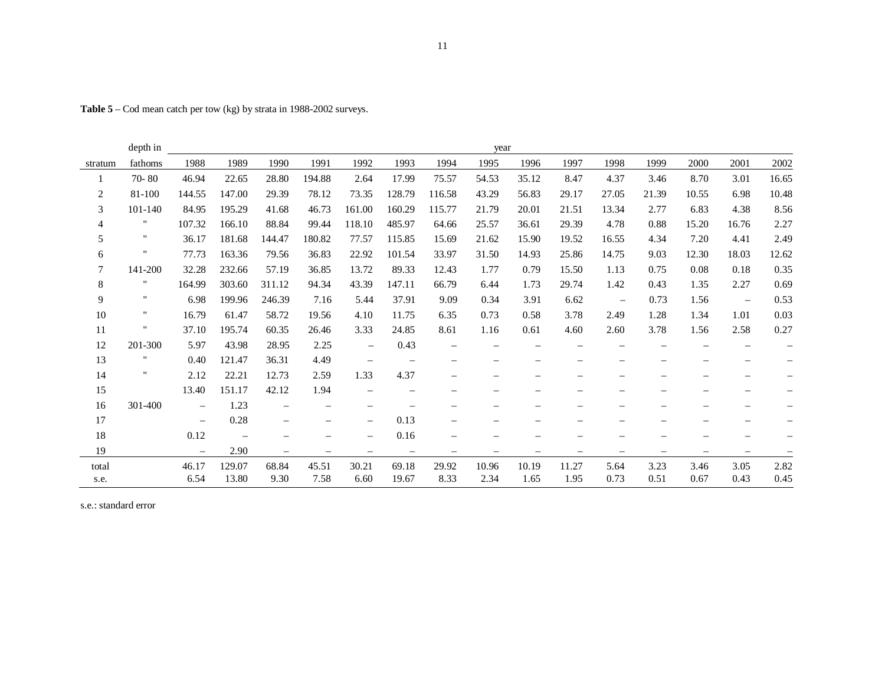**Table 5** – Cod mean catch per tow (kg) by strata in 1988-2002 surveys.

|                | depth in     |                          |                          |                          |        |                          |                   |                   | year                     |       |                          |                          |                          |                          |                          |                          |
|----------------|--------------|--------------------------|--------------------------|--------------------------|--------|--------------------------|-------------------|-------------------|--------------------------|-------|--------------------------|--------------------------|--------------------------|--------------------------|--------------------------|--------------------------|
| stratum        | fathoms      | 1988                     | 1989                     | 1990                     | 1991   | 1992                     | 1993              | 1994              | 1995                     | 1996  | 1997                     | 1998                     | 1999                     | 2000                     | 2001                     | 2002                     |
| 1              | $70 - 80$    | 46.94                    | 22.65                    | 28.80                    | 194.88 | 2.64                     | 17.99             | 75.57             | 54.53                    | 35.12 | 8.47                     | 4.37                     | 3.46                     | 8.70                     | 3.01                     | 16.65                    |
| $\sqrt{2}$     | 81-100       | 144.55                   | 147.00                   | 29.39                    | 78.12  | 73.35                    | 128.79            | 116.58            | 43.29                    | 56.83 | 29.17                    | 27.05                    | 21.39                    | 10.55                    | 6.98                     | 10.48                    |
| 3              | 101-140      | 84.95                    | 195.29                   | 41.68                    | 46.73  | 161.00                   | 160.29            | 115.77            | 21.79                    | 20.01 | 21.51                    | 13.34                    | 2.77                     | 6.83                     | 4.38                     | 8.56                     |
| $\overline{4}$ |              | 107.32                   | 166.10                   | 88.84                    | 99.44  | 118.10                   | 485.97            | 64.66             | 25.57                    | 36.61 | 29.39                    | 4.78                     | 0.88                     | 15.20                    | 16.76                    | 2.27                     |
| 5              | $\mathbf{H}$ | 36.17                    | 181.68                   | 144.47                   | 180.82 | 77.57                    | 115.85            | 15.69             | 21.62                    | 15.90 | 19.52                    | 16.55                    | 4.34                     | 7.20                     | 4.41                     | 2.49                     |
| 6              |              | 77.73                    | 163.36                   | 79.56                    | 36.83  | 22.92                    | 101.54            | 33.97             | 31.50                    | 14.93 | 25.86                    | 14.75                    | 9.03                     | 12.30                    | 18.03                    | 12.62                    |
| $\tau$         | 141-200      | 32.28                    | 232.66                   | 57.19                    | 36.85  | 13.72                    | 89.33             | 12.43             | 1.77                     | 0.79  | 15.50                    | 1.13                     | 0.75                     | 0.08                     | 0.18                     | 0.35                     |
| $\,8\,$        | 11           | 164.99                   | 303.60                   | 311.12                   | 94.34  | 43.39                    | 147.11            | 66.79             | 6.44                     | 1.73  | 29.74                    | 1.42                     | 0.43                     | 1.35                     | 2.27                     | 0.69                     |
| 9              | $\mathbf{H}$ | 6.98                     | 199.96                   | 246.39                   | 7.16   | 5.44                     | 37.91             | 9.09              | 0.34                     | 3.91  | 6.62                     | $\overline{\phantom{m}}$ | 0.73                     | 1.56                     | $\overline{\phantom{a}}$ | 0.53                     |
| $10\,$         | $\mathbf{H}$ | 16.79                    | 61.47                    | 58.72                    | 19.56  | 4.10                     | 11.75             | 6.35              | 0.73                     | 0.58  | 3.78                     | 2.49                     | 1.28                     | 1.34                     | 1.01                     | 0.03                     |
| 11             |              | 37.10                    | 195.74                   | 60.35                    | 26.46  | 3.33                     | 24.85             | 8.61              | 1.16                     | 0.61  | 4.60                     | 2.60                     | 3.78                     | 1.56                     | 2.58                     | 0.27                     |
| 12             | 201-300      | 5.97                     | 43.98                    | 28.95                    | 2.25   | $\overline{\phantom{m}}$ | 0.43              |                   |                          |       |                          |                          |                          |                          |                          | $\overline{\phantom{0}}$ |
| 13             | $\mathbf{H}$ | 0.40                     | 121.47                   | 36.31                    | 4.49   | $\overline{\phantom{m}}$ |                   |                   |                          |       |                          |                          |                          |                          |                          | $\qquad \qquad -$        |
| 14             | $\mathbf{H}$ | 2.12                     | 22.21                    | 12.73                    | 2.59   | 1.33                     | 4.37              | -                 | $\overline{\phantom{m}}$ | -     | –                        |                          | $\qquad \qquad =$        |                          | -                        | $\qquad \qquad -$        |
| 15             |              | 13.40                    | 151.17                   | 42.12                    | 1.94   | $\overline{\phantom{m}}$ |                   |                   |                          |       |                          |                          |                          |                          |                          | $\overline{\phantom{0}}$ |
| 16             | 301-400      | $\overline{\phantom{m}}$ | 1.23                     |                          |        | $\overline{\phantom{m}}$ |                   |                   |                          |       |                          |                          |                          |                          |                          |                          |
| 17             |              | $\overline{\phantom{0}}$ | 0.28                     |                          |        | $\overline{\phantom{m}}$ | 0.13              |                   |                          |       |                          |                          |                          |                          |                          |                          |
| 18             |              | 0.12                     | $\overline{\phantom{m}}$ |                          |        | $\overline{\phantom{m}}$ | 0.16              |                   |                          |       |                          |                          |                          |                          |                          | $\overline{\phantom{m}}$ |
| 19             |              | $\overline{\phantom{m}}$ | 2.90                     | $\overline{\phantom{m}}$ | -      | $\overline{\phantom{m}}$ | $\qquad \qquad -$ | $\qquad \qquad -$ |                          |       | $\overline{\phantom{m}}$ | $\overline{\phantom{m}}$ | $\overline{\phantom{m}}$ | $\overline{\phantom{m}}$ |                          | $\overline{\phantom{0}}$ |
| total          |              | 46.17                    | 129.07                   | 68.84                    | 45.51  | 30.21                    | 69.18             | 29.92             | 10.96                    | 10.19 | 11.27                    | 5.64                     | 3.23                     | 3.46                     | 3.05                     | 2.82                     |
| s.e.           |              | 6.54                     | 13.80                    | 9.30                     | 7.58   | 6.60                     | 19.67             | 8.33              | 2.34                     | 1.65  | 1.95                     | 0.73                     | 0.51                     | 0.67                     | 0.43                     | 0.45                     |

s.e.: standard error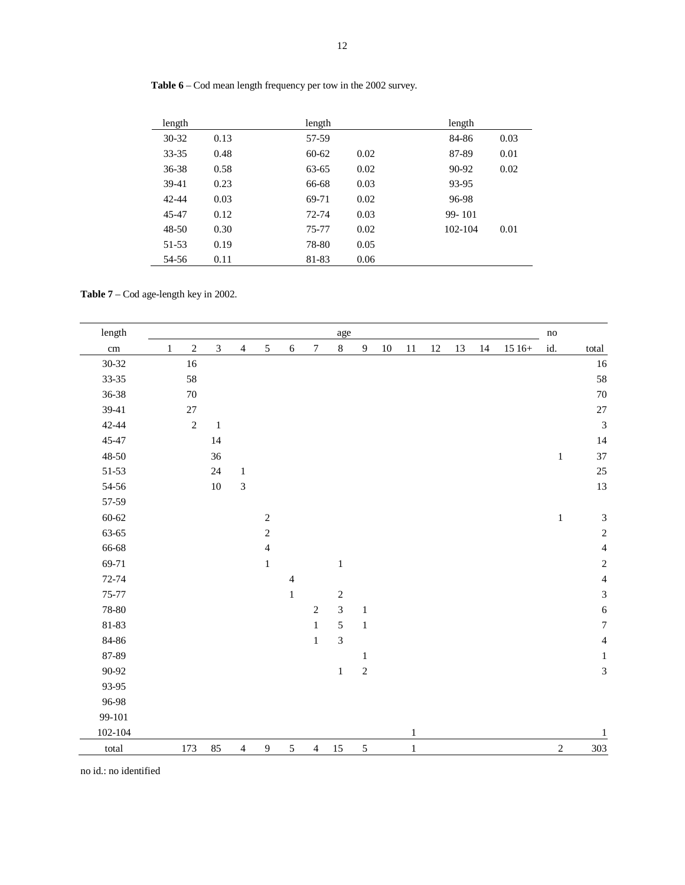| length    |      | length            | length          |
|-----------|------|-------------------|-----------------|
| $30 - 32$ | 0.13 | 57-59             | 84-86<br>0.03   |
| $33 - 35$ | 0.48 | $60 - 62$<br>0.02 | 87-89<br>0.01   |
| $36 - 38$ | 0.58 | 0.02<br>63-65     | 90-92<br>0.02   |
| 39-41     | 0.23 | 0.03<br>66-68     | 93-95           |
| 42-44     | 0.03 | 0.02<br>69-71     | 96-98           |
| 45-47     | 0.12 | 0.03<br>72-74     | 99-101          |
| 48-50     | 0.30 | 0.02<br>75-77     | 102-104<br>0.01 |
| 51-53     | 0.19 | 0.05<br>78-80     |                 |
| 54-56     | 0.11 | 81-83<br>0.06     |                 |

**Table 6** – Cod mean length frequency per tow in the 2002 survey.

**Table 7** – Cod age-length key in 2002.

| $length$        |              |            |                |                |                  |                |                  | age            |              |        |              |    |    |    |         | $\mathbf{no}$ |                  |
|-----------------|--------------|------------|----------------|----------------|------------------|----------------|------------------|----------------|--------------|--------|--------------|----|----|----|---------|---------------|------------------|
| $\,\mathrm{cm}$ | $\mathbf{1}$ | $\sqrt{2}$ | $\overline{3}$ | $\overline{4}$ | 5                | $\sqrt{6}$     | $\boldsymbol{7}$ | $8\,$          | $\mathbf{9}$ | $10\,$ | $11\,$       | 12 | 13 | 14 | $1516+$ | id.           | total            |
| 30-32           |              | 16         |                |                |                  |                |                  |                |              |        |              |    |    |    |         |               | $16\,$           |
| 33-35           |              | 58         |                |                |                  |                |                  |                |              |        |              |    |    |    |         |               | 58               |
| 36-38           |              | $70\,$     |                |                |                  |                |                  |                |              |        |              |    |    |    |         |               | 70               |
| 39-41           |              | 27         |                |                |                  |                |                  |                |              |        |              |    |    |    |         |               | 27               |
| 42-44           |              | $\sqrt{2}$ | $\,1\,$        |                |                  |                |                  |                |              |        |              |    |    |    |         |               | $\overline{3}$   |
| 45-47           |              |            | 14             |                |                  |                |                  |                |              |        |              |    |    |    |         |               | 14               |
| 48-50           |              |            | 36             |                |                  |                |                  |                |              |        |              |    |    |    |         | $\,1\,$       | 37               |
| $51 - 53$       |              |            | 24             | $\mathbf 1$    |                  |                |                  |                |              |        |              |    |    |    |         |               | 25               |
| 54-56           |              |            | $10\,$         | $\mathfrak{Z}$ |                  |                |                  |                |              |        |              |    |    |    |         |               | 13               |
| 57-59           |              |            |                |                |                  |                |                  |                |              |        |              |    |    |    |         |               |                  |
| $60 - 62$       |              |            |                |                | $\sqrt{2}$       |                |                  |                |              |        |              |    |    |    |         | $\,1\,$       | $\sqrt{3}$       |
| 63-65           |              |            |                |                | $\sqrt{2}$       |                |                  |                |              |        |              |    |    |    |         |               | $\sqrt{2}$       |
| 66-68           |              |            |                |                | $\overline{4}$   |                |                  |                |              |        |              |    |    |    |         |               | $\overline{4}$   |
| 69-71           |              |            |                |                | $\mathbf 1$      |                |                  | $\,1$          |              |        |              |    |    |    |         |               | $\sqrt{2}$       |
| 72-74           |              |            |                |                |                  | $\overline{4}$ |                  |                |              |        |              |    |    |    |         |               | $\overline{4}$   |
| 75-77           |              |            |                |                |                  | $\mathbf{1}$   |                  | $\sqrt{2}$     |              |        |              |    |    |    |         |               | $\mathfrak{Z}$   |
| 78-80           |              |            |                |                |                  |                | $\sqrt{2}$       | 3              | $\mathbf{1}$ |        |              |    |    |    |         |               | $\sqrt{6}$       |
| 81-83           |              |            |                |                |                  |                | $\mathbf{1}$     | 5              | $\mathbf 1$  |        |              |    |    |    |         |               | $\boldsymbol{7}$ |
| 84-86           |              |            |                |                |                  |                | $\mathbf{1}$     | $\mathfrak{Z}$ |              |        |              |    |    |    |         |               | $\overline{4}$   |
| 87-89           |              |            |                |                |                  |                |                  |                | $\mathbf{1}$ |        |              |    |    |    |         |               | $\mathbf{1}$     |
| 90-92           |              |            |                |                |                  |                |                  | $\mathbf{1}$   | $\sqrt{2}$   |        |              |    |    |    |         |               | $\overline{3}$   |
| 93-95           |              |            |                |                |                  |                |                  |                |              |        |              |    |    |    |         |               |                  |
| 96-98           |              |            |                |                |                  |                |                  |                |              |        |              |    |    |    |         |               |                  |
| 99-101          |              |            |                |                |                  |                |                  |                |              |        |              |    |    |    |         |               |                  |
| $102 - 104$     |              |            |                |                |                  |                |                  |                |              |        | $\mathbf{1}$ |    |    |    |         |               | $\mathbf{1}$     |
| total           |              | 173        | 85             | $\overline{4}$ | $\boldsymbol{9}$ | $\sqrt{5}$     | $\overline{4}$   | $15\,$         | $\sqrt{5}$   |        | $\,1$        |    |    |    |         | $\sqrt{2}$    | $303\,$          |

no id.: no identified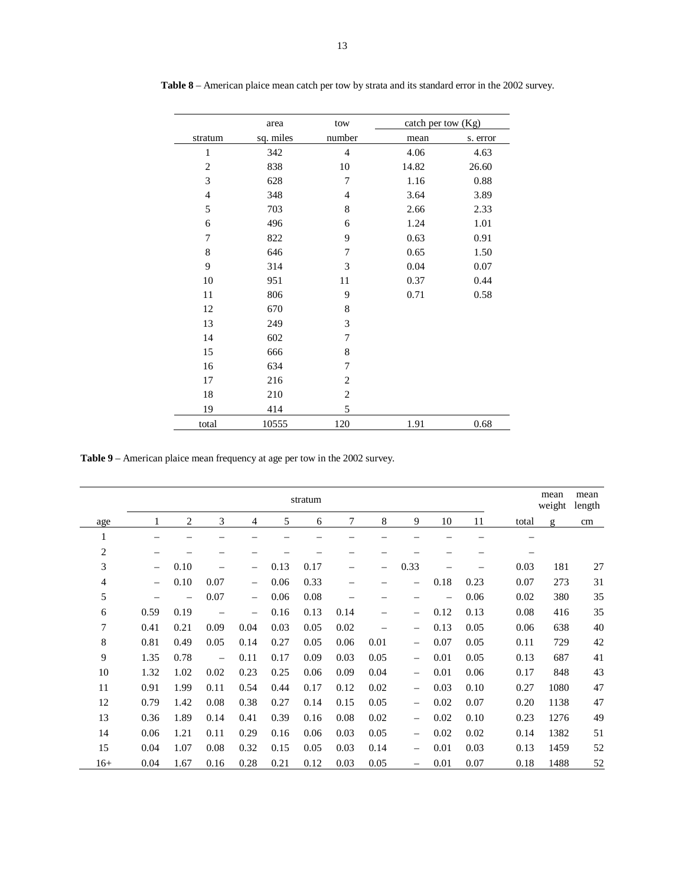|                | area      | tow            | catch per tow $(Kg)$ |          |
|----------------|-----------|----------------|----------------------|----------|
| stratum        | sq. miles | number         | mean                 | s. error |
| $\mathbf{1}$   | 342       | $\overline{4}$ | 4.06                 | 4.63     |
| $\overline{2}$ | 838       | 10             | 14.82                | 26.60    |
| 3              | 628       | 7              | 1.16                 | 0.88     |
| $\overline{4}$ | 348       | $\overline{4}$ | 3.64                 | 3.89     |
| 5              | 703       | 8              | 2.66                 | 2.33     |
| 6              | 496       | 6              | 1.24                 | 1.01     |
| 7              | 822       | 9              | 0.63                 | 0.91     |
| 8              | 646       | 7              | 0.65                 | 1.50     |
| 9              | 314       | 3              | 0.04                 | 0.07     |
| 10             | 951       | 11             | 0.37                 | 0.44     |
| 11             | 806       | 9              | 0.71                 | 0.58     |
| 12             | 670       | 8              |                      |          |
| 13             | 249       | 3              |                      |          |
| 14             | 602       | 7              |                      |          |
| 15             | 666       | 8              |                      |          |
| 16             | 634       | 7              |                      |          |
| 17             | 216       | $\overline{2}$ |                      |          |
| 18             | 210       | $\mathbf{2}$   |                      |          |
| 19             | 414       | 5              |                      |          |
| total          | 10555     | 120            | 1.91                 | 0.68     |

**Table 8** – American plaice mean catch per tow by strata and its standard error in the 2002 survey.

**Table 9** – American plaice mean frequency at age per tow in the 2002 survey.

|                         |                          |      |                          |                          |      | stratum |      |      |                                |      |      |       | mean<br>weight | mean<br>length |
|-------------------------|--------------------------|------|--------------------------|--------------------------|------|---------|------|------|--------------------------------|------|------|-------|----------------|----------------|
| age                     |                          | 2    | 3                        | 4                        | 5    | 6       | 7    | 8    | 9                              | 10   | 11   | total | g              | cm             |
| 1                       |                          |      |                          |                          |      |         |      |      |                                |      |      |       |                |                |
| $\overline{\mathbf{c}}$ |                          |      |                          |                          |      |         |      |      |                                |      |      |       |                |                |
| 3                       | $\qquad \qquad -$        | 0.10 |                          | $\overline{\phantom{m}}$ | 0.13 | 0.17    |      |      | 0.33                           |      |      | 0.03  | 181            | 27             |
| 4                       | $\overline{\phantom{m}}$ | 0.10 | 0.07                     | $\overline{\phantom{m}}$ | 0.06 | 0.33    |      |      |                                | 0.18 | 0.23 | 0.07  | 273            | 31             |
| 5                       |                          |      | 0.07                     | $\overline{\phantom{m}}$ | 0.06 | 0.08    |      |      |                                | —    | 0.06 | 0.02  | 380            | 35             |
| 6                       | 0.59                     | 0.19 |                          | $\overline{\phantom{m}}$ | 0.16 | 0.13    | 0.14 |      | $\overline{\phantom{m}}$       | 0.12 | 0.13 | 0.08  | 416            | 35             |
| 7                       | 0.41                     | 0.21 | 0.09                     | 0.04                     | 0.03 | 0.05    | 0.02 |      | $\overline{\phantom{m}}$       | 0.13 | 0.05 | 0.06  | 638            | 40             |
| 8                       | 0.81                     | 0.49 | 0.05                     | 0.14                     | 0.27 | 0.05    | 0.06 | 0.01 |                                | 0.07 | 0.05 | 0.11  | 729            | 42             |
| 9                       | 1.35                     | 0.78 | $\overline{\phantom{0}}$ | 0.11                     | 0.17 | 0.09    | 0.03 | 0.05 | $\qquad \qquad -$              | 0.01 | 0.05 | 0.13  | 687            | 41             |
| 10                      | 1.32                     | 1.02 | 0.02                     | 0.23                     | 0.25 | 0.06    | 0.09 | 0.04 | $\qquad \qquad \longleftarrow$ | 0.01 | 0.06 | 0.17  | 848            | 43             |
| 11                      | 0.91                     | 1.99 | 0.11                     | 0.54                     | 0.44 | 0.17    | 0.12 | 0.02 |                                | 0.03 | 0.10 | 0.27  | 1080           | 47             |
| 12                      | 0.79                     | 1.42 | 0.08                     | 0.38                     | 0.27 | 0.14    | 0.15 | 0.05 |                                | 0.02 | 0.07 | 0.20  | 1138           | 47             |
| 13                      | 0.36                     | 1.89 | 0.14                     | 0.41                     | 0.39 | 0.16    | 0.08 | 0.02 | $\qquad \qquad -$              | 0.02 | 0.10 | 0.23  | 1276           | 49             |
| 14                      | 0.06                     | 1.21 | 0.11                     | 0.29                     | 0.16 | 0.06    | 0.03 | 0.05 | $\qquad \qquad -$              | 0.02 | 0.02 | 0.14  | 1382           | 51             |
| 15                      | 0.04                     | 1.07 | 0.08                     | 0.32                     | 0.15 | 0.05    | 0.03 | 0.14 |                                | 0.01 | 0.03 | 0.13  | 1459           | 52             |
| $16+$                   | 0.04                     | 1.67 | 0.16                     | 0.28                     | 0.21 | 0.12    | 0.03 | 0.05 | $\qquad \qquad -$              | 0.01 | 0.07 | 0.18  | 1488           | 52             |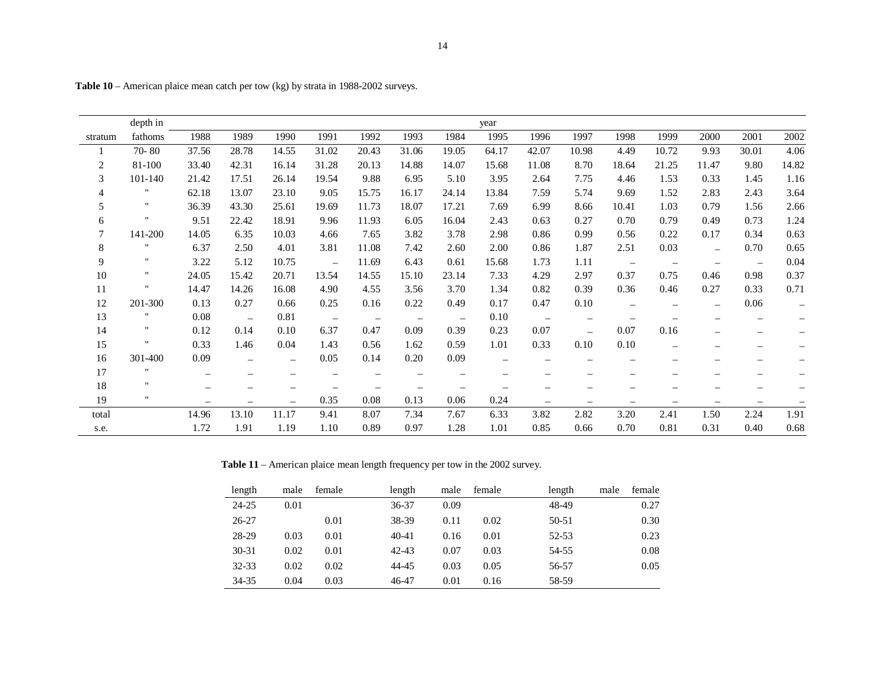|                | depth in           |                          |          |                   |                          |                          |                          |                   | year  |                   |                          |                          |                          |                          |                          |                          |
|----------------|--------------------|--------------------------|----------|-------------------|--------------------------|--------------------------|--------------------------|-------------------|-------|-------------------|--------------------------|--------------------------|--------------------------|--------------------------|--------------------------|--------------------------|
| stratum        | fathoms            | 1988                     | 1989     | 1990              | 1991                     | 1992                     | 1993                     | 1984              | 1995  | 1996              | 1997                     | 1998                     | 1999                     | 2000                     | 2001                     | 2002                     |
|                | $70 - 80$          | 37.56                    | 28.78    | 14.55             | 31.02                    | 20.43                    | 31.06                    | 19.05             | 64.17 | 42.07             | 10.98                    | 4.49                     | 10.72                    | 9.93                     | 30.01                    | 4.06                     |
| $\overline{c}$ | 81-100             | 33.40                    | 42.31    | 16.14             | 31.28                    | 20.13                    | 14.88                    | 14.07             | 15.68 | 11.08             | 8.70                     | 18.64                    | 21.25                    | 11.47                    | 9.80                     | 14.82                    |
| 3              | 101-140            | 21.42                    | 17.51    | 26.14             | 19.54                    | 9.88                     | 6.95                     | 5.10              | 3.95  | 2.64              | 7.75                     | 4.46                     | 1.53                     | 0.33                     | 1.45                     | 1.16                     |
|                | "                  | 62.18                    | 13.07    | 23.10             | 9.05                     | 15.75                    | 16.17                    | 24.14             | 13.84 | 7.59              | 5.74                     | 9.69                     | 1.52                     | 2.83                     | 2.43                     | 3.64                     |
| 5              | $\mathbf{H}$       | 36.39                    | 43.30    | 25.61             | 19.69                    | 11.73                    | 18.07                    | 17.21             | 7.69  | 6.99              | 8.66                     | 10.41                    | 1.03                     | 0.79                     | 1.56                     | 2.66                     |
| 6              | $\pmb{\cdots}$     | 9.51                     | 22.42    | 18.91             | 9.96                     | 11.93                    | 6.05                     | 16.04             | 2.43  | 0.63              | 0.27                     | 0.70                     | 0.79                     | 0.49                     | 0.73                     | 1.24                     |
| 7              | 141-200            | 14.05                    | 6.35     | 10.03             | 4.66                     | 7.65                     | 3.82                     | 3.78              | 2.98  | 0.86              | 0.99                     | 0.56                     | 0.22                     | 0.17                     | 0.34                     | 0.63                     |
| $\,8\,$        | $\blacksquare$     | 6.37                     | 2.50     | 4.01              | 3.81                     | 11.08                    | 7.42                     | 2.60              | 2.00  | 0.86              | 1.87                     | 2.51                     | 0.03                     |                          | 0.70                     | 0.65                     |
| 9              | $\mathbf{H}$       | 3.22                     | 5.12     | 10.75             | $\overline{\phantom{m}}$ | 11.69                    | 6.43                     | 0.61              | 15.68 | 1.73              | 1.11                     | $\overline{\phantom{a}}$ | $\overline{\phantom{m}}$ | $\qquad \qquad -$        | $\overline{\phantom{m}}$ | 0.04                     |
| 10             | $\pmb{\mathsf{H}}$ | 24.05                    | 15.42    | 20.71             | 13.54                    | 14.55                    | 15.10                    | 23.14             | 7.33  | 4.29              | 2.97                     | 0.37                     | 0.75                     | 0.46                     | 0.98                     | 0.37                     |
| 11             | $\pmb{\cdots}$     | 14.47                    | 14.26    | 16.08             | 4.90                     | 4.55                     | 3.56                     | 3.70              | 1.34  | 0.82              | 0.39                     | 0.36                     | 0.46                     | 0.27                     | 0.33                     | 0.71                     |
| 12             | 201-300            | 0.13                     | 0.27     | 0.66              | 0.25                     | 0.16                     | 0.22                     | 0.49              | 0.17  | 0.47              | 0.10                     | $\overline{\phantom{m}}$ | $\qquad \qquad -$        | $\qquad \qquad -$        | 0.06                     | $\overline{\phantom{m}}$ |
| 13             | .,                 | 0.08                     | $\equiv$ | 0.81              | $\overline{\phantom{m}}$ | $\overline{\phantom{m}}$ | $\overline{\phantom{m}}$ | $\qquad \qquad -$ | 0.10  | $\equiv$          | $\qquad \qquad -$        |                          |                          |                          |                          |                          |
| 14             | 11                 | 0.12                     | 0.14     | 0.10              | 6.37                     | 0.47                     | 0.09                     | 0.39              | 0.23  | 0.07              | $\overline{\phantom{0}}$ | 0.07                     | 0.16                     | $\equiv$                 | $\overline{\phantom{m}}$ |                          |
| 15             | $\pmb{\mathsf{H}}$ | 0.33                     | 1.46     | 0.04              | 1.43                     | 0.56                     | 1.62                     | 0.59              | 1.01  | 0.33              | 0.10                     | 0.10                     |                          |                          |                          |                          |
| 16             | 301-400            | 0.09                     |          | $\qquad \qquad -$ | 0.05                     | 0.14                     | 0.20                     | 0.09              |       |                   |                          |                          |                          |                          |                          |                          |
| 17             | .,                 | $\overline{\phantom{m}}$ |          |                   |                          |                          |                          |                   |       |                   |                          |                          |                          |                          |                          |                          |
| 18             | $\mathbf{H}$       | $\overline{\phantom{0}}$ |          |                   |                          |                          |                          |                   |       |                   |                          |                          |                          |                          |                          |                          |
| 19             | $\mathbf{H}$       | $\qquad \qquad -$        |          |                   | 0.35                     | 0.08                     | 0.13                     | 0.06              | 0.24  | $\qquad \qquad -$ | $\qquad \qquad -$        |                          | $\overline{\phantom{0}}$ | $\overline{\phantom{m}}$ |                          |                          |
| total          |                    | 14.96                    | 13.10    | 11.17             | 9.41                     | 8.07                     | 7.34                     | 7.67              | 6.33  | 3.82              | 2.82                     | 3.20                     | 2.41                     | 1.50                     | 2.24                     | 1.91                     |
| s.e.           |                    | 1.72                     | 1.91     | 1.19              | 1.10                     | 0.89                     | 0.97                     | 1.28              | 1.01  | 0.85              | 0.66                     | 0.70                     | 0.81                     | 0.31                     | 0.40                     | 0.68                     |

**Table 10** – American plaice mean catch per tow (kg) by strata in 1988-2002 surveys.

**Table 11** – American plaice mean length frequency per tow in the 2002 survey.

| length    | male | female | length    | male | female | length | male | female |
|-----------|------|--------|-----------|------|--------|--------|------|--------|
| $24 - 25$ | 0.01 |        | 36-37     | 0.09 |        | 48-49  |      | 0.27   |
| $26 - 27$ |      | 0.01   | 38-39     | 0.11 | 0.02   | 50-51  |      | 0.30   |
| 28-29     | 0.03 | 0.01   | $40 - 41$ | 0.16 | 0.01   | 52-53  |      | 0.23   |
| $30 - 31$ | 0.02 | 0.01   | $42 - 43$ | 0.07 | 0.03   | 54-55  |      | 0.08   |
| 32-33     | 0.02 | 0.02   | 44-45     | 0.03 | 0.05   | 56-57  |      | 0.05   |
| 34-35     | 0.04 | 0.03   | 46-47     | 0.01 | 0.16   | 58-59  |      |        |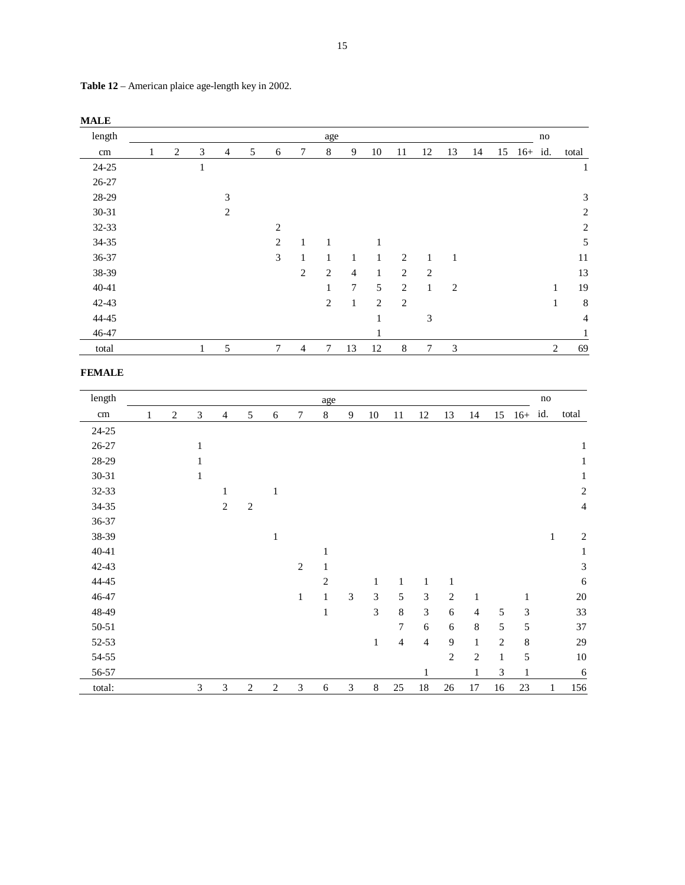| <b>MALE</b> |   |                |   |                |   |                |              |                |                |              |                |                |    |    |            |                |                |
|-------------|---|----------------|---|----------------|---|----------------|--------------|----------------|----------------|--------------|----------------|----------------|----|----|------------|----------------|----------------|
| length      |   |                |   |                |   |                |              | age            |                |              |                |                |    |    |            | no             |                |
| cm          | 1 | $\overline{2}$ | 3 | 4              | 5 | 6              | 7            | $\,$ 8 $\,$    | 9              | 10           | 11             | 12             | 13 | 14 | 15 16+ id. |                | total          |
| $24 - 25$   |   |                | T |                |   |                |              |                |                |              |                |                |    |    |            |                | $\mathbf{1}$   |
| $26 - 27$   |   |                |   |                |   |                |              |                |                |              |                |                |    |    |            |                |                |
| 28-29       |   |                |   | 3              |   |                |              |                |                |              |                |                |    |    |            |                | 3              |
| 30-31       |   |                |   | $\overline{c}$ |   |                |              |                |                |              |                |                |    |    |            |                | $\mathfrak{2}$ |
| 32-33       |   |                |   |                |   | $\overline{2}$ |              |                |                |              |                |                |    |    |            |                | $\sqrt{2}$     |
| 34-35       |   |                |   |                |   | 2              | $\mathbf{1}$ | 1              |                | 1            |                |                |    |    |            |                | 5              |
| 36-37       |   |                |   |                |   | 3              | 1            | $\mathbf{1}$   | $\mathbf{1}$   | $\mathbf{1}$ | $\overline{2}$ | $\mathbf{1}$   | 1  |    |            |                | 11             |
| 38-39       |   |                |   |                |   |                | $\mathbf{2}$ | $\overline{c}$ | $\overline{4}$ | $\mathbf{1}$ | $\mathfrak{2}$ | $\overline{c}$ |    |    |            |                | 13             |
| 40-41       |   |                |   |                |   |                |              | 1              | $\tau$         | 5            | $\overline{c}$ | 1              | 2  |    |            | 1              | 19             |
| 42-43       |   |                |   |                |   |                |              | $\mathbf{2}$   | $\mathbf{1}$   | 2            | $\overline{2}$ |                |    |    |            | 1              | $\,$ 8 $\,$    |
| 44-45       |   |                |   |                |   |                |              |                |                | 1            |                | 3              |    |    |            |                | $\overline{4}$ |
| 46-47       |   |                |   |                |   |                |              |                |                | 1            |                |                |    |    |            |                |                |
| total       |   |                | T | 5              |   | 7              | 4            | 7              | 13             | 12           | 8              | 7              | 3  |    |            | $\overline{c}$ | 69             |

**Table 12** – American plaice age-length key in 2002.

| length    |   |              |   |                |                |                |                | age            |   |              |                |              |                |                |                             |              | $\rm no$     |                             |
|-----------|---|--------------|---|----------------|----------------|----------------|----------------|----------------|---|--------------|----------------|--------------|----------------|----------------|-----------------------------|--------------|--------------|-----------------------------|
| cm        | 1 | $\mathbf{2}$ | 3 | $\overline{4}$ | 5              | 6              | 7              | $\,8\,$        | 9 | $10\,$       | 11             | 12           | 13             | 14             | 15                          | $16+$        | id.          | total                       |
| $24 - 25$ |   |              |   |                |                |                |                |                |   |              |                |              |                |                |                             |              |              |                             |
| 26-27     |   |              | 1 |                |                |                |                |                |   |              |                |              |                |                |                             |              |              | 1                           |
| 28-29     |   |              |   |                |                |                |                |                |   |              |                |              |                |                |                             |              |              | 1                           |
| 30-31     |   |              | 1 |                |                |                |                |                |   |              |                |              |                |                |                             |              |              | 1                           |
| 32-33     |   |              |   | 1              |                | 1              |                |                |   |              |                |              |                |                |                             |              |              | $\overline{c}$              |
| 34-35     |   |              |   | $\overline{c}$ | $\mathfrak{2}$ |                |                |                |   |              |                |              |                |                |                             |              |              | 4                           |
| 36-37     |   |              |   |                |                |                |                |                |   |              |                |              |                |                |                             |              |              |                             |
| 38-39     |   |              |   |                |                | 1              |                |                |   |              |                |              |                |                |                             |              | $\mathbf{1}$ | $\boldsymbol{2}$            |
| $40 - 41$ |   |              |   |                |                |                |                | $\mathbf{1}$   |   |              |                |              |                |                |                             |              |              | 1                           |
| 42-43     |   |              |   |                |                |                | $\mathfrak{2}$ | 1              |   |              |                |              |                |                |                             |              |              | $\ensuremath{\mathfrak{Z}}$ |
| 44-45     |   |              |   |                |                |                |                | $\overline{2}$ |   | $\mathbf{1}$ | $\mathbf{1}$   | $\mathbf{1}$ | $\mathbf{1}$   |                |                             |              |              | 6                           |
| 46-47     |   |              |   |                |                |                | $\mathbf{1}$   | $\mathbf{1}$   | 3 | 3            | 5              | 3            | $\mathbf{2}$   | 1              |                             | 1            |              | 20                          |
| 48-49     |   |              |   |                |                |                |                | 1              |   | 3            | 8              | 3            | 6              | $\overline{4}$ | 5                           | 3            |              | 33                          |
| 50-51     |   |              |   |                |                |                |                |                |   |              | 7              | 6            | 6              | $\,8\,$        | 5                           | 5            |              | 37                          |
| 52-53     |   |              |   |                |                |                |                |                |   | $\mathbf{1}$ | $\overline{4}$ | 4            | $\overline{9}$ | $\,1$          | $\mathfrak{2}$              | $\,$ 8 $\,$  |              | 29                          |
| 54-55     |   |              |   |                |                |                |                |                |   |              |                |              | $\overline{2}$ | $\overline{2}$ | $\mathbf{1}$                | 5            |              | 10                          |
| 56-57     |   |              |   |                |                |                |                |                |   |              |                |              |                | $\mathbf{1}$   | $\ensuremath{\mathfrak{Z}}$ | $\mathbf{1}$ |              | 6                           |
| total:    |   |              | 3 | 3              | 2              | $\overline{c}$ | 3              | 6              | 3 | 8            | 25             | 18           | 26             | 17             | 16                          | 23           | 1            | 156                         |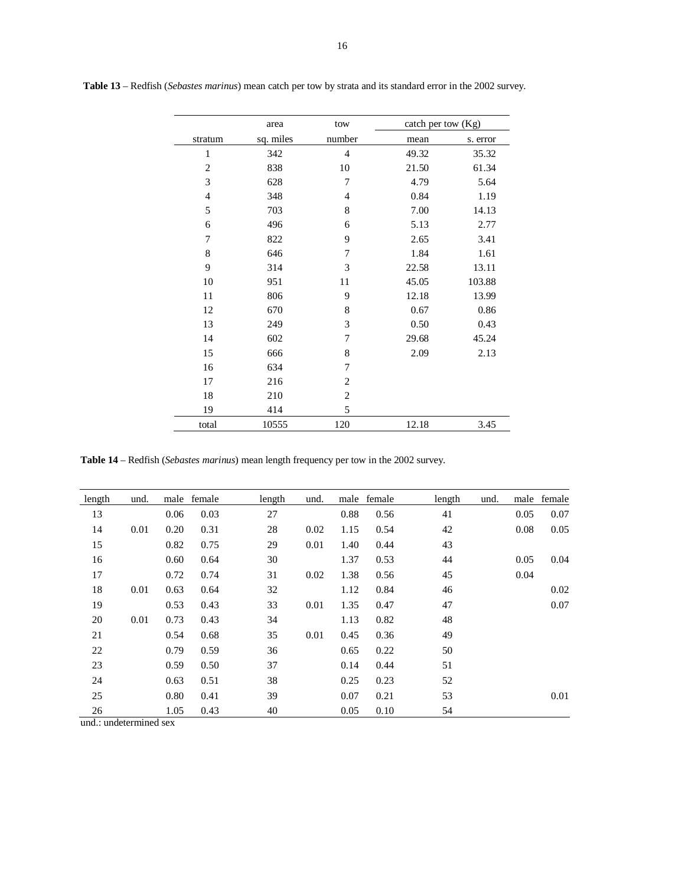|                | area      | tow            | catch per tow (Kg) |          |
|----------------|-----------|----------------|--------------------|----------|
| stratum        | sq. miles | number         | mean               | s. error |
| $\mathbf{1}$   | 342       | $\overline{4}$ | 49.32              | 35.32    |
| $\overline{2}$ | 838       | 10             | 21.50              | 61.34    |
| 3              | 628       | 7              | 4.79               | 5.64     |
| $\overline{4}$ | 348       | $\overline{4}$ | 0.84               | 1.19     |
| 5              | 703       | 8              | 7.00               | 14.13    |
| 6              | 496       | 6              | 5.13               | 2.77     |
| 7              | 822       | 9              | 2.65               | 3.41     |
| 8              | 646       | 7              | 1.84               | 1.61     |
| 9              | 314       | 3              | 22.58              | 13.11    |
| 10             | 951       | 11             | 45.05              | 103.88   |
| 11             | 806       | 9              | 12.18              | 13.99    |
| 12             | 670       | 8              | 0.67               | 0.86     |
| 13             | 249       | 3              | 0.50               | 0.43     |
| 14             | 602       | 7              | 29.68              | 45.24    |
| 15             | 666       | 8              | 2.09               | 2.13     |
| 16             | 634       | 7              |                    |          |
| 17             | 216       | $\overline{2}$ |                    |          |
| 18             | 210       | $\mathfrak{2}$ |                    |          |
| 19             | 414       | 5              |                    |          |
| total          | 10555     | 120            | 12.18              | 3.45     |

 **Table 13** – Redfish (*Sebastes marinus*) mean catch per tow by strata and its standard error in the 2002 survey.

**Table 14** – Redfish (*Sebastes marinus*) mean length frequency per tow in the 2002 survey.

| length | und. |      | male female | length | und. |      | male female | length | und. |      | male female |
|--------|------|------|-------------|--------|------|------|-------------|--------|------|------|-------------|
| 13     |      | 0.06 | 0.03        | 27     |      | 0.88 | 0.56        | 41     |      | 0.05 | 0.07        |
| 14     | 0.01 | 0.20 | 0.31        | 28     | 0.02 | 1.15 | 0.54        | 42     |      | 0.08 | 0.05        |
| 15     |      | 0.82 | 0.75        | 29     | 0.01 | 1.40 | 0.44        | 43     |      |      |             |
| 16     |      | 0.60 | 0.64        | 30     |      | 1.37 | 0.53        | 44     |      | 0.05 | 0.04        |
| 17     |      | 0.72 | 0.74        | 31     | 0.02 | 1.38 | 0.56        | 45     |      | 0.04 |             |
| 18     | 0.01 | 0.63 | 0.64        | 32     |      | 1.12 | 0.84        | 46     |      |      | 0.02        |
| 19     |      | 0.53 | 0.43        | 33     | 0.01 | 1.35 | 0.47        | 47     |      |      | 0.07        |
| 20     | 0.01 | 0.73 | 0.43        | 34     |      | 1.13 | 0.82        | 48     |      |      |             |
| 21     |      | 0.54 | 0.68        | 35     | 0.01 | 0.45 | 0.36        | 49     |      |      |             |
| 22     |      | 0.79 | 0.59        | 36     |      | 0.65 | 0.22        | 50     |      |      |             |
| 23     |      | 0.59 | 0.50        | 37     |      | 0.14 | 0.44        | 51     |      |      |             |
| 24     |      | 0.63 | 0.51        | 38     |      | 0.25 | 0.23        | 52     |      |      |             |
| 25     |      | 0.80 | 0.41        | 39     |      | 0.07 | 0.21        | 53     |      |      | 0.01        |
| 26     |      | 1.05 | 0.43        | 40     |      | 0.05 | 0.10        | 54     |      |      |             |

und.: undetermined sex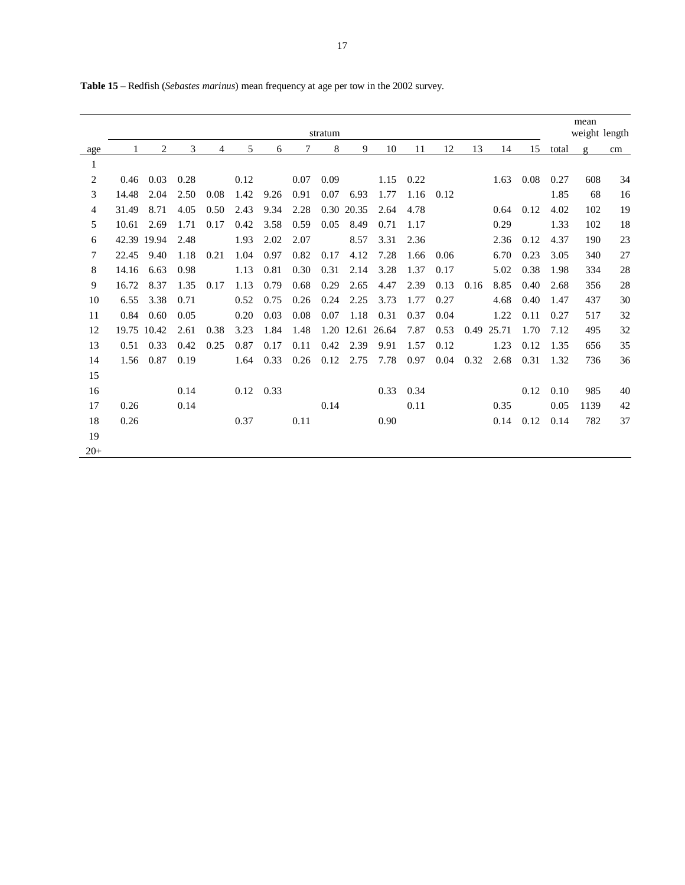|                |             |      |      |      |      |                   |      | stratum |            |                  |      |      |      |       |                   |       | mean<br>weight length |    |
|----------------|-------------|------|------|------|------|-------------------|------|---------|------------|------------------|------|------|------|-------|-------------------|-------|-----------------------|----|
| age            |             | 2    | 3    | 4    | 5    | 6                 | 7    | 8       | 9          | 10               | 11   | 12   | 13   | 14    | 15                | total | $\mathbf{g}$          | cm |
| $\mathbf{1}$   |             |      |      |      |      |                   |      |         |            |                  |      |      |      |       |                   |       |                       |    |
| 2              | 0.46        | 0.03 | 0.28 |      | 0.12 |                   | 0.07 | 0.09    |            | 1.15             | 0.22 |      |      |       | $1.63 \quad 0.08$ | 0.27  | 608                   | 34 |
| 3              | 14.48       | 2.04 | 2.50 | 0.08 | 1.42 | 9.26              | 0.91 | 0.07    | 6.93       | 1.77             | 1.16 | 0.12 |      |       |                   | 1.85  | 68                    | 16 |
| $\overline{4}$ | 31.49       | 8.71 | 4.05 | 0.50 | 2.43 | 9.34              | 2.28 |         | 0.30 20.35 | 2.64             | 4.78 |      |      | 0.64  | 0.12              | 4.02  | 102                   | 19 |
| 5              | 10.61       | 2.69 | 1.71 | 0.17 | 0.42 | 3.58              | 0.59 | 0.05    | 8.49       | 0.71             | 1.17 |      |      | 0.29  |                   | 1.33  | 102                   | 18 |
| 6              | 42.39 19.94 |      | 2.48 |      | 1.93 | 2.02              | 2.07 |         | 8.57       | 3.31             | 2.36 |      |      | 2.36  | 0.12              | 4.37  | 190                   | 23 |
| $\tau$         | 22.45       | 9.40 | 1.18 | 0.21 | 1.04 | 0.97              | 0.82 | 0.17    | 4.12       | 7.28             | 1.66 | 0.06 |      | 6.70  | 0.23              | 3.05  | 340                   | 27 |
| 8              | 14.16       | 6.63 | 0.98 |      | 1.13 | 0.81              | 0.30 | 0.31    | 2.14       | 3.28             | 1.37 | 0.17 |      | 5.02  | 0.38              | 1.98  | 334                   | 28 |
| 9              | 16.72       | 8.37 | 1.35 | 0.17 | 1.13 | 0.79              | 0.68 | 0.29    | 2.65       | 4.47             | 2.39 | 0.13 | 0.16 | 8.85  | 0.40              | 2.68  | 356                   | 28 |
| 10             | 6.55        | 3.38 | 0.71 |      | 0.52 | 0.75              | 0.26 | 0.24    | 2.25       | 3.73             | 1.77 | 0.27 |      | 4.68  | 0.40              | 1.47  | 437                   | 30 |
| 11             | 0.84        | 0.60 | 0.05 |      | 0.20 | 0.03              | 0.08 | 0.07    | 1.18       | 0.31             | 0.37 | 0.04 |      | 1.22  | 0.11              | 0.27  | 517                   | 32 |
| 12             | 19.75 10.42 |      | 2.61 | 0.38 | 3.23 | 1.84              | 1.48 |         |            | 1.20 12.61 26.64 | 7.87 | 0.53 | 0.49 | 25.71 | 1.70              | 7.12  | 495                   | 32 |
| 13             | 0.51        | 0.33 | 0.42 | 0.25 | 0.87 | 0.17              | 0.11 | 0.42    | 2.39       | 9.91             | 1.57 | 0.12 |      | 1.23  | 0.12              | 1.35  | 656                   | 35 |
| 14             | 1.56        | 0.87 | 0.19 |      | 1.64 | 0.33              | 0.26 | 0.12    | 2.75       | 7.78             | 0.97 | 0.04 | 0.32 | 2.68  | 0.31              | 1.32  | 736                   | 36 |
| 15             |             |      |      |      |      |                   |      |         |            |                  |      |      |      |       |                   |       |                       |    |
| 16             |             |      | 0.14 |      |      | $0.12 \quad 0.33$ |      |         |            | 0.33             | 0.34 |      |      |       | 0.12              | 0.10  | 985                   | 40 |
| 17             | 0.26        |      | 0.14 |      |      |                   |      | 0.14    |            |                  | 0.11 |      |      | 0.35  |                   | 0.05  | 1139                  | 42 |
| 18             | 0.26        |      |      |      | 0.37 |                   | 0.11 |         |            | 0.90             |      |      |      | 0.14  | 0.12              | 0.14  | 782                   | 37 |
| 19             |             |      |      |      |      |                   |      |         |            |                  |      |      |      |       |                   |       |                       |    |
| $20+$          |             |      |      |      |      |                   |      |         |            |                  |      |      |      |       |                   |       |                       |    |

**Table 15** – Redfish (*Sebastes marinus*) mean frequency at age per tow in the 2002 survey.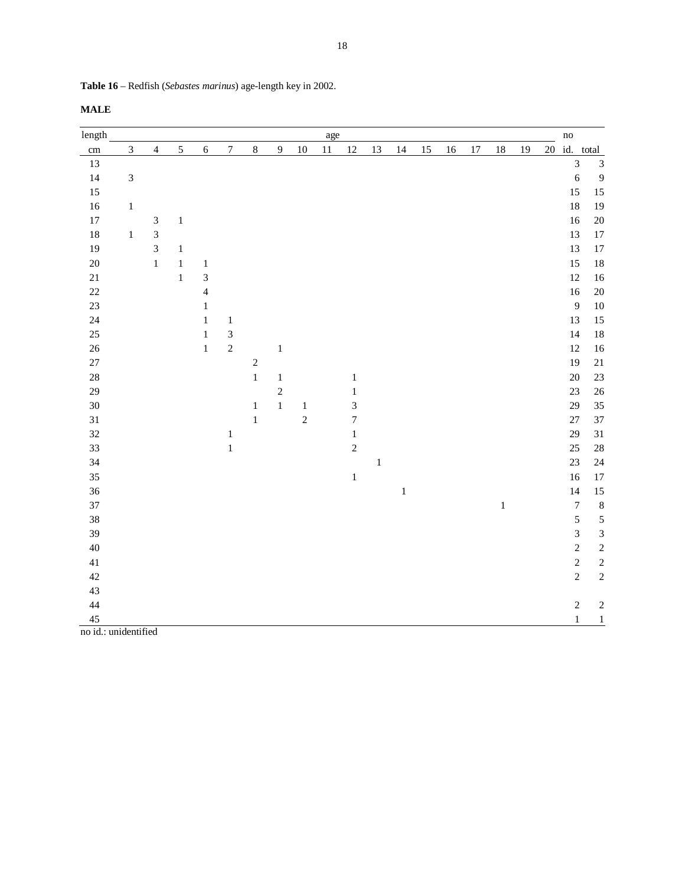| length     |              |                             |              |              |                  |              |                |            | age    |                  |              |              |    |    |        |              |    |    | $\mathbf{no}$               |                |
|------------|--------------|-----------------------------|--------------|--------------|------------------|--------------|----------------|------------|--------|------------------|--------------|--------------|----|----|--------|--------------|----|----|-----------------------------|----------------|
| $\,\rm cm$ | 3            | $\overline{4}$              | $\sqrt{5}$   | $\sqrt{6}$   | $\boldsymbol{7}$ | $\,8\,$      | $\overline{9}$ | $10\,$     | $11\,$ | 12               | 13           | 14           | 15 | 16 | $17\,$ | $18\,$       | 19 | 20 | id. total                   |                |
| 13         |              |                             |              |              |                  |              |                |            |        |                  |              |              |    |    |        |              |    |    | $\ensuremath{\mathfrak{Z}}$ | 3              |
| 14         | $\sqrt{3}$   |                             |              |              |                  |              |                |            |        |                  |              |              |    |    |        |              |    |    | 6                           | 9              |
| 15         |              |                             |              |              |                  |              |                |            |        |                  |              |              |    |    |        |              |    |    | 15                          | 15             |
| 16         | $\mathbf{1}$ |                             |              |              |                  |              |                |            |        |                  |              |              |    |    |        |              |    |    | 18                          | 19             |
| 17         |              | 3                           | $\,1$        |              |                  |              |                |            |        |                  |              |              |    |    |        |              |    |    | 16                          | 20             |
| 18         | $\,1$        | $\ensuremath{\mathfrak{Z}}$ |              |              |                  |              |                |            |        |                  |              |              |    |    |        |              |    |    | 13                          | 17             |
| 19         |              | 3                           | $\,1$        |              |                  |              |                |            |        |                  |              |              |    |    |        |              |    |    | 13                          | $17$           |
| $20\,$     |              | $\mathbf{1}$                | $\mathbf{1}$ | $\mathbf{1}$ |                  |              |                |            |        |                  |              |              |    |    |        |              |    |    | 15                          | 18             |
| $21\,$     |              |                             | $\,1\,$      | 3            |                  |              |                |            |        |                  |              |              |    |    |        |              |    |    | 12                          | 16             |
| $22\,$     |              |                             |              | 4            |                  |              |                |            |        |                  |              |              |    |    |        |              |    |    | 16                          | 20             |
| 23         |              |                             |              | $\mathbf{1}$ |                  |              |                |            |        |                  |              |              |    |    |        |              |    |    | 9                           | $10\,$         |
| 24         |              |                             |              | $\mathbf{1}$ | $\mathbf{1}$     |              |                |            |        |                  |              |              |    |    |        |              |    |    | 13                          | 15             |
| $25\,$     |              |                             |              | $\mathbf{1}$ | $\mathfrak{Z}$   |              |                |            |        |                  |              |              |    |    |        |              |    |    | 14                          | 18             |
| 26         |              |                             |              | $\mathbf{1}$ | $\sqrt{2}$       |              | $\,1\,$        |            |        |                  |              |              |    |    |        |              |    |    | 12                          | 16             |
| 27         |              |                             |              |              |                  | $\sqrt{2}$   |                |            |        |                  |              |              |    |    |        |              |    |    | 19                          | $21\,$         |
| $28\,$     |              |                             |              |              |                  | $1\,$        | $\mathbf{1}$   |            |        | $\mathbf{1}$     |              |              |    |    |        |              |    |    | 20                          | 23             |
| 29         |              |                             |              |              |                  |              | $\sqrt{2}$     |            |        | 1                |              |              |    |    |        |              |    |    | $23\,$                      | 26             |
| $30\,$     |              |                             |              |              |                  | $\mathbf{1}$ | $\,1$          | $\,1\,$    |        | 3                |              |              |    |    |        |              |    |    | 29                          | 35             |
| 31         |              |                             |              |              |                  | $\,1\,$      |                | $\sqrt{2}$ |        | $\boldsymbol{7}$ |              |              |    |    |        |              |    |    | $27\,$                      | 37             |
| 32         |              |                             |              |              | $\mathbf{1}$     |              |                |            |        | $\,1$            |              |              |    |    |        |              |    |    | 29                          | 31             |
| 33         |              |                             |              |              | $\mathbf{1}$     |              |                |            |        | $\sqrt{2}$       |              |              |    |    |        |              |    |    | 25                          | $28\,$         |
| 34         |              |                             |              |              |                  |              |                |            |        |                  | $\mathbf{1}$ |              |    |    |        |              |    |    | $23\,$                      | 24             |
| 35         |              |                             |              |              |                  |              |                |            |        | $\,1$            |              |              |    |    |        |              |    |    | 16                          | 17             |
| 36         |              |                             |              |              |                  |              |                |            |        |                  |              | $\mathbf{1}$ |    |    |        |              |    |    | 14                          | 15             |
| 37         |              |                             |              |              |                  |              |                |            |        |                  |              |              |    |    |        | $\mathbf{1}$ |    |    | $\boldsymbol{7}$            | $\,$ 8 $\,$    |
| $38\,$     |              |                             |              |              |                  |              |                |            |        |                  |              |              |    |    |        |              |    |    | $\sqrt{5}$                  | 5              |
| 39         |              |                             |              |              |                  |              |                |            |        |                  |              |              |    |    |        |              |    |    | $\mathfrak{Z}$              | $\mathfrak{Z}$ |
| 40         |              |                             |              |              |                  |              |                |            |        |                  |              |              |    |    |        |              |    |    | $\overline{2}$              | $\overline{c}$ |

41  $\overline{2}$  2 2  $42$  2 2

44 2 2  $\,$  $\frac{45}{1}$  1

| Table 16 - Redfish (Sebastes marinus) age-length key in 2002. |  |  |
|---------------------------------------------------------------|--|--|
|---------------------------------------------------------------|--|--|

**MALE** 

no id.: unidentified

43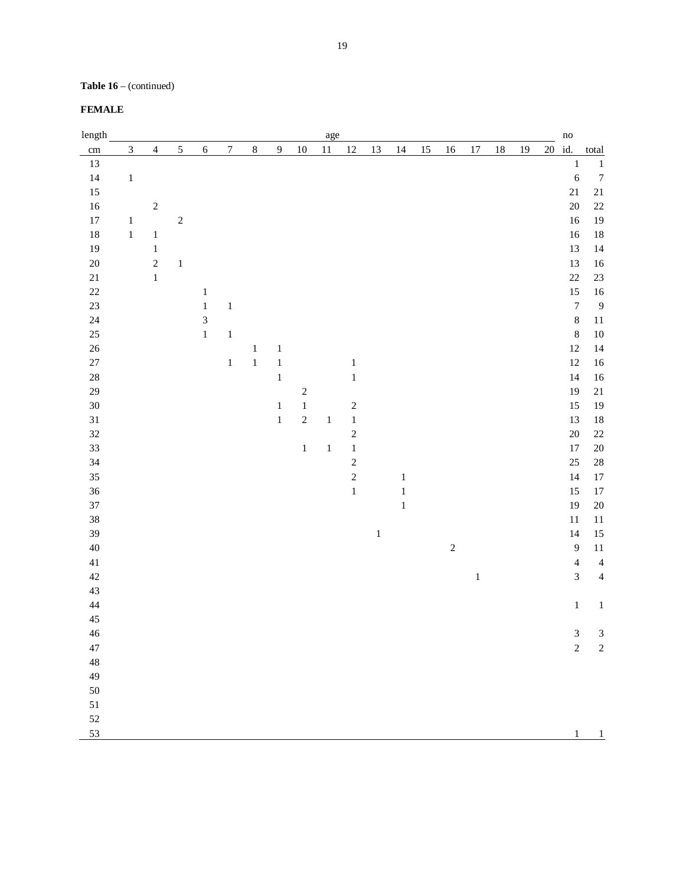# **Table 16** – (continued)

## **FEMALE**

| length      |                |                         |            |                |                  |         |                  |                         | age          |                |         |         |    |            |         |        |    | $\rm no$ |                  |                  |
|-------------|----------------|-------------------------|------------|----------------|------------------|---------|------------------|-------------------------|--------------|----------------|---------|---------|----|------------|---------|--------|----|----------|------------------|------------------|
| cm          | $\mathfrak{Z}$ | $\overline{\mathbf{4}}$ | 5          | $\sqrt{6}$     | $\boldsymbol{7}$ | $\,8\,$ | $\boldsymbol{9}$ | $10\,$                  | $11\,$       | $12\,$         | 13      | 14      | 15 | 16         | $17\,$  | $18\,$ | 19 | 20 id.   |                  | total            |
| 13          |                |                         |            |                |                  |         |                  |                         |              |                |         |         |    |            |         |        |    |          | $\,1\,$          | $\,1\,$          |
| 14          | $\,1\,$        |                         |            |                |                  |         |                  |                         |              |                |         |         |    |            |         |        |    |          | $\boldsymbol{6}$ | $\boldsymbol{7}$ |
| 15          |                |                         |            |                |                  |         |                  |                         |              |                |         |         |    |            |         |        |    |          | $21\,$           | $21\,$           |
| 16          |                | $\sqrt{2}$              |            |                |                  |         |                  |                         |              |                |         |         |    |            |         |        |    |          | 20               | $22\,$           |
| 17          | $\,1$          |                         | $\sqrt{2}$ |                |                  |         |                  |                         |              |                |         |         |    |            |         |        |    |          | 16               | 19               |
| 18          | $\,1$          | $\,1\,$                 |            |                |                  |         |                  |                         |              |                |         |         |    |            |         |        |    |          | 16               | $18\,$           |
| 19          |                | $\,1\,$                 |            |                |                  |         |                  |                         |              |                |         |         |    |            |         |        |    |          | 13               | 14               |
| 20          |                | $\sqrt{2}$              | $\,1$      |                |                  |         |                  |                         |              |                |         |         |    |            |         |        |    |          | 13               | 16               |
| $21\,$      |                | $\,1$                   |            |                |                  |         |                  |                         |              |                |         |         |    |            |         |        |    |          | 22               | $23\,$           |
| $22\,$      |                |                         |            | $\mathbf 1$    |                  |         |                  |                         |              |                |         |         |    |            |         |        |    |          | 15               | $16\,$           |
| 23          |                |                         |            | $\,1\,$        | $\,1$            |         |                  |                         |              |                |         |         |    |            |         |        |    |          | $\boldsymbol{7}$ | $\overline{9}$   |
| 24          |                |                         |            | $\overline{3}$ |                  |         |                  |                         |              |                |         |         |    |            |         |        |    |          | $\,$ 8 $\,$      | $11\,$           |
| 25          |                |                         |            | $\,1$          | $\,1$            |         |                  |                         |              |                |         |         |    |            |         |        |    |          | $\,$ 8 $\,$      | $10\,$           |
| $26\,$      |                |                         |            |                |                  | $\,1$   | $\,1$            |                         |              |                |         |         |    |            |         |        |    |          | 12               | 14               |
| $27\,$      |                |                         |            |                | $\,1$            | $\,1$   | $\,1$            |                         |              | $\,1\,$        |         |         |    |            |         |        |    |          | 12               | 16               |
| 28          |                |                         |            |                |                  |         | $\,1$            |                         |              | $\,1\,$        |         |         |    |            |         |        |    |          | 14               | 16               |
| 29          |                |                         |            |                |                  |         |                  | $\overline{\mathbf{c}}$ |              |                |         |         |    |            |         |        |    |          | 19               | $21\,$           |
| 30          |                |                         |            |                |                  |         | $\,1$            | $\,1$                   |              | $\sqrt{2}$     |         |         |    |            |         |        |    |          | 15               | 19               |
| 31          |                |                         |            |                |                  |         | $\,1$            | $\sqrt{2}$              | $\mathbf{1}$ | $\,1\,$        |         |         |    |            |         |        |    |          | 13               | $18\,$           |
| 32          |                |                         |            |                |                  |         |                  |                         |              | $\sqrt{2}$     |         |         |    |            |         |        |    |          | 20               | $22\,$           |
| 33          |                |                         |            |                |                  |         |                  | $\,1$                   | $\,1\,$      | $\,1\,$        |         |         |    |            |         |        |    |          | $17\,$           | $20\,$           |
| 34          |                |                         |            |                |                  |         |                  |                         |              | $\overline{c}$ |         |         |    |            |         |        |    |          | 25               | $28\,$           |
| 35          |                |                         |            |                |                  |         |                  |                         |              | $\sqrt{2}$     |         | $\,1\,$ |    |            |         |        |    |          | 14               | $17\,$           |
| 36          |                |                         |            |                |                  |         |                  |                         |              | $\mathbf 1$    |         | $\,1$   |    |            |         |        |    |          | 15               | $17\,$           |
| 37          |                |                         |            |                |                  |         |                  |                         |              |                |         | $\,1\,$ |    |            |         |        |    |          | 19               | $20\,$           |
| 38          |                |                         |            |                |                  |         |                  |                         |              |                |         |         |    |            |         |        |    |          | $11\,$           | $11\,$           |
| 39          |                |                         |            |                |                  |         |                  |                         |              |                | $\,1\,$ |         |    |            |         |        |    |          | 14               | $15\,$           |
| $40\,$      |                |                         |            |                |                  |         |                  |                         |              |                |         |         |    | $\sqrt{2}$ |         |        |    |          | $\overline{9}$   | $11\,$           |
| 41          |                |                         |            |                |                  |         |                  |                         |              |                |         |         |    |            |         |        |    |          | $\overline{4}$   | $\overline{4}$   |
| 42          |                |                         |            |                |                  |         |                  |                         |              |                |         |         |    |            | $\,1\,$ |        |    |          | $\mathfrak 3$    | $\overline{4}$   |
| 43          |                |                         |            |                |                  |         |                  |                         |              |                |         |         |    |            |         |        |    |          |                  |                  |
| $\sqrt{44}$ |                |                         |            |                |                  |         |                  |                         |              |                |         |         |    |            |         |        |    |          | $\,1$            | $\,1\,$          |
| 45          |                |                         |            |                |                  |         |                  |                         |              |                |         |         |    |            |         |        |    |          |                  |                  |
| 46          |                |                         |            |                |                  |         |                  |                         |              |                |         |         |    |            |         |        |    |          | 3                | $\mathfrak{Z}$   |
| 47          |                |                         |            |                |                  |         |                  |                         |              |                |         |         |    |            |         |        |    |          | $\sqrt{2}$       | $\sqrt{2}$       |
| 48          |                |                         |            |                |                  |         |                  |                         |              |                |         |         |    |            |         |        |    |          |                  |                  |
| 49          |                |                         |            |                |                  |         |                  |                         |              |                |         |         |    |            |         |        |    |          |                  |                  |
| 50          |                |                         |            |                |                  |         |                  |                         |              |                |         |         |    |            |         |        |    |          |                  |                  |
| 51          |                |                         |            |                |                  |         |                  |                         |              |                |         |         |    |            |         |        |    |          |                  |                  |
| 52          |                |                         |            |                |                  |         |                  |                         |              |                |         |         |    |            |         |        |    |          |                  |                  |
| 53          |                |                         |            |                |                  |         |                  |                         |              |                |         |         |    |            |         |        |    |          | $\mathbf{1}$     | $\mathbf{1}$     |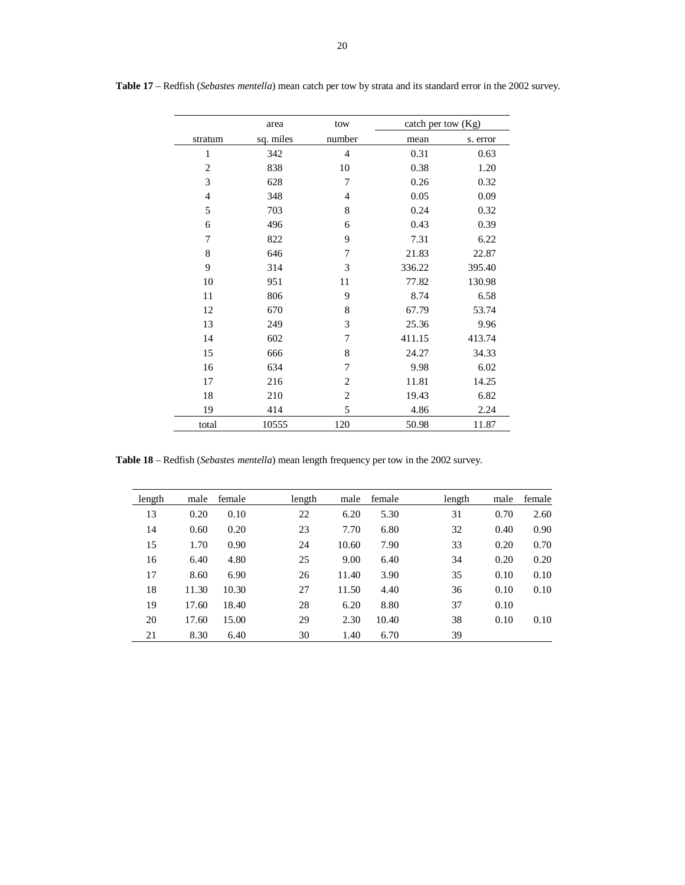|                | area      | tow            | catch per tow (Kg) |          |
|----------------|-----------|----------------|--------------------|----------|
| stratum        | sq. miles | number         | mean               | s. error |
| 1              | 342       | $\overline{4}$ | 0.31               | 0.63     |
| $\mathbf{2}$   | 838       | 10             | 0.38               | 1.20     |
| 3              | 628       | 7              | 0.26               | 0.32     |
| $\overline{4}$ | 348       | $\overline{4}$ | 0.05               | 0.09     |
| 5              | 703       | 8              | 0.24               | 0.32     |
| 6              | 496       | 6              | 0.43               | 0.39     |
| 7              | 822       | 9              | 7.31               | 6.22     |
| 8              | 646       | 7              | 21.83              | 22.87    |
| 9              | 314       | 3              | 336.22             | 395.40   |
| 10             | 951       | 11             | 77.82              | 130.98   |
| 11             | 806       | 9              | 8.74               | 6.58     |
| 12             | 670       | 8              | 67.79              | 53.74    |
| 13             | 249       | 3              | 25.36              | 9.96     |
| 14             | 602       | 7              | 411.15             | 413.74   |
| 15             | 666       | 8              | 24.27              | 34.33    |
| 16             | 634       | 7              | 9.98               | 6.02     |
| 17             | 216       | $\overline{c}$ | 11.81              | 14.25    |
| 18             | 210       | $\overline{c}$ | 19.43              | 6.82     |
| 19             | 414       | 5              | 4.86               | 2.24     |
| total          | 10555     | 120            | 50.98              | 11.87    |

**Table 17** – Redfish (*Sebastes mentella*) mean catch per tow by strata and its standard error in the 2002 survey.

**Table 18** – Redfish (*Sebastes mentella*) mean length frequency per tow in the 2002 survey.

| length | male  | female | length | male  | female | length | male | female |
|--------|-------|--------|--------|-------|--------|--------|------|--------|
| 13     | 0.20  | 0.10   | 22     | 6.20  | 5.30   | 31     | 0.70 | 2.60   |
| 14     | 0.60  | 0.20   | 23     | 7.70  | 6.80   | 32     | 0.40 | 0.90   |
| 15     | 1.70  | 0.90   | 24     | 10.60 | 7.90   | 33     | 0.20 | 0.70   |
| 16     | 6.40  | 4.80   | 25     | 9.00  | 6.40   | 34     | 0.20 | 0.20   |
| 17     | 8.60  | 6.90   | 26     | 11.40 | 3.90   | 35     | 0.10 | 0.10   |
| 18     | 11.30 | 10.30  | 27     | 11.50 | 4.40   | 36     | 0.10 | 0.10   |
| 19     | 17.60 | 18.40  | 28     | 6.20  | 8.80   | 37     | 0.10 |        |
| 20     | 17.60 | 15.00  | 29     | 2.30  | 10.40  | 38     | 0.10 | 0.10   |
| 21     | 8.30  | 6.40   | 30     | 1.40  | 6.70   | 39     |      |        |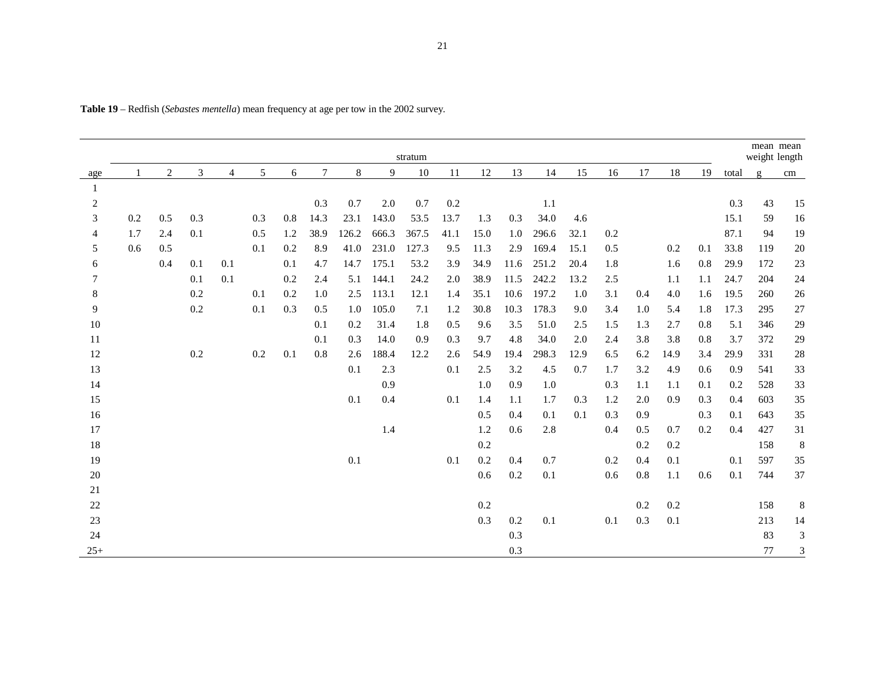|       |     |                |     |                |     |     |        |       |       | stratum |      |        |      |       |      |     |         |      |     |       | mean mean<br>weight length |                             |
|-------|-----|----------------|-----|----------------|-----|-----|--------|-------|-------|---------|------|--------|------|-------|------|-----|---------|------|-----|-------|----------------------------|-----------------------------|
| age   |     | $\overline{2}$ | 3   | $\overline{4}$ | 5   | 6   | $\tau$ | $\,8$ | 9     | $10\,$  | 11   | $12\,$ | 13   | 14    | 15   | 16  | 17      | 18   | 19  | total | $\mathbf{g}$               | cm                          |
| 1     |     |                |     |                |     |     |        |       |       |         |      |        |      |       |      |     |         |      |     |       |                            |                             |
| 2     |     |                |     |                |     |     | 0.3    | 0.7   | 2.0   | 0.7     | 0.2  |        |      | 1.1   |      |     |         |      |     | 0.3   | 43                         | 15                          |
| 3     | 0.2 | 0.5            | 0.3 |                | 0.3 | 0.8 | 14.3   | 23.1  | 143.0 | 53.5    | 13.7 | 1.3    | 0.3  | 34.0  | 4.6  |     |         |      |     | 15.1  | 59                         | 16                          |
| 4     | 1.7 | 2.4            | 0.1 |                | 0.5 | 1.2 | 38.9   | 126.2 | 666.3 | 367.5   | 41.1 | 15.0   | 1.0  | 296.6 | 32.1 | 0.2 |         |      |     | 87.1  | 94                         | 19                          |
| 5     | 0.6 | 0.5            |     |                | 0.1 | 0.2 | 8.9    | 41.0  | 231.0 | 127.3   | 9.5  | 11.3   | 2.9  | 169.4 | 15.1 | 0.5 |         | 0.2  | 0.1 | 33.8  | 119                        | 20                          |
| 6     |     | 0.4            | 0.1 | 0.1            |     | 0.1 | 4.7    | 14.7  | 175.1 | 53.2    | 3.9  | 34.9   | 11.6 | 251.2 | 20.4 | 1.8 |         | 1.6  | 0.8 | 29.9  | 172                        | 23                          |
| 7     |     |                | 0.1 | 0.1            |     | 0.2 | 2.4    | 5.1   | 144.1 | 24.2    | 2.0  | 38.9   | 11.5 | 242.2 | 13.2 | 2.5 |         | 1.1  | 1.1 | 24.7  | 204                        | 24                          |
| 8     |     |                | 0.2 |                | 0.1 | 0.2 | 1.0    | 2.5   | 113.1 | 12.1    | 1.4  | 35.1   | 10.6 | 197.2 | 1.0  | 3.1 | 0.4     | 4.0  | 1.6 | 19.5  | 260                        | 26                          |
| 9     |     |                | 0.2 |                | 0.1 | 0.3 | 0.5    | 1.0   | 105.0 | 7.1     | 1.2  | 30.8   | 10.3 | 178.3 | 9.0  | 3.4 | 1.0     | 5.4  | 1.8 | 17.3  | 295                        | 27                          |
| 10    |     |                |     |                |     |     | 0.1    | 0.2   | 31.4  | 1.8     | 0.5  | 9.6    | 3.5  | 51.0  | 2.5  | 1.5 | 1.3     | 2.7  | 0.8 | 5.1   | 346                        | 29                          |
| 11    |     |                |     |                |     |     | 0.1    | 0.3   | 14.0  | 0.9     | 0.3  | 9.7    | 4.8  | 34.0  | 2.0  | 2.4 | 3.8     | 3.8  | 0.8 | 3.7   | 372                        | 29                          |
| 12    |     |                | 0.2 |                | 0.2 | 0.1 | 0.8    | 2.6   | 188.4 | 12.2    | 2.6  | 54.9   | 19.4 | 298.3 | 12.9 | 6.5 | 6.2     | 14.9 | 3.4 | 29.9  | 331                        | 28                          |
| 13    |     |                |     |                |     |     |        | 0.1   | 2.3   |         | 0.1  | 2.5    | 3.2  | 4.5   | 0.7  | 1.7 | 3.2     | 4.9  | 0.6 | 0.9   | 541                        | 33                          |
| 14    |     |                |     |                |     |     |        |       | 0.9   |         |      | 1.0    | 0.9  | 1.0   |      | 0.3 | 1.1     | 1.1  | 0.1 | 0.2   | 528                        | 33                          |
| 15    |     |                |     |                |     |     |        | 0.1   | 0.4   |         | 0.1  | 1.4    | 1.1  | 1.7   | 0.3  | 1.2 | 2.0     | 0.9  | 0.3 | 0.4   | 603                        | 35                          |
| 16    |     |                |     |                |     |     |        |       |       |         |      | 0.5    | 0.4  | 0.1   | 0.1  | 0.3 | 0.9     |      | 0.3 | 0.1   | 643                        | 35                          |
| 17    |     |                |     |                |     |     |        |       | 1.4   |         |      | 1.2    | 0.6  | 2.8   |      | 0.4 | 0.5     | 0.7  | 0.2 | 0.4   | 427                        | 31                          |
| 18    |     |                |     |                |     |     |        |       |       |         |      | 0.2    |      |       |      |     | 0.2     | 0.2  |     |       | 158                        | 8                           |
| 19    |     |                |     |                |     |     |        | 0.1   |       |         | 0.1  | 0.2    | 0.4  | 0.7   |      | 0.2 | 0.4     | 0.1  |     | 0.1   | 597                        | 35                          |
| 20    |     |                |     |                |     |     |        |       |       |         |      | 0.6    | 0.2  | 0.1   |      | 0.6 | $0.8\,$ | 1.1  | 0.6 | 0.1   | 744                        | 37                          |
| 21    |     |                |     |                |     |     |        |       |       |         |      |        |      |       |      |     |         |      |     |       |                            |                             |
| 22    |     |                |     |                |     |     |        |       |       |         |      | 0.2    |      |       |      |     | 0.2     | 0.2  |     |       | 158                        | 8                           |
| 23    |     |                |     |                |     |     |        |       |       |         |      | 0.3    | 0.2  | 0.1   |      | 0.1 | 0.3     | 0.1  |     |       | 213                        | 14                          |
| 24    |     |                |     |                |     |     |        |       |       |         |      |        | 0.3  |       |      |     |         |      |     |       | 83                         | $\mathfrak{Z}$              |
| $25+$ |     |                |     |                |     |     |        |       |       |         |      |        | 0.3  |       |      |     |         |      |     |       | 77                         | $\ensuremath{\mathfrak{Z}}$ |

**Table 19** – Redfish (*Sebastes mentella*) mean frequency at age per tow in the 2002 survey.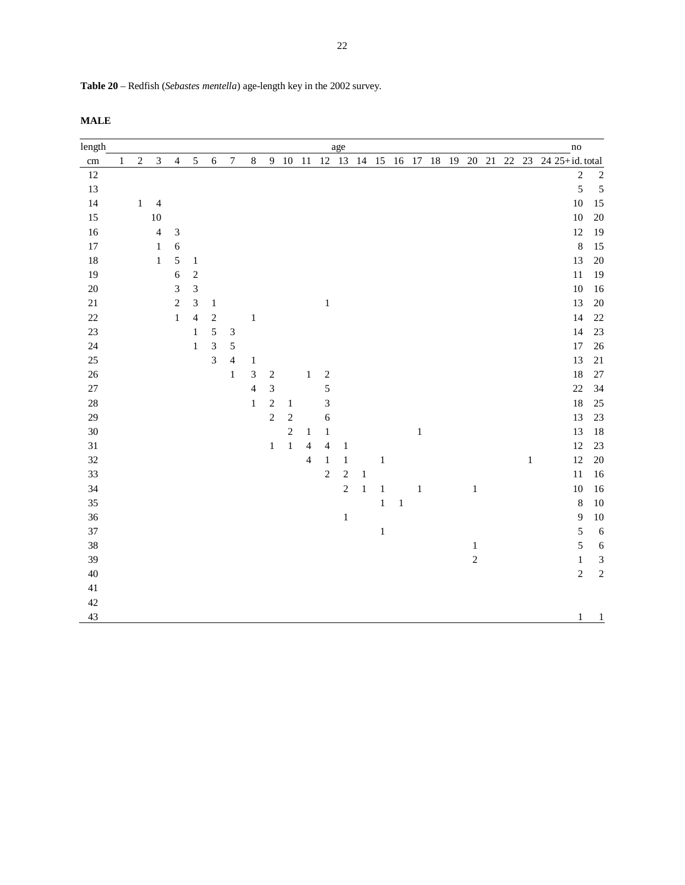**Table 20** – Redfish (*Sebastes mentella*) age-length key in the 2002 survey.

|--|

| length   |              |            |                         |                             |                |                |                             |                          |                |                  |                |                  | age          |         |             |         |         |  |                |  |         | $\mathbf{n}\mathbf{o}$                             |                  |
|----------|--------------|------------|-------------------------|-----------------------------|----------------|----------------|-----------------------------|--------------------------|----------------|------------------|----------------|------------------|--------------|---------|-------------|---------|---------|--|----------------|--|---------|----------------------------------------------------|------------------|
| $\rm cm$ | $\mathbf{1}$ | $\sqrt{2}$ | $\mathfrak{Z}$          | $\overline{4}$              | $\sqrt{5}$     | $\sqrt{6}$     | $\boldsymbol{7}$            | $\,8\,$                  |                | 9 10 11          |                |                  |              |         |             |         |         |  |                |  |         | 12 13 14 15 16 17 18 19 20 21 22 23 24 25+id.total |                  |
| 12       |              |            |                         |                             |                |                |                             |                          |                |                  |                |                  |              |         |             |         |         |  |                |  |         | $\sqrt{2}$                                         | $\overline{c}$   |
| 13       |              |            |                         |                             |                |                |                             |                          |                |                  |                |                  |              |         |             |         |         |  |                |  |         | $\sqrt{5}$                                         | $\overline{5}$   |
| 14       |              | $\,1$      | $\overline{4}$          |                             |                |                |                             |                          |                |                  |                |                  |              |         |             |         |         |  |                |  |         | $10\,$                                             | 15               |
| 15       |              |            | $10\,$                  |                             |                |                |                             |                          |                |                  |                |                  |              |         |             |         |         |  |                |  |         | $10\,$                                             | $20\,$           |
| 16       |              |            | $\overline{\mathbf{4}}$ | $\ensuremath{\mathfrak{Z}}$ |                |                |                             |                          |                |                  |                |                  |              |         |             |         |         |  |                |  |         | $12\,$                                             | 19               |
| 17       |              |            | $\,1\,$                 | $\sqrt{6}$                  |                |                |                             |                          |                |                  |                |                  |              |         |             |         |         |  |                |  |         | $\,8\,$                                            | 15               |
| 18       |              |            | $\,1\,$                 | $\mathfrak{s}$              | $\,1\,$        |                |                             |                          |                |                  |                |                  |              |         |             |         |         |  |                |  |         | 13                                                 | 20               |
| 19       |              |            |                         | 6                           | $\sqrt{2}$     |                |                             |                          |                |                  |                |                  |              |         |             |         |         |  |                |  |         | $11\,$                                             | 19               |
| $20\,$   |              |            |                         | $\mathfrak{Z}$              | $\overline{3}$ |                |                             |                          |                |                  |                |                  |              |         |             |         |         |  |                |  |         | $10\,$                                             | 16               |
| 21       |              |            |                         | $\sqrt{2}$                  | $\mathfrak{Z}$ | $\mathbf{1}$   |                             |                          |                |                  |                | $\,1$            |              |         |             |         |         |  |                |  |         | 13                                                 | 20               |
| 22       |              |            |                         | $\,1\,$                     | $\overline{4}$ | $\sqrt{2}$     |                             | $\,1\,$                  |                |                  |                |                  |              |         |             |         |         |  |                |  |         | 14                                                 | 22               |
| 23       |              |            |                         |                             | $\,1\,$        | 5              | $\ensuremath{\mathfrak{Z}}$ |                          |                |                  |                |                  |              |         |             |         |         |  |                |  |         | 14                                                 | 23               |
| 24       |              |            |                         |                             | $\,1\,$        | $\mathfrak{Z}$ | $\mathfrak s$               |                          |                |                  |                |                  |              |         |             |         |         |  |                |  |         | $17\,$                                             | 26               |
| 25       |              |            |                         |                             |                | 3              | $\overline{4}$              | $\mathbf{1}$             |                |                  |                |                  |              |         |             |         |         |  |                |  |         | 13                                                 | 21               |
| 26       |              |            |                         |                             |                |                | $\mathbf{1}$                | 3                        | $\sqrt{2}$     |                  | $1\,$          | $\boldsymbol{2}$ |              |         |             |         |         |  |                |  |         | 18                                                 | $27\,$           |
| 27       |              |            |                         |                             |                |                |                             | $\overline{\mathcal{L}}$ | $\mathfrak{Z}$ |                  |                | 5                |              |         |             |         |         |  |                |  |         | 22                                                 | 34               |
| 28       |              |            |                         |                             |                |                |                             | $\mathbf{1}$             | $\sqrt{2}$     | $\mathbf{1}$     |                | 3                |              |         |             |         |         |  |                |  |         | 18                                                 | 25               |
| 29       |              |            |                         |                             |                |                |                             |                          | $\sqrt{2}$     | $\boldsymbol{2}$ |                | $\boldsymbol{6}$ |              |         |             |         |         |  |                |  |         | 13                                                 | 23               |
| 30       |              |            |                         |                             |                |                |                             |                          |                | $\sqrt{2}$       | $\mathbf{1}$   | $\mathbf 1$      |              |         |             |         | $\,1$   |  |                |  |         | 13                                                 | 18               |
| 31       |              |            |                         |                             |                |                |                             |                          | $\mathbf 1$    | $\,1$            | $\overline{4}$ | $\overline{4}$   | $\mathbf 1$  |         |             |         |         |  |                |  |         | 12                                                 | 23               |
| 32       |              |            |                         |                             |                |                |                             |                          |                |                  | $\overline{4}$ | $\mathbf{1}$     | $\mathbf{1}$ |         | $\,1\,$     |         |         |  |                |  | $\,1\,$ | 12                                                 | $20\,$           |
| 33       |              |            |                         |                             |                |                |                             |                          |                |                  |                | $\overline{c}$   | $\sqrt{2}$   | $\,1$   |             |         |         |  |                |  |         | $11\,$                                             | 16               |
| 34       |              |            |                         |                             |                |                |                             |                          |                |                  |                |                  | $\sqrt{2}$   | $\,1\,$ | $\mathbf 1$ |         | $\,1\,$ |  | $\,1$          |  |         | $10\,$                                             | 16               |
| 35       |              |            |                         |                             |                |                |                             |                          |                |                  |                |                  |              |         | $\,1$       | $\,1\,$ |         |  |                |  |         | $\,$ 8 $\,$                                        | $10\,$           |
| 36       |              |            |                         |                             |                |                |                             |                          |                |                  |                |                  | $\,1\,$      |         |             |         |         |  |                |  |         | $\overline{9}$                                     | $10\,$           |
| 37       |              |            |                         |                             |                |                |                             |                          |                |                  |                |                  |              |         | $\,1\,$     |         |         |  |                |  |         | $\sqrt{5}$                                         | $\sqrt{6}$       |
| 38       |              |            |                         |                             |                |                |                             |                          |                |                  |                |                  |              |         |             |         |         |  | $\mathbf{1}$   |  |         | 5                                                  | $\boldsymbol{6}$ |
| 39       |              |            |                         |                             |                |                |                             |                          |                |                  |                |                  |              |         |             |         |         |  | $\overline{c}$ |  |         | $\mathbf{1}$                                       | $\mathfrak{Z}$   |
| 40       |              |            |                         |                             |                |                |                             |                          |                |                  |                |                  |              |         |             |         |         |  |                |  |         | $\overline{c}$                                     | $\overline{c}$   |
| 41       |              |            |                         |                             |                |                |                             |                          |                |                  |                |                  |              |         |             |         |         |  |                |  |         |                                                    |                  |
| 42       |              |            |                         |                             |                |                |                             |                          |                |                  |                |                  |              |         |             |         |         |  |                |  |         |                                                    |                  |
| 43       |              |            |                         |                             |                |                |                             |                          |                |                  |                |                  |              |         |             |         |         |  |                |  |         | $\mathbf{1}$                                       | $\frac{1}{2}$    |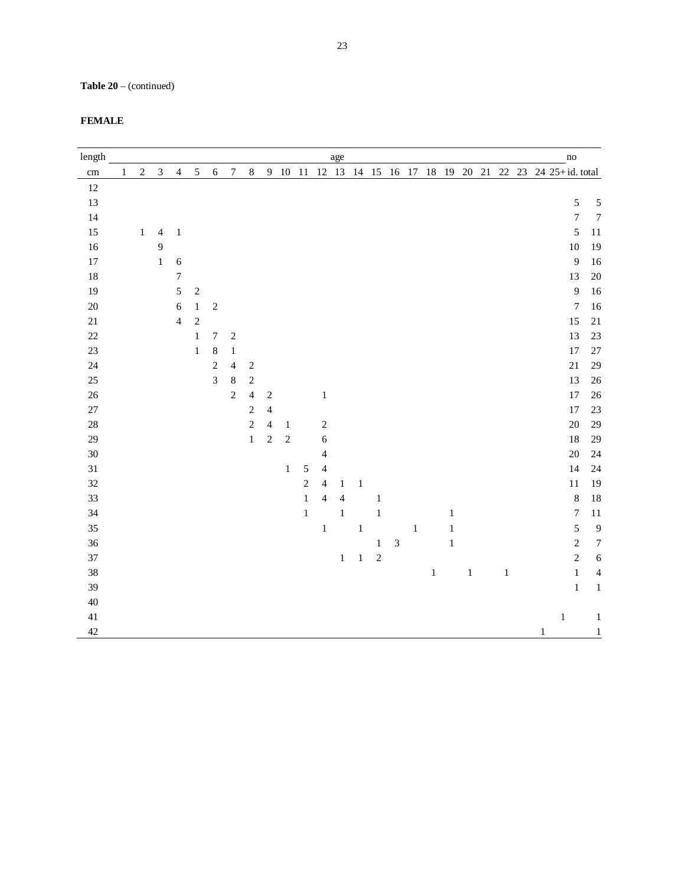**Table 20** – (continued)

| length     |              |            |                |                  |                |                  |                  |                         |                |                |                |                          | age          |         |            |            |       |       |       |         |       |   | $\overline{no}$                                            |                  |
|------------|--------------|------------|----------------|------------------|----------------|------------------|------------------|-------------------------|----------------|----------------|----------------|--------------------------|--------------|---------|------------|------------|-------|-------|-------|---------|-------|---|------------------------------------------------------------|------------------|
| $\,\rm cm$ | $\mathbf{1}$ | $\sqrt{2}$ | $\mathfrak{Z}$ | $\overline{4}$   | $\sqrt{5}$     | $\sqrt{6}$       | $\boldsymbol{7}$ | $\,8\,$                 |                |                |                |                          |              |         |            |            |       |       |       |         |       |   | 9 10 11 12 13 14 15 16 17 18 19 20 21 22 23 24 25+id.total |                  |
| 12         |              |            |                |                  |                |                  |                  |                         |                |                |                |                          |              |         |            |            |       |       |       |         |       |   |                                                            |                  |
| 13         |              |            |                |                  |                |                  |                  |                         |                |                |                |                          |              |         |            |            |       |       |       |         |       |   | $\sqrt{5}$                                                 | 5                |
| 14         |              |            |                |                  |                |                  |                  |                         |                |                |                |                          |              |         |            |            |       |       |       |         |       |   | $\boldsymbol{7}$                                           | $\boldsymbol{7}$ |
| 15         |              | $\,1\,$    | $\overline{4}$ | $\,1\,$          |                |                  |                  |                         |                |                |                |                          |              |         |            |            |       |       |       |         |       |   | $\sqrt{5}$                                                 | $11\,$           |
| 16         |              |            | $\overline{9}$ |                  |                |                  |                  |                         |                |                |                |                          |              |         |            |            |       |       |       |         |       |   | $10\,$                                                     | 19               |
| $17\,$     |              |            | $\,1$          | $\boldsymbol{6}$ |                |                  |                  |                         |                |                |                |                          |              |         |            |            |       |       |       |         |       |   | $\overline{9}$                                             | 16               |
| 18         |              |            |                | $\sqrt{ }$       |                |                  |                  |                         |                |                |                |                          |              |         |            |            |       |       |       |         |       |   | 13                                                         | 20               |
| 19         |              |            |                | 5                | $\overline{c}$ |                  |                  |                         |                |                |                |                          |              |         |            |            |       |       |       |         |       |   | $\overline{9}$                                             | 16               |
| 20         |              |            |                | $\boldsymbol{6}$ | $\,1$          | $\sqrt{2}$       |                  |                         |                |                |                |                          |              |         |            |            |       |       |       |         |       |   | $\boldsymbol{7}$                                           | 16               |
| $21\,$     |              |            |                | $\overline{4}$   | $\overline{c}$ |                  |                  |                         |                |                |                |                          |              |         |            |            |       |       |       |         |       |   | 15                                                         | $21\,$           |
| 22         |              |            |                |                  | $\,1$          | $\boldsymbol{7}$ | $\overline{c}$   |                         |                |                |                |                          |              |         |            |            |       |       |       |         |       |   | 13                                                         | 23               |
| 23         |              |            |                |                  | $\,1$          | $\,8\,$          | $\,1$            |                         |                |                |                |                          |              |         |            |            |       |       |       |         |       |   | $17\,$                                                     | 27               |
| 24         |              |            |                |                  |                | $\overline{c}$   | $\overline{4}$   | $\sqrt{2}$              |                |                |                |                          |              |         |            |            |       |       |       |         |       |   | $21\,$                                                     | 29               |
| 25         |              |            |                |                  |                | $\overline{3}$   | $\,$ 8 $\,$      | $\sqrt{2}$              |                |                |                |                          |              |         |            |            |       |       |       |         |       |   | 13                                                         | 26               |
| $26\,$     |              |            |                |                  |                |                  | $\overline{c}$   | $\overline{\mathbf{4}}$ | $\sqrt{2}$     |                |                | $\mathbf{1}$             |              |         |            |            |       |       |       |         |       |   | $17\,$                                                     | 26               |
| $27\,$     |              |            |                |                  |                |                  |                  | $\sqrt{2}$              | $\overline{4}$ |                |                |                          |              |         |            |            |       |       |       |         |       |   | $17\,$                                                     | 23               |
| 28         |              |            |                |                  |                |                  |                  | $\overline{c}$          | $\overline{4}$ | $\mathbf{1}$   |                | $\sqrt{2}$               |              |         |            |            |       |       |       |         |       |   | $20\,$                                                     | 29               |
| 29         |              |            |                |                  |                |                  |                  | $\,1\,$                 | $\overline{c}$ | $\overline{c}$ |                | $\sqrt{6}$               |              |         |            |            |       |       |       |         |       |   | $18\,$                                                     | 29               |
| 30         |              |            |                |                  |                |                  |                  |                         |                |                |                | $\overline{4}$           |              |         |            |            |       |       |       |         |       |   | $20\,$                                                     | 24               |
| $31\,$     |              |            |                |                  |                |                  |                  |                         |                | $\,1$          | $\sqrt{5}$     | $\overline{4}$           |              |         |            |            |       |       |       |         |       |   | 14                                                         | 24               |
| 32         |              |            |                |                  |                |                  |                  |                         |                |                | $\overline{c}$ | $\overline{4}$           | $\mathbf{1}$ | $\,1\,$ |            |            |       |       |       |         |       |   | $11\,$                                                     | 19               |
| 33         |              |            |                |                  |                |                  |                  |                         |                |                | $\,1$          | $\overline{\mathcal{L}}$ | 4            |         | $\,1\,$    |            |       |       |       |         |       |   | $\,8\,$                                                    | 18               |
| 34         |              |            |                |                  |                |                  |                  |                         |                |                | $\,1\,$        |                          | $\,1\,$      |         | $\,1\,$    |            |       |       | $\,1$ |         |       |   | $\boldsymbol{7}$                                           | $11\,$           |
| 35         |              |            |                |                  |                |                  |                  |                         |                |                |                | $\,1\,$                  |              | $\,1\,$ |            |            | $\,1$ |       | $\,1$ |         |       |   | $\overline{5}$                                             | 9                |
| 36         |              |            |                |                  |                |                  |                  |                         |                |                |                |                          |              |         | $\,1$      | $\sqrt{3}$ |       |       | $\,1$ |         |       |   | $\overline{c}$                                             | $\boldsymbol{7}$ |
| 37         |              |            |                |                  |                |                  |                  |                         |                |                |                |                          | $\,1$        | $\,1\,$ | $\sqrt{2}$ |            |       |       |       |         |       |   | $\sqrt{2}$                                                 | $\sqrt{6}$       |
| 38         |              |            |                |                  |                |                  |                  |                         |                |                |                |                          |              |         |            |            |       | $\,1$ |       | $\,1\,$ | $\,1$ |   | $\,1\,$                                                    | $\overline{4}$   |
| 39         |              |            |                |                  |                |                  |                  |                         |                |                |                |                          |              |         |            |            |       |       |       |         |       |   | $\,1\,$                                                    | $\mathbf{1}$     |
| 40         |              |            |                |                  |                |                  |                  |                         |                |                |                |                          |              |         |            |            |       |       |       |         |       |   |                                                            |                  |
| 41         |              |            |                |                  |                |                  |                  |                         |                |                |                |                          |              |         |            |            |       |       |       |         |       |   | $\mathbf{1}$                                               | $\mathbf{1}$     |
| 42         |              |            |                |                  |                |                  |                  |                         |                |                |                |                          |              |         |            |            |       |       |       |         |       | 1 |                                                            | $\overline{1}$   |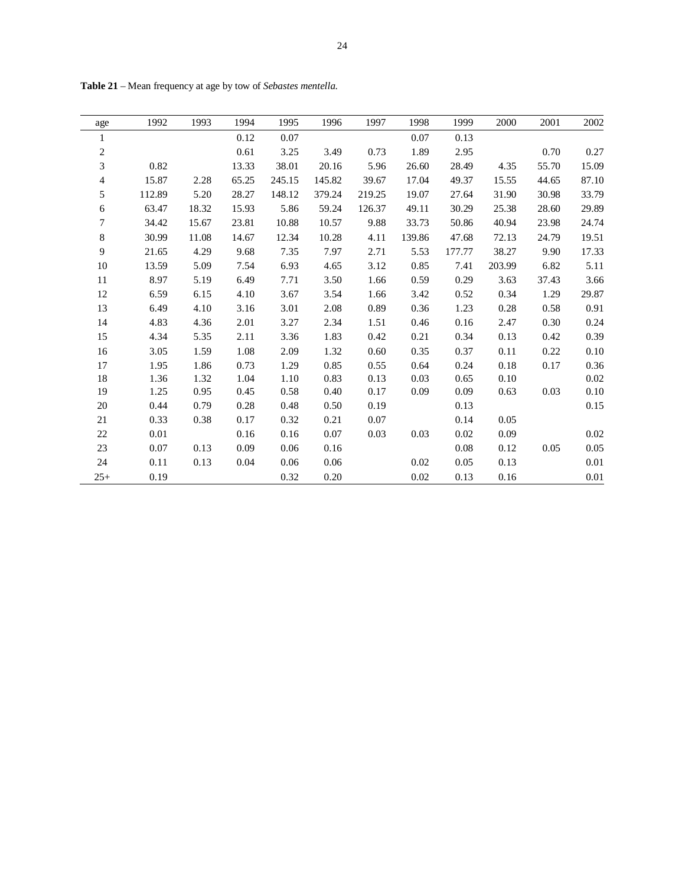| age            | 1992   | 1993  | 1994  | 1995   | 1996   | 1997   | 1998   | 1999   | 2000   | 2001  | 2002     |
|----------------|--------|-------|-------|--------|--------|--------|--------|--------|--------|-------|----------|
| 1              |        |       | 0.12  | 0.07   |        |        | 0.07   | 0.13   |        |       |          |
| $\sqrt{2}$     |        |       | 0.61  | 3.25   | 3.49   | 0.73   | 1.89   | 2.95   |        | 0.70  | 0.27     |
| 3              | 0.82   |       | 13.33 | 38.01  | 20.16  | 5.96   | 26.60  | 28.49  | 4.35   | 55.70 | 15.09    |
| $\overline{4}$ | 15.87  | 2.28  | 65.25 | 245.15 | 145.82 | 39.67  | 17.04  | 49.37  | 15.55  | 44.65 | 87.10    |
| 5              | 112.89 | 5.20  | 28.27 | 148.12 | 379.24 | 219.25 | 19.07  | 27.64  | 31.90  | 30.98 | 33.79    |
| $\sqrt{6}$     | 63.47  | 18.32 | 15.93 | 5.86   | 59.24  | 126.37 | 49.11  | 30.29  | 25.38  | 28.60 | 29.89    |
| 7              | 34.42  | 15.67 | 23.81 | 10.88  | 10.57  | 9.88   | 33.73  | 50.86  | 40.94  | 23.98 | 24.74    |
| $\,8\,$        | 30.99  | 11.08 | 14.67 | 12.34  | 10.28  | 4.11   | 139.86 | 47.68  | 72.13  | 24.79 | 19.51    |
| $\mathbf{9}$   | 21.65  | 4.29  | 9.68  | 7.35   | 7.97   | 2.71   | 5.53   | 177.77 | 38.27  | 9.90  | 17.33    |
| 10             | 13.59  | 5.09  | 7.54  | 6.93   | 4.65   | 3.12   | 0.85   | 7.41   | 203.99 | 6.82  | 5.11     |
| 11             | 8.97   | 5.19  | 6.49  | 7.71   | 3.50   | 1.66   | 0.59   | 0.29   | 3.63   | 37.43 | 3.66     |
| 12             | 6.59   | 6.15  | 4.10  | 3.67   | 3.54   | 1.66   | 3.42   | 0.52   | 0.34   | 1.29  | 29.87    |
| 13             | 6.49   | 4.10  | 3.16  | 3.01   | 2.08   | 0.89   | 0.36   | 1.23   | 0.28   | 0.58  | 0.91     |
| 14             | 4.83   | 4.36  | 2.01  | 3.27   | 2.34   | 1.51   | 0.46   | 0.16   | 2.47   | 0.30  | 0.24     |
| 15             | 4.34   | 5.35  | 2.11  | 3.36   | 1.83   | 0.42   | 0.21   | 0.34   | 0.13   | 0.42  | 0.39     |
| 16             | 3.05   | 1.59  | 1.08  | 2.09   | 1.32   | 0.60   | 0.35   | 0.37   | 0.11   | 0.22  | $0.10\,$ |
| 17             | 1.95   | 1.86  | 0.73  | 1.29   | 0.85   | 0.55   | 0.64   | 0.24   | 0.18   | 0.17  | 0.36     |
| 18             | 1.36   | 1.32  | 1.04  | 1.10   | 0.83   | 0.13   | 0.03   | 0.65   | 0.10   |       | $0.02\,$ |
| 19             | 1.25   | 0.95  | 0.45  | 0.58   | 0.40   | 0.17   | 0.09   | 0.09   | 0.63   | 0.03  | $0.10\,$ |
| 20             | 0.44   | 0.79  | 0.28  | 0.48   | 0.50   | 0.19   |        | 0.13   |        |       | 0.15     |
| 21             | 0.33   | 0.38  | 0.17  | 0.32   | 0.21   | 0.07   |        | 0.14   | 0.05   |       |          |
| 22             | 0.01   |       | 0.16  | 0.16   | 0.07   | 0.03   | 0.03   | 0.02   | 0.09   |       | 0.02     |
| 23             | 0.07   | 0.13  | 0.09  | 0.06   | 0.16   |        |        | 0.08   | 0.12   | 0.05  | 0.05     |
| 24             | 0.11   | 0.13  | 0.04  | 0.06   | 0.06   |        | 0.02   | 0.05   | 0.13   |       | $0.01\,$ |
| $25+$          | 0.19   |       |       | 0.32   | 0.20   |        | 0.02   | 0.13   | 0.16   |       | 0.01     |

**Table 21** – Mean frequency at age by tow of *Sebastes mentella*.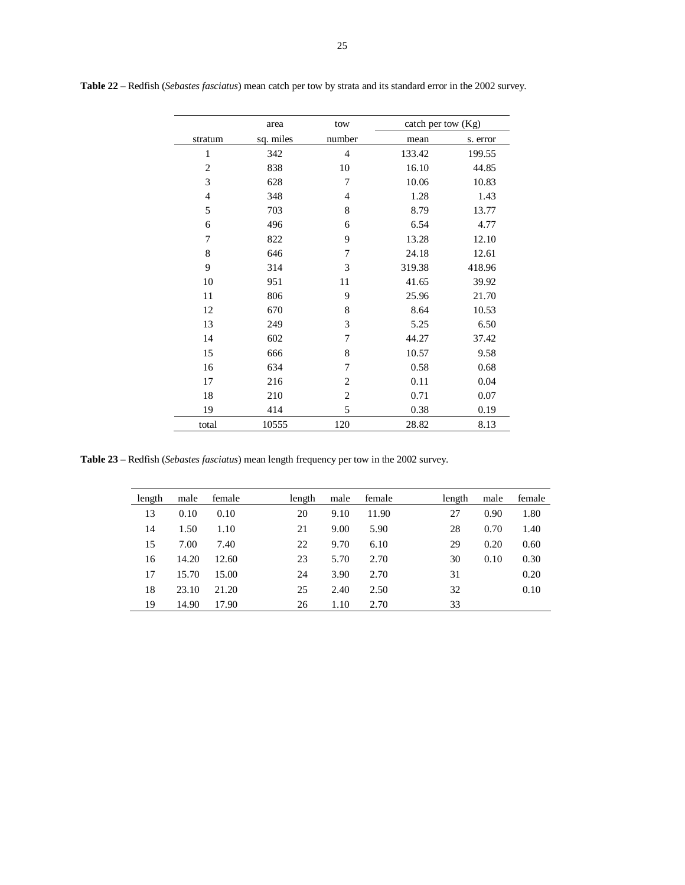|                | area      | tow            | catch per tow (Kg) |          |
|----------------|-----------|----------------|--------------------|----------|
| stratum        | sq. miles | number         | mean               | s. error |
| 1              | 342       | $\overline{4}$ | 133.42             | 199.55   |
| $\overline{2}$ | 838       | 10             | 16.10              | 44.85    |
| 3              | 628       | 7              | 10.06              | 10.83    |
| $\overline{4}$ | 348       | $\overline{4}$ | 1.28               | 1.43     |
| 5              | 703       | 8              | 8.79               | 13.77    |
| 6              | 496       | 6              | 6.54               | 4.77     |
| 7              | 822       | 9              | 13.28              | 12.10    |
| 8              | 646       | 7              | 24.18              | 12.61    |
| 9              | 314       | 3              | 319.38             | 418.96   |
| 10             | 951       | 11             | 41.65              | 39.92    |
| 11             | 806       | 9              | 25.96              | 21.70    |
| 12             | 670       | 8              | 8.64               | 10.53    |
| 13             | 249       | 3              | 5.25               | 6.50     |
| 14             | 602       | 7              | 44.27              | 37.42    |
| 15             | 666       | 8              | 10.57              | 9.58     |
| 16             | 634       | 7              | 0.58               | 0.68     |
| 17             | 216       | $\overline{c}$ | 0.11               | 0.04     |
| 18             | 210       | $\mathbf{2}$   | 0.71               | 0.07     |
| 19             | 414       | 5              | 0.38               | 0.19     |
| total          | 10555     | 120            | 28.82              | 8.13     |

**Table 22** – Redfish (*Sebastes fasciatus*) mean catch per tow by strata and its standard error in the 2002 survey.

**Table 23** – Redfish (*Sebastes fasciatus*) mean length frequency per tow in the 2002 survey.

| length | male  | female | length | male | female | length | male | female |
|--------|-------|--------|--------|------|--------|--------|------|--------|
| 13     | 0.10  | 0.10   | 20     | 9.10 | 11.90  | 27     | 0.90 | 1.80   |
| 14     | 1.50  | 1.10   | 21     | 9.00 | 5.90   | 28     | 0.70 | 1.40   |
| 15     | 7.00  | 7.40   | 22     | 9.70 | 6.10   | 29     | 0.20 | 0.60   |
| 16     | 14.20 | 12.60  | 23     | 5.70 | 2.70   | 30     | 0.10 | 0.30   |
| 17     | 15.70 | 15.00  | 24     | 3.90 | 2.70   | 31     |      | 0.20   |
| 18     | 23.10 | 21.20  | 25     | 2.40 | 2.50   | 32     |      | 0.10   |
| 19     | 14.90 | 17.90  | 26     | 1.10 | 2.70   | 33     |      |        |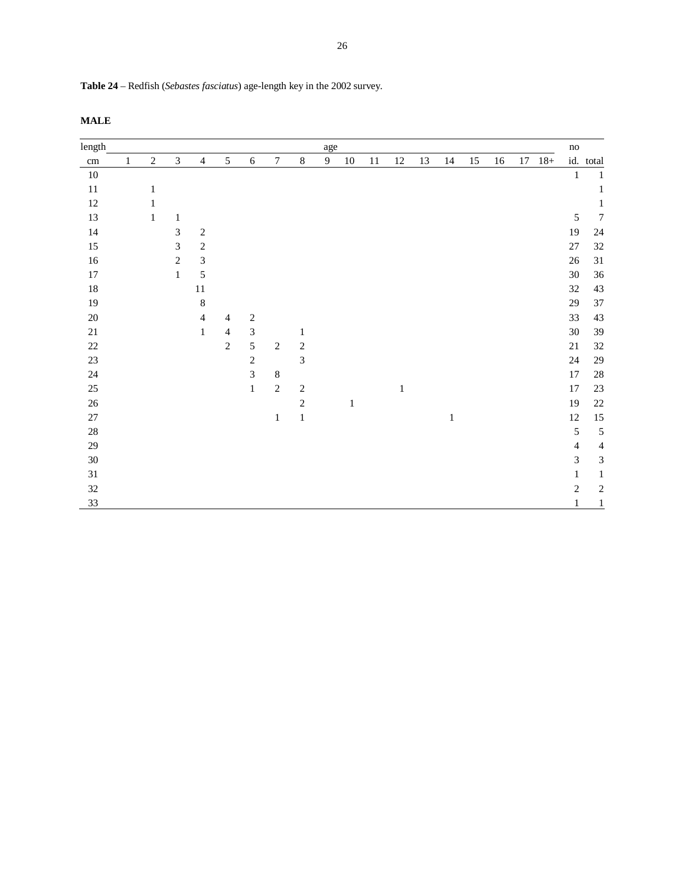| Table 24 – Redfish (Sebastes fasciatus) age-length key in the 2002 survey. |  |  |  |
|----------------------------------------------------------------------------|--|--|--|

| length     |              |              |                             |                             |                |                |                  |              | age |              |        |              |    |              |    |    |    |       | $\mathbf{no}$  |                             |
|------------|--------------|--------------|-----------------------------|-----------------------------|----------------|----------------|------------------|--------------|-----|--------------|--------|--------------|----|--------------|----|----|----|-------|----------------|-----------------------------|
| $\,\rm cm$ | $\mathbf{1}$ | $\sqrt{2}$   | $\mathfrak{Z}$              | $\overline{\mathcal{A}}$    | 5              | $\sqrt{6}$     | $\boldsymbol{7}$ | $\,8\,$      | 9   | 10           | $11\,$ | 12           | 13 | 14           | 15 | 16 | 17 | $18+$ |                | id. total                   |
| $10\,$     |              |              |                             |                             |                |                |                  |              |     |              |        |              |    |              |    |    |    |       | $\mathbf{1}$   | $\mathbf{1}$                |
| $11\,$     |              | 1            |                             |                             |                |                |                  |              |     |              |        |              |    |              |    |    |    |       |                | 1                           |
| $12\,$     |              | 1            |                             |                             |                |                |                  |              |     |              |        |              |    |              |    |    |    |       |                | 1                           |
| 13         |              | $\mathbf{1}$ | 1                           |                             |                |                |                  |              |     |              |        |              |    |              |    |    |    |       | $\sqrt{5}$     | $\overline{7}$              |
| 14         |              |              | $\mathfrak{Z}$              | $\sqrt{2}$                  |                |                |                  |              |     |              |        |              |    |              |    |    |    |       | 19             | 24                          |
| $15\,$     |              |              | $\ensuremath{\mathfrak{Z}}$ | $\sqrt{2}$                  |                |                |                  |              |     |              |        |              |    |              |    |    |    |       | $27\,$         | 32                          |
| $16\,$     |              |              | $\sqrt{2}$                  | $\ensuremath{\mathfrak{Z}}$ |                |                |                  |              |     |              |        |              |    |              |    |    |    |       | $26\,$         | 31                          |
| $17\,$     |              |              | $\mathbf{1}$                | 5                           |                |                |                  |              |     |              |        |              |    |              |    |    |    |       | $30\,$         | 36                          |
| 18         |              |              |                             | 11                          |                |                |                  |              |     |              |        |              |    |              |    |    |    |       | $32\,$         | 43                          |
| 19         |              |              |                             | $\,8\,$                     |                |                |                  |              |     |              |        |              |    |              |    |    |    |       | $29\,$         | 37                          |
| $20\,$     |              |              |                             | $\overline{4}$              | $\overline{4}$ | $\sqrt{2}$     |                  |              |     |              |        |              |    |              |    |    |    |       | 33             | 43                          |
| $21\,$     |              |              |                             | $\mathbf{1}$                | $\overline{4}$ | $\mathfrak{Z}$ |                  | $\mathbf{1}$ |     |              |        |              |    |              |    |    |    |       | $30\,$         | 39                          |
| $22\,$     |              |              |                             |                             | $\sqrt{2}$     | $\sqrt{5}$     | $\sqrt{2}$       | $\sqrt{2}$   |     |              |        |              |    |              |    |    |    |       | $21\,$         | 32                          |
| $23\,$     |              |              |                             |                             |                | $\sqrt{2}$     |                  | 3            |     |              |        |              |    |              |    |    |    |       | $24\,$         | 29                          |
| 24         |              |              |                             |                             |                | 3              | $\,8\,$          |              |     |              |        |              |    |              |    |    |    |       | 17             | $28\,$                      |
| 25         |              |              |                             |                             |                | $\mathbf{1}$   | $\sqrt{2}$       | $\sqrt{2}$   |     |              |        | $\mathbf{1}$ |    |              |    |    |    |       | 17             | $23\,$                      |
| 26         |              |              |                             |                             |                |                |                  | $\sqrt{2}$   |     | $\mathbf{1}$ |        |              |    |              |    |    |    |       | 19             | 22                          |
| $27\,$     |              |              |                             |                             |                |                | $\mathbf{1}$     | $\,1\,$      |     |              |        |              |    | $\mathbf{1}$ |    |    |    |       | $12\,$         | 15                          |
| $28\,$     |              |              |                             |                             |                |                |                  |              |     |              |        |              |    |              |    |    |    |       | $\sqrt{5}$     | $\overline{5}$              |
| 29         |              |              |                             |                             |                |                |                  |              |     |              |        |              |    |              |    |    |    |       | $\overline{4}$ | $\overline{4}$              |
| $30\,$     |              |              |                             |                             |                |                |                  |              |     |              |        |              |    |              |    |    |    |       | $\mathfrak{Z}$ | $\ensuremath{\mathfrak{Z}}$ |
| $31\,$     |              |              |                             |                             |                |                |                  |              |     |              |        |              |    |              |    |    |    |       | 1              | 1                           |
| 32         |              |              |                             |                             |                |                |                  |              |     |              |        |              |    |              |    |    |    |       | $\mathbf{2}$   | $\sqrt{2}$                  |
| 33         |              |              |                             |                             |                |                |                  |              |     |              |        |              |    |              |    |    |    |       | 1              | 1                           |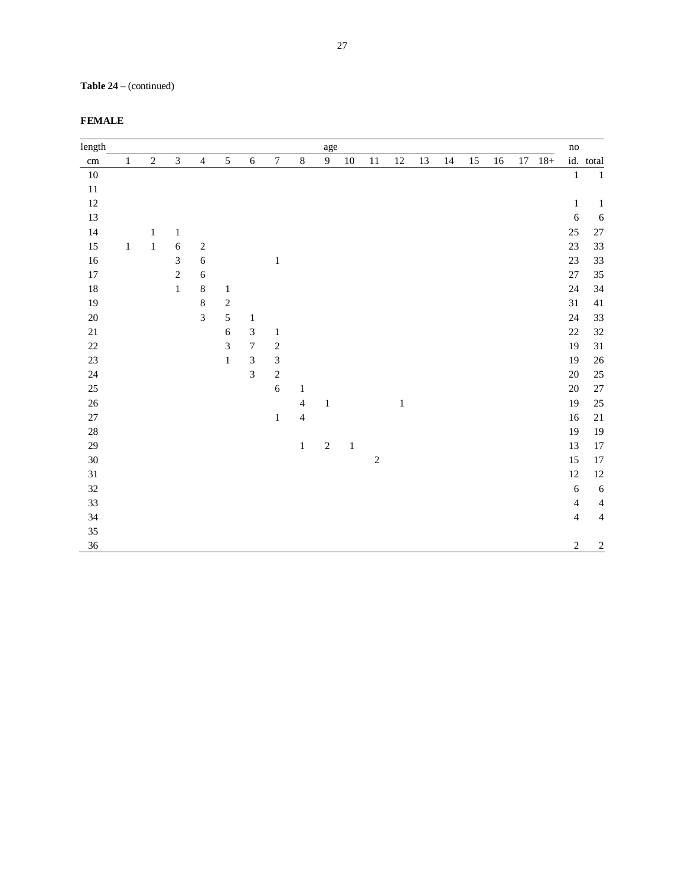# **Table 24** – (continued)

| length |         |              |                |                |                |                  |                         |                | age            |         |            |         |    |    |        |    |    |        | $\mathbf{no}$            |                |
|--------|---------|--------------|----------------|----------------|----------------|------------------|-------------------------|----------------|----------------|---------|------------|---------|----|----|--------|----|----|--------|--------------------------|----------------|
| cm     | $\,1$   | $\sqrt{2}$   | $\mathfrak{Z}$ | $\overline{4}$ | $\mathfrak{S}$ | $\sqrt{6}$       | $\boldsymbol{7}$        | $\,8\,$        | $\overline{9}$ | 10      | $11\,$     | 12      | 13 | 14 | $15\,$ | 16 | 17 | $18 +$ |                          | id. total      |
| $10\,$ |         |              |                |                |                |                  |                         |                |                |         |            |         |    |    |        |    |    |        | $\,1\,$                  | $\mathbf{1}$   |
| $11\,$ |         |              |                |                |                |                  |                         |                |                |         |            |         |    |    |        |    |    |        |                          |                |
| 12     |         |              |                |                |                |                  |                         |                |                |         |            |         |    |    |        |    |    |        | $\mathbf 1$              | $\mathbf{1}$   |
| 13     |         |              |                |                |                |                  |                         |                |                |         |            |         |    |    |        |    |    |        | $\sqrt{6}$               | $\sqrt{6}$     |
| 14     |         | $\mathbf{1}$ | $\,1$          |                |                |                  |                         |                |                |         |            |         |    |    |        |    |    |        | $25\,$                   | $27\,$         |
| 15     | $\,1\,$ | $\,1$        | $\sqrt{6}$     | $\sqrt{2}$     |                |                  |                         |                |                |         |            |         |    |    |        |    |    |        | $23\,$                   | 33             |
| $16\,$ |         |              | 3              | $\sqrt{6}$     |                |                  | $\,1\,$                 |                |                |         |            |         |    |    |        |    |    |        | $23\,$                   | 33             |
| $17\,$ |         |              | $\sqrt{2}$     | $\sqrt{6}$     |                |                  |                         |                |                |         |            |         |    |    |        |    |    |        | $27\,$                   | $35\,$         |
| $18\,$ |         |              | $1\,$          | $8\,$          | $\mathbf{1}$   |                  |                         |                |                |         |            |         |    |    |        |    |    |        | 24                       | 34             |
| 19     |         |              |                | $\,8\,$        | $\sqrt{2}$     |                  |                         |                |                |         |            |         |    |    |        |    |    |        | $31\,$                   | $41\,$         |
| $20\,$ |         |              |                | $\overline{3}$ | $\sqrt{5}$     | $\mathbf{1}$     |                         |                |                |         |            |         |    |    |        |    |    |        | $24\,$                   | 33             |
| $21\,$ |         |              |                |                | $\sqrt{6}$     | $\sqrt{3}$       | $\mathbf 1$             |                |                |         |            |         |    |    |        |    |    |        | $22\,$                   | 32             |
| $22\,$ |         |              |                |                | 3              | $\boldsymbol{7}$ | $\overline{\mathbf{c}}$ |                |                |         |            |         |    |    |        |    |    |        | 19                       | 31             |
| $23\,$ |         |              |                |                | $\,1$          | $\sqrt{3}$       | $\sqrt{3}$              |                |                |         |            |         |    |    |        |    |    |        | 19                       | $26\,$         |
| $24\,$ |         |              |                |                |                | $\overline{3}$   | $\sqrt{2}$              |                |                |         |            |         |    |    |        |    |    |        | $20\,$                   | $25\,$         |
| 25     |         |              |                |                |                |                  | $\sqrt{6}$              | $\mathbf{1}$   |                |         |            |         |    |    |        |    |    |        | $20\,$                   | $27\,$         |
| $26\,$ |         |              |                |                |                |                  |                         | $\overline{4}$ | $\mathbf 1$    |         |            | $\,1\,$ |    |    |        |    |    |        | 19                       | $25\,$         |
| $27\,$ |         |              |                |                |                |                  | $\mathbf{1}$            | $\overline{4}$ |                |         |            |         |    |    |        |    |    |        | $16\,$                   | $21\,$         |
| $28\,$ |         |              |                |                |                |                  |                         |                |                |         |            |         |    |    |        |    |    |        | 19                       | $19\,$         |
| 29     |         |              |                |                |                |                  |                         | $\mathbf 1$    | $\sqrt{2}$     | $\,1\,$ |            |         |    |    |        |    |    |        | 13                       | $17\,$         |
| $30\,$ |         |              |                |                |                |                  |                         |                |                |         | $\sqrt{2}$ |         |    |    |        |    |    |        | 15                       | $17\,$         |
| $31\,$ |         |              |                |                |                |                  |                         |                |                |         |            |         |    |    |        |    |    |        | $12\,$                   | $12\,$         |
| 32     |         |              |                |                |                |                  |                         |                |                |         |            |         |    |    |        |    |    |        | $\sqrt{6}$               | $\sqrt{6}$     |
| 33     |         |              |                |                |                |                  |                         |                |                |         |            |         |    |    |        |    |    |        | $\overline{\mathcal{L}}$ | $\overline{4}$ |
| 34     |         |              |                |                |                |                  |                         |                |                |         |            |         |    |    |        |    |    |        | $\overline{4}$           | $\overline{4}$ |
| 35     |         |              |                |                |                |                  |                         |                |                |         |            |         |    |    |        |    |    |        |                          |                |
| 36     |         |              |                |                |                |                  |                         |                |                |         |            |         |    |    |        |    |    |        | $\sqrt{2}$               | $\overline{2}$ |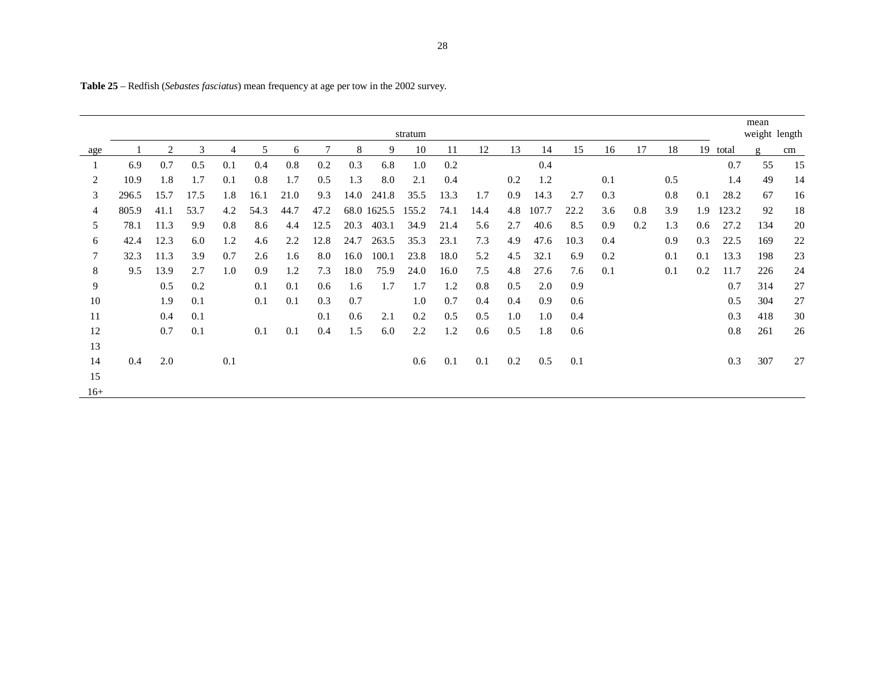|       |       |      |      |                |         |      |      |      |             | stratum |      |      |     |       |      |     |     |     |     |       | mean<br>weight length |    |
|-------|-------|------|------|----------------|---------|------|------|------|-------------|---------|------|------|-----|-------|------|-----|-----|-----|-----|-------|-----------------------|----|
| age   |       | 2    | 3    | $\overline{4}$ | 5       | 6    |      | 8    | 9           | 10      | 11   | 12   | 13  | 14    | 15   | 16  | 17  | 18  | 19  | total | $\mathfrak{g}$        | cm |
|       | 6.9   | 0.7  | 0.5  | 0.1            | 0.4     | 0.8  | 0.2  | 0.3  | 6.8         | 1.0     | 0.2  |      |     | 0.4   |      |     |     |     |     | 0.7   | 55                    | 15 |
| 2     | 10.9  | 1.8  | 1.7  | 0.1            | $0.8\,$ | 1.7  | 0.5  | 1.3  | 8.0         | 2.1     | 0.4  |      | 0.2 | 1.2   |      | 0.1 |     | 0.5 |     | 1.4   | 49                    | 14 |
| 3     | 296.5 | 15.7 | 17.5 | 1.8            | 16.1    | 21.0 | 9.3  | 14.0 | 241.8       | 35.5    | 13.3 | 1.7  | 0.9 | 14.3  | 2.7  | 0.3 |     | 0.8 | 0.1 | 28.2  | 67                    | 16 |
| 4     | 805.9 | 41.1 | 53.7 | 4.2            | 54.3    | 44.7 | 47.2 |      | 68.0 1625.5 | 155.2   | 74.1 | 14.4 | 4.8 | 107.7 | 22.2 | 3.6 | 0.8 | 3.9 | 1.9 | 123.2 | 92                    | 18 |
| 5     | 78.1  | 11.3 | 9.9  | 0.8            | 8.6     | 4.4  | 12.5 | 20.3 | 403.1       | 34.9    | 21.4 | 5.6  | 2.7 | 40.6  | 8.5  | 0.9 | 0.2 | 1.3 | 0.6 | 27.2  | 134                   | 20 |
| 6     | 42.4  | 12.3 | 6.0  | 1.2            | 4.6     | 2.2  | 12.8 | 24.7 | 263.5       | 35.3    | 23.1 | 7.3  | 4.9 | 47.6  | 10.3 | 0.4 |     | 0.9 | 0.3 | 22.5  | 169                   | 22 |
|       | 32.3  | 11.3 | 3.9  | 0.7            | 2.6     | 1.6  | 8.0  | 16.0 | 100.1       | 23.8    | 18.0 | 5.2  | 4.5 | 32.1  | 6.9  | 0.2 |     | 0.1 | 0.1 | 13.3  | 198                   | 23 |
| 8     | 9.5   | 13.9 | 2.7  | 1.0            | 0.9     | 1.2  | 7.3  | 18.0 | 75.9        | 24.0    | 16.0 | 7.5  | 4.8 | 27.6  | 7.6  | 0.1 |     | 0.1 | 0.2 | 11.7  | 226                   | 24 |
| 9     |       | 0.5  | 0.2  |                | 0.1     | 0.1  | 0.6  | 1.6  | 1.7         | 1.7     | 1.2  | 0.8  | 0.5 | 2.0   | 0.9  |     |     |     |     | 0.7   | 314                   | 27 |
| 10    |       | 1.9  | 0.1  |                | 0.1     | 0.1  | 0.3  | 0.7  |             | 1.0     | 0.7  | 0.4  | 0.4 | 0.9   | 0.6  |     |     |     |     | 0.5   | 304                   | 27 |
| 11    |       | 0.4  | 0.1  |                |         |      | 0.1  | 0.6  | 2.1         | 0.2     | 0.5  | 0.5  | 1.0 | 1.0   | 0.4  |     |     |     |     | 0.3   | 418                   | 30 |
| 12    |       | 0.7  | 0.1  |                | 0.1     | 0.1  | 0.4  | 1.5  | 6.0         | 2.2     | 1.2  | 0.6  | 0.5 | 1.8   | 0.6  |     |     |     |     | 0.8   | 261                   | 26 |
| 13    |       |      |      |                |         |      |      |      |             |         |      |      |     |       |      |     |     |     |     |       |                       |    |
| 14    | 0.4   | 2.0  |      | 0.1            |         |      |      |      |             | 0.6     | 0.1  | 0.1  | 0.2 | 0.5   | 0.1  |     |     |     |     | 0.3   | 307                   | 27 |
| 15    |       |      |      |                |         |      |      |      |             |         |      |      |     |       |      |     |     |     |     |       |                       |    |
| $16+$ |       |      |      |                |         |      |      |      |             |         |      |      |     |       |      |     |     |     |     |       |                       |    |

**Table 25** – Redfish (*Sebastes fasciatus*) mean frequency at age per tow in the 2002 survey.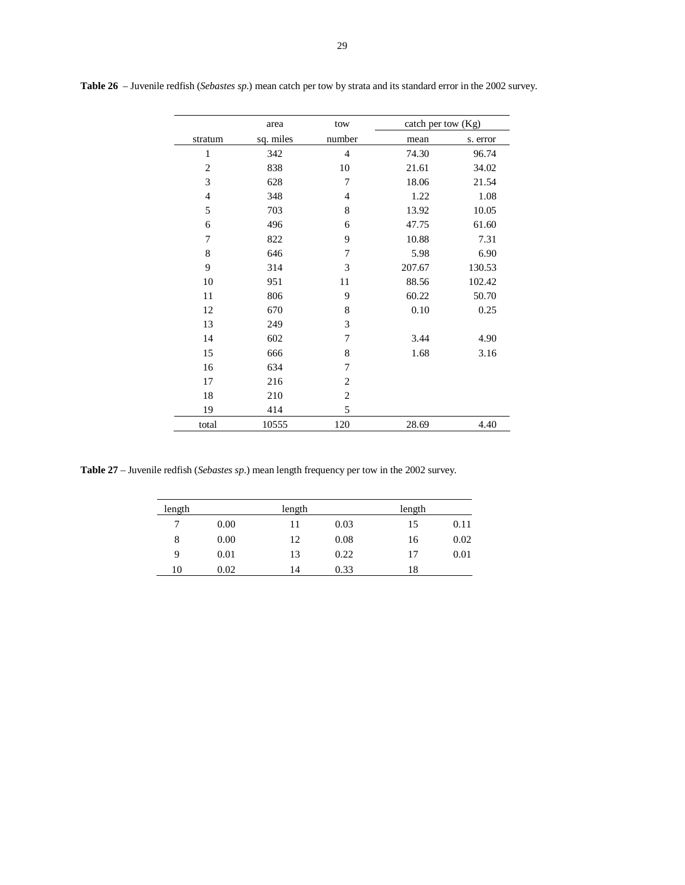|                | area      | tow            | catch per tow $(Kg)$ |          |
|----------------|-----------|----------------|----------------------|----------|
| stratum        | sq. miles | number         | mean                 | s. error |
| 1              | 342       | $\overline{4}$ | 74.30                | 96.74    |
| $\overline{2}$ | 838       | 10             | 21.61                | 34.02    |
| 3              | 628       | 7              | 18.06                | 21.54    |
| $\overline{4}$ | 348       | $\overline{4}$ | 1.22                 | 1.08     |
| 5              | 703       | 8              | 13.92                | 10.05    |
| 6              | 496       | 6              | 47.75                | 61.60    |
| 7              | 822       | 9              | 10.88                | 7.31     |
| 8              | 646       | 7              | 5.98                 | 6.90     |
| 9              | 314       | 3              | 207.67               | 130.53   |
| 10             | 951       | 11             | 88.56                | 102.42   |
| 11             | 806       | 9              | 60.22                | 50.70    |
| 12             | 670       | 8              | 0.10                 | 0.25     |
| 13             | 249       | 3              |                      |          |
| 14             | 602       | 7              | 3.44                 | 4.90     |
| 15             | 666       | 8              | 1.68                 | 3.16     |
| 16             | 634       | 7              |                      |          |
| 17             | 216       | $\overline{2}$ |                      |          |
| 18             | 210       | $\overline{c}$ |                      |          |
| 19             | 414       | 5              |                      |          |
| total          | 10555     | 120            | 28.69                | 4.40     |

**Table 26** – Juvenile redfish (*Sebastes sp*.) mean catch per tow by strata and its standard error in the 2002 survey.

**Table 27** – Juvenile redfish (*Sebastes sp*.) mean length frequency per tow in the 2002 survey.

| length |      | length |      | length |      |
|--------|------|--------|------|--------|------|
| 7      | 0.00 | 11     | 0.03 | 15     | 0.11 |
| 8      | 0.00 | 12     | 0.08 | 16     | 0.02 |
| 9      | 0.01 | 13     | 0.22 | 17     | 0.01 |
| 10     | 0.02 | 14     | 0.33 | 18     |      |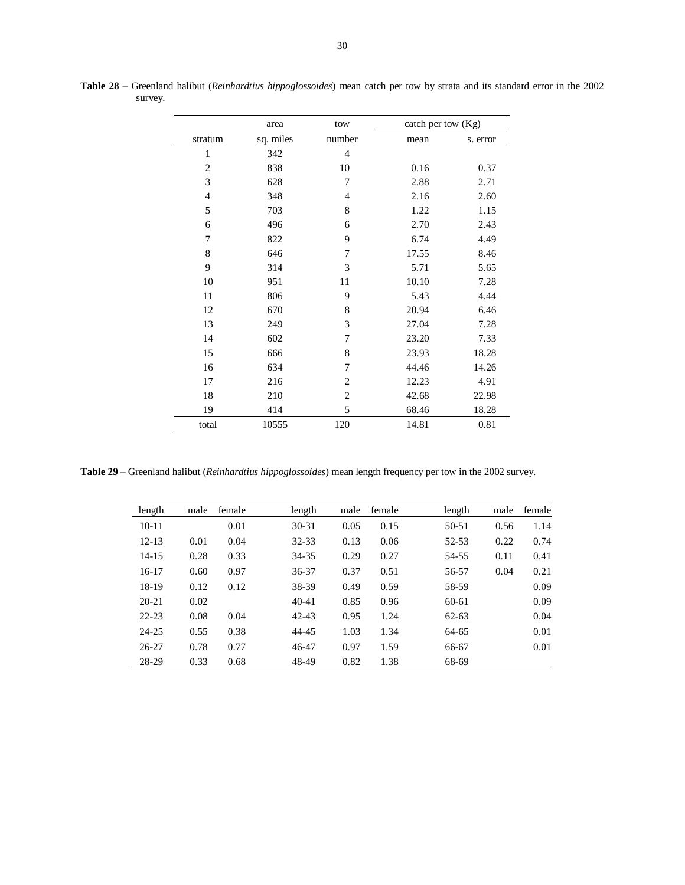|                | area      | tow            | catch per tow (Kg) |          |
|----------------|-----------|----------------|--------------------|----------|
| stratum        | sq. miles | number         | mean               | s. error |
| $\mathbf{1}$   | 342       | 4              |                    |          |
| $\overline{2}$ | 838       | 10             | 0.16               | 0.37     |
| 3              | 628       | 7              | 2.88               | 2.71     |
| $\overline{4}$ | 348       | 4              | 2.16               | 2.60     |
| 5              | 703       | 8              | 1.22               | 1.15     |
| 6              | 496       | 6              | 2.70               | 2.43     |
| 7              | 822       | 9              | 6.74               | 4.49     |
| 8              | 646       | 7              | 17.55              | 8.46     |
| 9              | 314       | 3              | 5.71               | 5.65     |
| 10             | 951       | 11             | 10.10              | 7.28     |
| 11             | 806       | 9              | 5.43               | 4.44     |
| 12             | 670       | 8              | 20.94              | 6.46     |
| 13             | 249       | 3              | 27.04              | 7.28     |
| 14             | 602       | 7              | 23.20              | 7.33     |
| 15             | 666       | 8              | 23.93              | 18.28    |
| 16             | 634       | 7              | 44.46              | 14.26    |
| 17             | 216       | $\overline{c}$ | 12.23              | 4.91     |
| 18             | 210       | $\mathfrak{2}$ | 42.68              | 22.98    |
| 19             | 414       | 5              | 68.46              | 18.28    |
| total          | 10555     | 120            | 14.81              | 0.81     |

**Table 28** – Greenland halibut (*Reinhardtius hippoglossoides*) mean catch per tow by strata and its standard error in the 2002 survey.

**Table 29** – Greenland halibut (*Reinhardtius hippoglossoides*) mean length frequency per tow in the 2002 survey.

| length    | male | female | length    | male | female | length    | male | female |
|-----------|------|--------|-----------|------|--------|-----------|------|--------|
| $10 - 11$ |      | 0.01   | $30 - 31$ | 0.05 | 0.15   | 50-51     | 0.56 | 1.14   |
| $12 - 13$ | 0.01 | 0.04   | 32-33     | 0.13 | 0.06   | 52-53     | 0.22 | 0.74   |
| 14-15     | 0.28 | 0.33   | 34-35     | 0.29 | 0.27   | 54-55     | 0.11 | 0.41   |
| 16-17     | 0.60 | 0.97   | 36-37     | 0.37 | 0.51   | 56-57     | 0.04 | 0.21   |
| 18-19     | 0.12 | 0.12   | 38-39     | 0.49 | 0.59   | 58-59     |      | 0.09   |
| $20 - 21$ | 0.02 |        | $40 - 41$ | 0.85 | 0.96   | 60-61     |      | 0.09   |
| $22 - 23$ | 0.08 | 0.04   | $42 - 43$ | 0.95 | 1.24   | $62 - 63$ |      | 0.04   |
| $24 - 25$ | 0.55 | 0.38   | 44-45     | 1.03 | 1.34   | 64-65     |      | 0.01   |
| $26 - 27$ | 0.78 | 0.77   | 46-47     | 0.97 | 1.59   | 66-67     |      | 0.01   |
| 28-29     | 0.33 | 0.68   | 48-49     | 0.82 | 1.38   | 68-69     |      |        |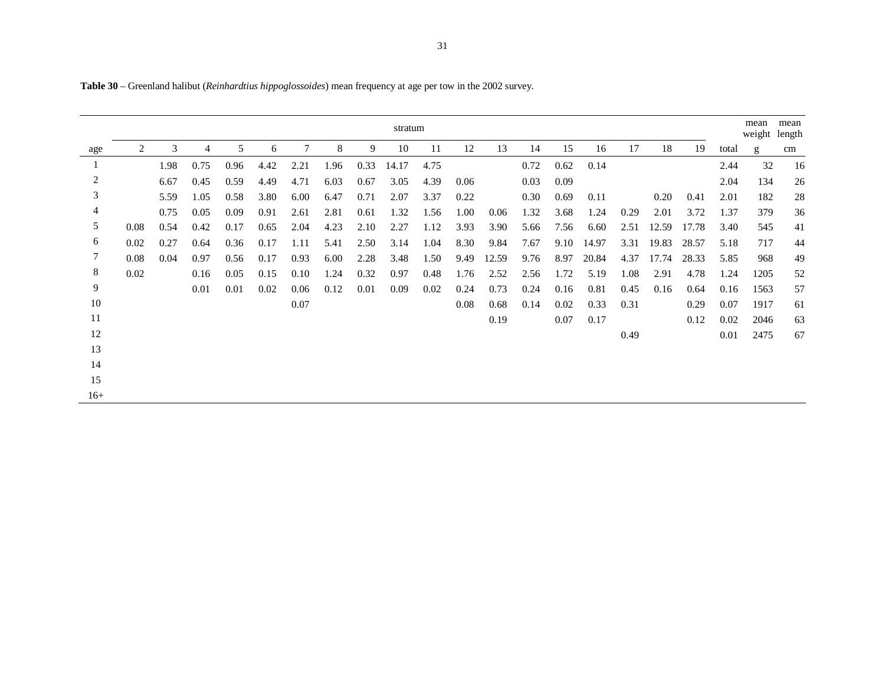|                |      |      |                |      |      |      |      |      | stratum |      |      |       |      |      |       |      |       |       |       | mean<br>weight length | mean |
|----------------|------|------|----------------|------|------|------|------|------|---------|------|------|-------|------|------|-------|------|-------|-------|-------|-----------------------|------|
| age            | 2    | 3    | $\overline{4}$ | 5    | 6    |      | 8    | 9    | 10      | 11   | 12   | 13    | 14   | 15   | 16    | 17   | 18    | 19    | total | g                     | cm   |
|                |      | 1.98 | 0.75           | 0.96 | 4.42 | 2.21 | 1.96 | 0.33 | 14.17   | 4.75 |      |       | 0.72 | 0.62 | 0.14  |      |       |       | 2.44  | 32                    | 16   |
| $\overline{c}$ |      | 6.67 | 0.45           | 0.59 | 4.49 | 4.71 | 6.03 | 0.67 | 3.05    | 4.39 | 0.06 |       | 0.03 | 0.09 |       |      |       |       | 2.04  | 134                   | 26   |
| 3              |      | 5.59 | 1.05           | 0.58 | 3.80 | 6.00 | 6.47 | 0.71 | 2.07    | 3.37 | 0.22 |       | 0.30 | 0.69 | 0.11  |      | 0.20  | 0.41  | 2.01  | 182                   | 28   |
| 4              |      | 0.75 | 0.05           | 0.09 | 0.91 | 2.61 | 2.81 | 0.61 | 1.32    | 1.56 | 1.00 | 0.06  | 1.32 | 3.68 | 1.24  | 0.29 | 2.01  | 3.72  | 1.37  | 379                   | 36   |
| 5              | 0.08 | 0.54 | 0.42           | 0.17 | 0.65 | 2.04 | 4.23 | 2.10 | 2.27    | 1.12 | 3.93 | 3.90  | 5.66 | 7.56 | 6.60  | 2.51 | 12.59 | 17.78 | 3.40  | 545                   | 41   |
| 6              | 0.02 | 0.27 | 0.64           | 0.36 | 0.17 | 1.11 | 5.41 | 2.50 | 3.14    | 1.04 | 8.30 | 9.84  | 7.67 | 9.10 | 14.97 | 3.31 | 19.83 | 28.57 | 5.18  | 717                   | 44   |
| 7              | 0.08 | 0.04 | 0.97           | 0.56 | 0.17 | 0.93 | 6.00 | 2.28 | 3.48    | 1.50 | 9.49 | 12.59 | 9.76 | 8.97 | 20.84 | 4.37 | 17.74 | 28.33 | 5.85  | 968                   | 49   |
| 8              | 0.02 |      | 0.16           | 0.05 | 0.15 | 0.10 | 1.24 | 0.32 | 0.97    | 0.48 | 1.76 | 2.52  | 2.56 | 1.72 | 5.19  | 1.08 | 2.91  | 4.78  | 1.24  | 1205                  | 52   |
| 9              |      |      | 0.01           | 0.01 | 0.02 | 0.06 | 0.12 | 0.01 | 0.09    | 0.02 | 0.24 | 0.73  | 0.24 | 0.16 | 0.81  | 0.45 | 0.16  | 0.64  | 0.16  | 1563                  | 57   |
| 10             |      |      |                |      |      | 0.07 |      |      |         |      | 0.08 | 0.68  | 0.14 | 0.02 | 0.33  | 0.31 |       | 0.29  | 0.07  | 1917                  | 61   |
| 11             |      |      |                |      |      |      |      |      |         |      |      | 0.19  |      | 0.07 | 0.17  |      |       | 0.12  | 0.02  | 2046                  | 63   |
| 12             |      |      |                |      |      |      |      |      |         |      |      |       |      |      |       | 0.49 |       |       | 0.01  | 2475                  | 67   |
| 13             |      |      |                |      |      |      |      |      |         |      |      |       |      |      |       |      |       |       |       |                       |      |
| 14             |      |      |                |      |      |      |      |      |         |      |      |       |      |      |       |      |       |       |       |                       |      |
| 15             |      |      |                |      |      |      |      |      |         |      |      |       |      |      |       |      |       |       |       |                       |      |
| $16+$          |      |      |                |      |      |      |      |      |         |      |      |       |      |      |       |      |       |       |       |                       |      |

**Table 30** – Greenland halibut (*Reinhardtius hippoglossoides*) mean frequency at age per tow in the 2002 survey.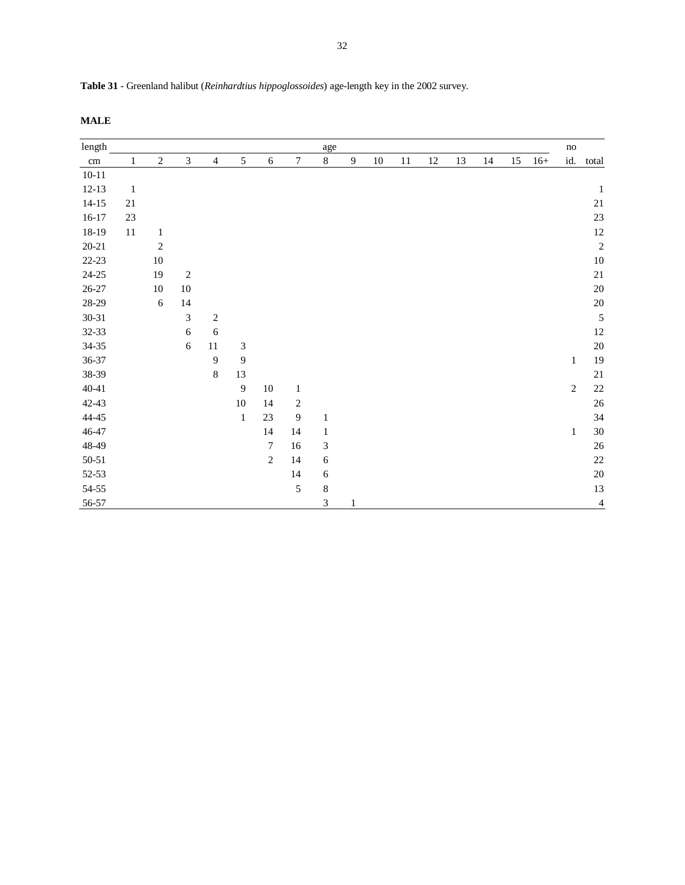| length    |              |                  |               |                |                |                |              | age                         |                |        |    |    |    |    |    |       | no           |                |
|-----------|--------------|------------------|---------------|----------------|----------------|----------------|--------------|-----------------------------|----------------|--------|----|----|----|----|----|-------|--------------|----------------|
| cm        | 1            | $\boldsymbol{2}$ | 3             | $\overline{4}$ | 5              | $\sqrt{6}$     | $\tau$       | $8\,$                       | $\overline{9}$ | $10\,$ | 11 | 12 | 13 | 14 | 15 | $16+$ | id.          | total          |
| $10 - 11$ |              |                  |               |                |                |                |              |                             |                |        |    |    |    |    |    |       |              |                |
| $12-13$   | $\mathbf{1}$ |                  |               |                |                |                |              |                             |                |        |    |    |    |    |    |       |              | $\mathbf{1}$   |
| $14 - 15$ | $21\,$       |                  |               |                |                |                |              |                             |                |        |    |    |    |    |    |       |              | $21\,$         |
| $16 - 17$ | 23           |                  |               |                |                |                |              |                             |                |        |    |    |    |    |    |       |              | 23             |
| 18-19     | 11           | $\mathbf{1}$     |               |                |                |                |              |                             |                |        |    |    |    |    |    |       |              | 12             |
| $20 - 21$ |              | $\overline{c}$   |               |                |                |                |              |                             |                |        |    |    |    |    |    |       |              | $\overline{c}$ |
| $22-23$   |              | $10\,$           |               |                |                |                |              |                             |                |        |    |    |    |    |    |       |              | 10             |
| $24 - 25$ |              | 19               | $\sqrt{2}$    |                |                |                |              |                             |                |        |    |    |    |    |    |       |              | 21             |
| $26 - 27$ |              | $10\,$           | $10\,$        |                |                |                |              |                             |                |        |    |    |    |    |    |       |              | 20             |
| $28-29$   |              | 6                | 14            |                |                |                |              |                             |                |        |    |    |    |    |    |       |              | 20             |
| $30 - 31$ |              |                  | $\mathfrak 3$ | $\sqrt{2}$     |                |                |              |                             |                |        |    |    |    |    |    |       |              | 5              |
| $32 - 33$ |              |                  | $\sqrt{6}$    | 6              |                |                |              |                             |                |        |    |    |    |    |    |       |              | 12             |
| $34 - 35$ |              |                  | 6             | $11\,$         | $\mathfrak{Z}$ |                |              |                             |                |        |    |    |    |    |    |       |              | 20             |
| $36 - 37$ |              |                  |               | 9              | 9              |                |              |                             |                |        |    |    |    |    |    |       | $\mathbf{1}$ | 19             |
| 38-39     |              |                  |               | $\,8\,$        | 13             |                |              |                             |                |        |    |    |    |    |    |       |              | 21             |
| $40 - 41$ |              |                  |               |                | $\overline{9}$ | $10\,$         | $\mathbf{1}$ |                             |                |        |    |    |    |    |    |       | $\sqrt{2}$   | 22             |
| $42 - 43$ |              |                  |               |                | $10\,$         | 14             | $\sqrt{2}$   |                             |                |        |    |    |    |    |    |       |              | 26             |
| $44 - 45$ |              |                  |               |                | $\mathbf{1}$   | $23\,$         | 9            | $\mathbf{1}$                |                |        |    |    |    |    |    |       |              | 34             |
| $46 - 47$ |              |                  |               |                |                | 14             | 14           | $\mathbf{1}$                |                |        |    |    |    |    |    |       | $\mathbf{1}$ | 30             |
| 48-49     |              |                  |               |                |                | 7              | $16\,$       | $\ensuremath{\mathfrak{Z}}$ |                |        |    |    |    |    |    |       |              | 26             |
| $50 - 51$ |              |                  |               |                |                | $\overline{2}$ | 14           | 6                           |                |        |    |    |    |    |    |       |              | 22             |
| 52-53     |              |                  |               |                |                |                | 14           | 6                           |                |        |    |    |    |    |    |       |              | 20             |
| 54-55     |              |                  |               |                |                |                | 5            | $\,$ 8 $\,$                 |                |        |    |    |    |    |    |       |              | 13             |
| 56-57     |              |                  |               |                |                |                |              | 3                           | $\mathbf{1}$   |        |    |    |    |    |    |       |              | $\overline{4}$ |

**Table 31** - Greenland halibut (*Reinhardtius hippoglossoides*) age-length key in the 2002 survey.

**MALE**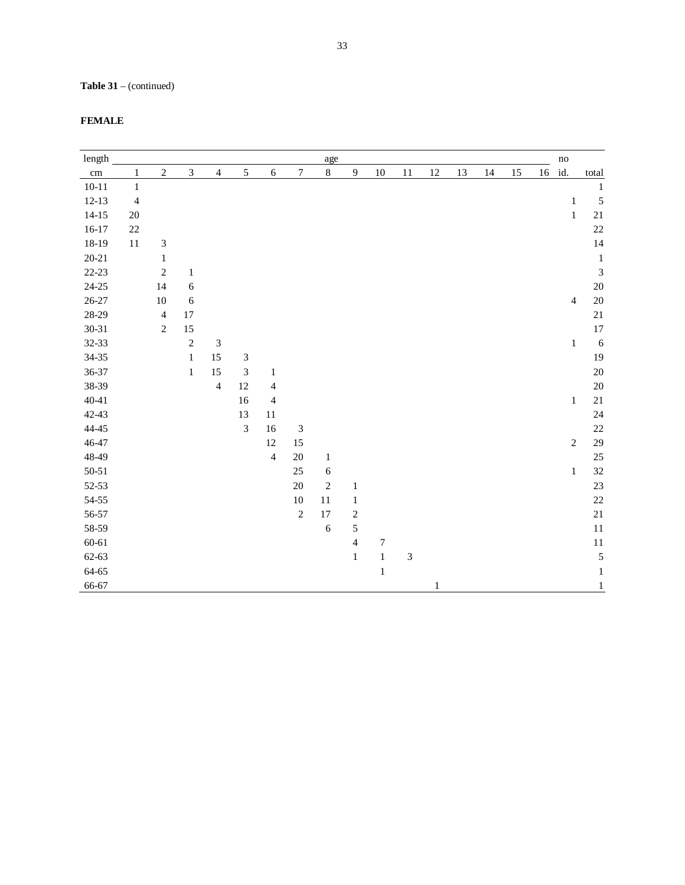# **Table 31** – (continued)

| length    |                |                             |              |                             |                             |                |                             | age          |                |                  |                |              |    |    |    |    | $\mathbf{no}$  |              |
|-----------|----------------|-----------------------------|--------------|-----------------------------|-----------------------------|----------------|-----------------------------|--------------|----------------|------------------|----------------|--------------|----|----|----|----|----------------|--------------|
| cm        | $\,1$          | $\overline{2}$              | 3            | $\overline{4}$              | 5                           | $\sqrt{6}$     | $\boldsymbol{7}$            | $8\,$        | $\mathbf{9}$   | $10\,$           | 11             | 12           | 13 | 14 | 15 | 16 | id.            | total        |
| $10 - 11$ | $\mathbf{1}$   |                             |              |                             |                             |                |                             |              |                |                  |                |              |    |    |    |    |                | $\mathbf 1$  |
| $12-13$   | $\overline{4}$ |                             |              |                             |                             |                |                             |              |                |                  |                |              |    |    |    |    | $\mathbf{1}$   | 5            |
| $14 - 15$ | $20\,$         |                             |              |                             |                             |                |                             |              |                |                  |                |              |    |    |    |    | $\,1\,$        | 21           |
| $16-17$   | $22\,$         |                             |              |                             |                             |                |                             |              |                |                  |                |              |    |    |    |    |                | 22           |
| 18-19     | 11             | $\ensuremath{\mathfrak{Z}}$ |              |                             |                             |                |                             |              |                |                  |                |              |    |    |    |    |                | 14           |
| $20 - 21$ |                | $\mathbf{1}$                |              |                             |                             |                |                             |              |                |                  |                |              |    |    |    |    |                | $\,1\,$      |
| $22 - 23$ |                | $\sqrt{2}$                  | $\,1\,$      |                             |                             |                |                             |              |                |                  |                |              |    |    |    |    |                | 3            |
| $24 - 25$ |                | 14                          | 6            |                             |                             |                |                             |              |                |                  |                |              |    |    |    |    |                | 20           |
| 26-27     |                | 10                          | 6            |                             |                             |                |                             |              |                |                  |                |              |    |    |    |    | $\overline{4}$ | 20           |
| 28-29     |                | $\overline{4}$              | 17           |                             |                             |                |                             |              |                |                  |                |              |    |    |    |    |                | 21           |
| $30 - 31$ |                | $\sqrt{2}$                  | 15           |                             |                             |                |                             |              |                |                  |                |              |    |    |    |    |                | 17           |
| 32-33     |                |                             | $\sqrt{2}$   | $\ensuremath{\mathfrak{Z}}$ |                             |                |                             |              |                |                  |                |              |    |    |    |    | $\,1\,$        | 6            |
| 34-35     |                |                             | $\mathbf{1}$ | 15                          | $\ensuremath{\mathfrak{Z}}$ |                |                             |              |                |                  |                |              |    |    |    |    |                | 19           |
| 36-37     |                |                             | $\,1$        | 15                          | $\ensuremath{\mathfrak{Z}}$ | $\mathbf{1}$   |                             |              |                |                  |                |              |    |    |    |    |                | 20           |
| 38-39     |                |                             |              | $\overline{4}$              | 12                          | $\overline{4}$ |                             |              |                |                  |                |              |    |    |    |    |                | 20           |
| $40 - 41$ |                |                             |              |                             | 16                          | $\overline{4}$ |                             |              |                |                  |                |              |    |    |    |    | $\mathbf{1}$   | 21           |
| 42-43     |                |                             |              |                             | 13                          | 11             |                             |              |                |                  |                |              |    |    |    |    |                | 24           |
| $44 - 45$ |                |                             |              |                             | $\ensuremath{\mathfrak{Z}}$ | 16             | $\ensuremath{\mathfrak{Z}}$ |              |                |                  |                |              |    |    |    |    |                | 22           |
| 46-47     |                |                             |              |                             |                             | 12             | 15                          |              |                |                  |                |              |    |    |    |    | $\sqrt{2}$     | 29           |
| 48-49     |                |                             |              |                             |                             | $\overline{4}$ | $20\,$                      | $\mathbf{1}$ |                |                  |                |              |    |    |    |    |                | 25           |
| $50 - 51$ |                |                             |              |                             |                             |                | 25                          | 6            |                |                  |                |              |    |    |    |    | $\mathbf{1}$   | 32           |
| $52 - 53$ |                |                             |              |                             |                             |                | $20\,$                      | $\sqrt{2}$   | $\mathbf{1}$   |                  |                |              |    |    |    |    |                | 23           |
| 54-55     |                |                             |              |                             |                             |                | $10\,$                      | $11\,$       | $\mathbf{1}$   |                  |                |              |    |    |    |    |                | 22           |
| 56-57     |                |                             |              |                             |                             |                | $\overline{c}$              | 17           | $\sqrt{2}$     |                  |                |              |    |    |    |    |                | 21           |
| 58-59     |                |                             |              |                             |                             |                |                             | 6            | 5              |                  |                |              |    |    |    |    |                | 11           |
| 60-61     |                |                             |              |                             |                             |                |                             |              | $\overline{4}$ | $\boldsymbol{7}$ |                |              |    |    |    |    |                | 11           |
| 62-63     |                |                             |              |                             |                             |                |                             |              | $\,1\,$        | $\,1$            | $\mathfrak{Z}$ |              |    |    |    |    |                | 5            |
| 64-65     |                |                             |              |                             |                             |                |                             |              |                | $\,1$            |                |              |    |    |    |    |                | $\mathbf 1$  |
| 66-67     |                |                             |              |                             |                             |                |                             |              |                |                  |                | $\mathbf{1}$ |    |    |    |    |                | $\mathbf{1}$ |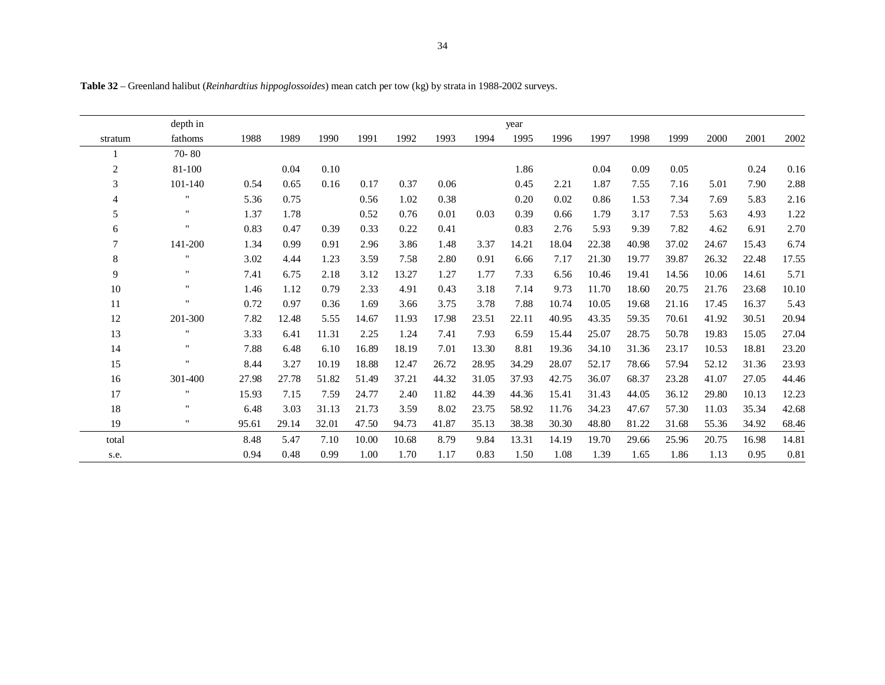|                | depth in     |       |       |       |       |       |       |       | year  |       |       |       |       |       |       |          |
|----------------|--------------|-------|-------|-------|-------|-------|-------|-------|-------|-------|-------|-------|-------|-------|-------|----------|
| stratum        | fathoms      | 1988  | 1989  | 1990  | 1991  | 1992  | 1993  | 1994  | 1995  | 1996  | 1997  | 1998  | 1999  | 2000  | 2001  | 2002     |
|                | 70-80        |       |       |       |       |       |       |       |       |       |       |       |       |       |       |          |
| $\overline{c}$ | 81-100       |       | 0.04  | 0.10  |       |       |       |       | 1.86  |       | 0.04  | 0.09  | 0.05  |       | 0.24  | 0.16     |
| 3              | 101-140      | 0.54  | 0.65  | 0.16  | 0.17  | 0.37  | 0.06  |       | 0.45  | 2.21  | 1.87  | 7.55  | 7.16  | 5.01  | 7.90  | 2.88     |
| 4              | $\mathbf{H}$ | 5.36  | 0.75  |       | 0.56  | 1.02  | 0.38  |       | 0.20  | 0.02  | 0.86  | 1.53  | 7.34  | 7.69  | 5.83  | 2.16     |
| 5              | $\mathbf{H}$ | 1.37  | 1.78  |       | 0.52  | 0.76  | 0.01  | 0.03  | 0.39  | 0.66  | 1.79  | 3.17  | 7.53  | 5.63  | 4.93  | 1.22     |
| 6              | $\mathbf{H}$ | 0.83  | 0.47  | 0.39  | 0.33  | 0.22  | 0.41  |       | 0.83  | 2.76  | 5.93  | 9.39  | 7.82  | 4.62  | 6.91  | 2.70     |
| 7              | 141-200      | 1.34  | 0.99  | 0.91  | 2.96  | 3.86  | 1.48  | 3.37  | 14.21 | 18.04 | 22.38 | 40.98 | 37.02 | 24.67 | 15.43 | 6.74     |
| 8              | $\mathbf{H}$ | 3.02  | 4.44  | 1.23  | 3.59  | 7.58  | 2.80  | 0.91  | 6.66  | 7.17  | 21.30 | 19.77 | 39.87 | 26.32 | 22.48 | 17.55    |
| 9              | $\mathbf{H}$ | 7.41  | 6.75  | 2.18  | 3.12  | 13.27 | 1.27  | 1.77  | 7.33  | 6.56  | 10.46 | 19.41 | 14.56 | 10.06 | 14.61 | 5.71     |
| $10\,$         | $\mathbf{H}$ | 1.46  | 1.12  | 0.79  | 2.33  | 4.91  | 0.43  | 3.18  | 7.14  | 9.73  | 11.70 | 18.60 | 20.75 | 21.76 | 23.68 | 10.10    |
| 11             | $\mathbf{H}$ | 0.72  | 0.97  | 0.36  | 1.69  | 3.66  | 3.75  | 3.78  | 7.88  | 10.74 | 10.05 | 19.68 | 21.16 | 17.45 | 16.37 | 5.43     |
| 12             | 201-300      | 7.82  | 12.48 | 5.55  | 14.67 | 11.93 | 17.98 | 23.51 | 22.11 | 40.95 | 43.35 | 59.35 | 70.61 | 41.92 | 30.51 | 20.94    |
| 13             | $\mathbf{H}$ | 3.33  | 6.41  | 11.31 | 2.25  | 1.24  | 7.41  | 7.93  | 6.59  | 15.44 | 25.07 | 28.75 | 50.78 | 19.83 | 15.05 | 27.04    |
| 14             | $\mathbf{H}$ | 7.88  | 6.48  | 6.10  | 16.89 | 18.19 | 7.01  | 13.30 | 8.81  | 19.36 | 34.10 | 31.36 | 23.17 | 10.53 | 18.81 | 23.20    |
| 15             | $\mathbf{H}$ | 8.44  | 3.27  | 10.19 | 18.88 | 12.47 | 26.72 | 28.95 | 34.29 | 28.07 | 52.17 | 78.66 | 57.94 | 52.12 | 31.36 | 23.93    |
| 16             | 301-400      | 27.98 | 27.78 | 51.82 | 51.49 | 37.21 | 44.32 | 31.05 | 37.93 | 42.75 | 36.07 | 68.37 | 23.28 | 41.07 | 27.05 | 44.46    |
| 17             | $\mathbf{H}$ | 15.93 | 7.15  | 7.59  | 24.77 | 2.40  | 11.82 | 44.39 | 44.36 | 15.41 | 31.43 | 44.05 | 36.12 | 29.80 | 10.13 | 12.23    |
| 18             | $\mathbf{H}$ | 6.48  | 3.03  | 31.13 | 21.73 | 3.59  | 8.02  | 23.75 | 58.92 | 11.76 | 34.23 | 47.67 | 57.30 | 11.03 | 35.34 | 42.68    |
| 19             | $\mathbf{H}$ | 95.61 | 29.14 | 32.01 | 47.50 | 94.73 | 41.87 | 35.13 | 38.38 | 30.30 | 48.80 | 81.22 | 31.68 | 55.36 | 34.92 | 68.46    |
| total          |              | 8.48  | 5.47  | 7.10  | 10.00 | 10.68 | 8.79  | 9.84  | 13.31 | 14.19 | 19.70 | 29.66 | 25.96 | 20.75 | 16.98 | 14.81    |
| s.e.           |              | 0.94  | 0.48  | 0.99  | 1.00  | 1.70  | 1.17  | 0.83  | 1.50  | 1.08  | 1.39  | 1.65  | 1.86  | 1.13  | 0.95  | $0.81\,$ |
|                |              |       |       |       |       |       |       |       |       |       |       |       |       |       |       |          |

**Table 32** – Greenland halibut (*Reinhardtius hippoglossoides*) mean catch per tow (kg) by strata in 1988-2002 surveys.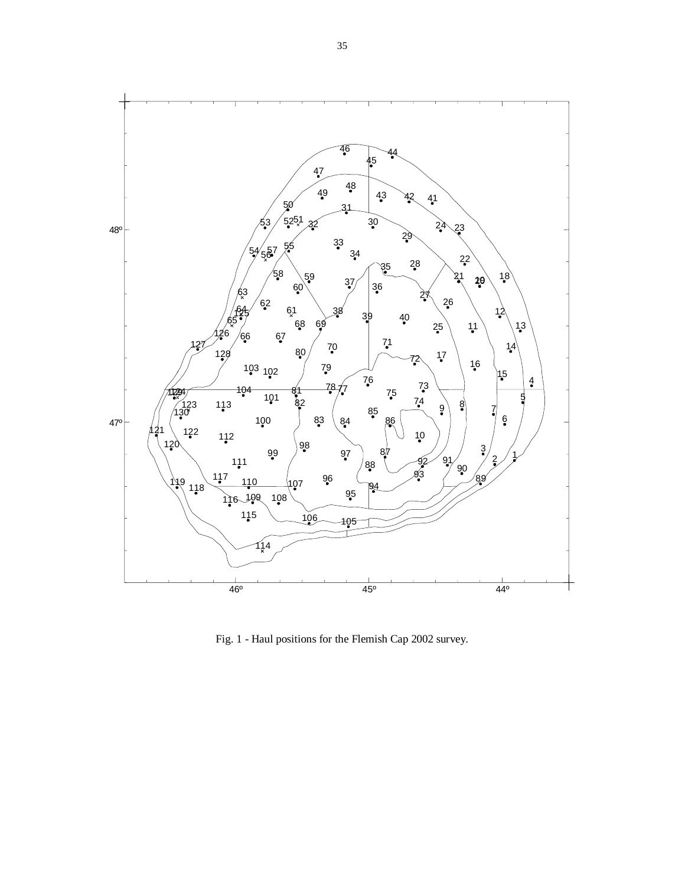

Fig. 1 - Haul positions for the Flemish Cap 2002 survey.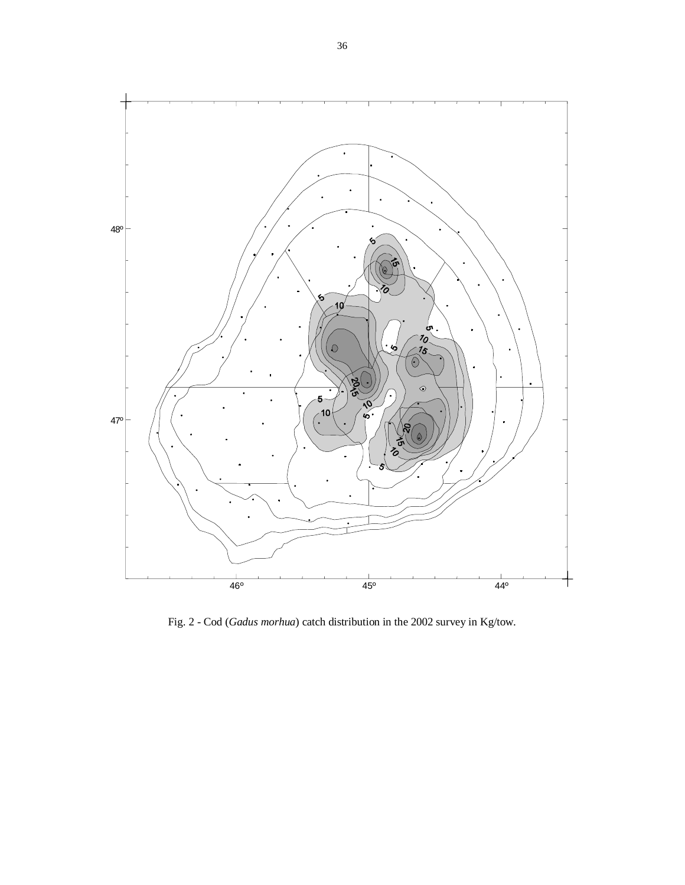

Fig. 2 - Cod (*Gadus morhua*) catch distribution in the 2002 survey in Kg/tow.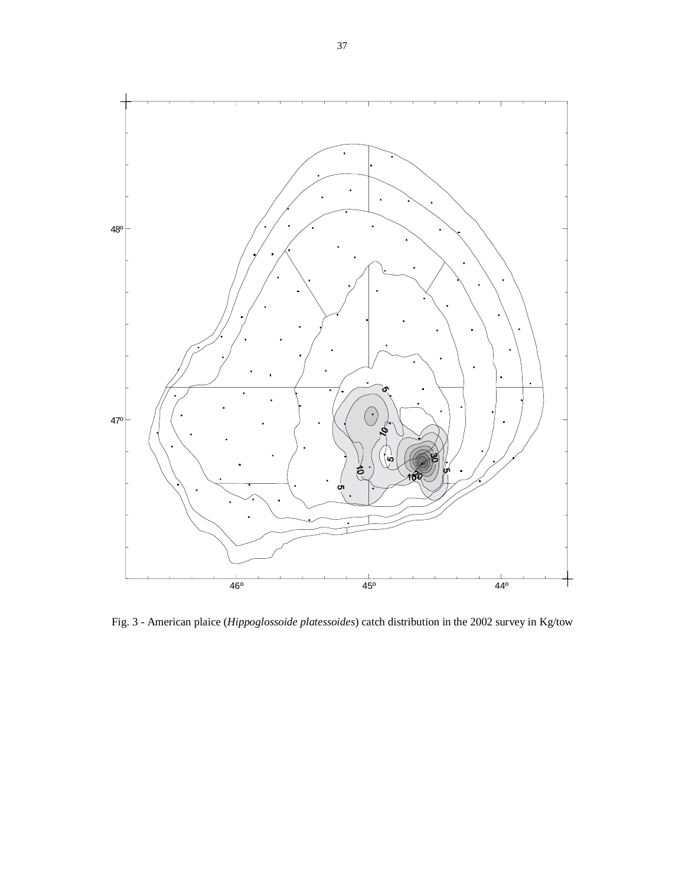

Fig. 3 - American plaice (*Hippoglossoide platessoides*) catch distribution in the 2002 survey in Kg/tow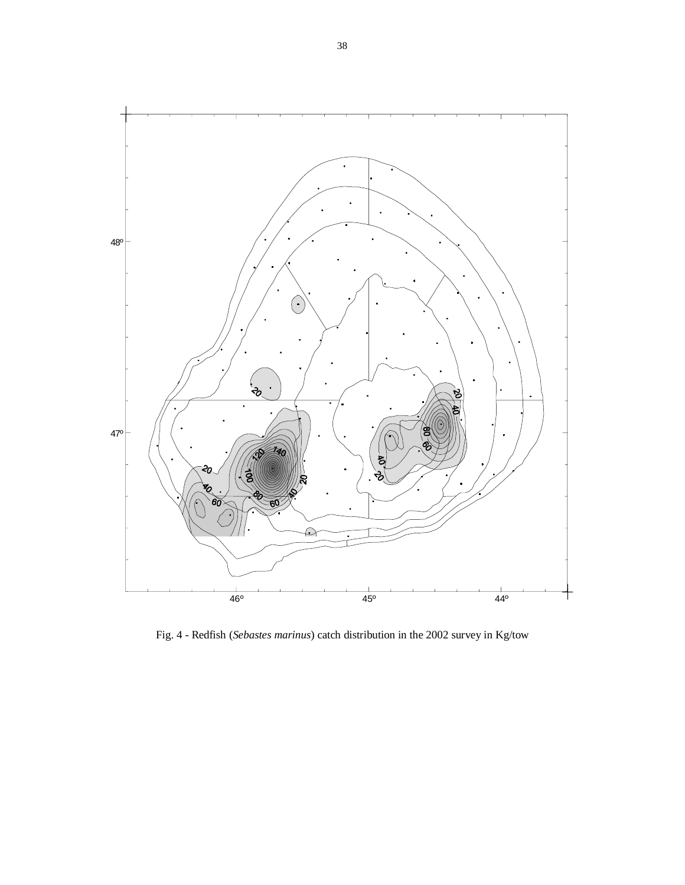

Fig. 4 - Redfish (*Sebastes marinus*) catch distribution in the 2002 survey in Kg/tow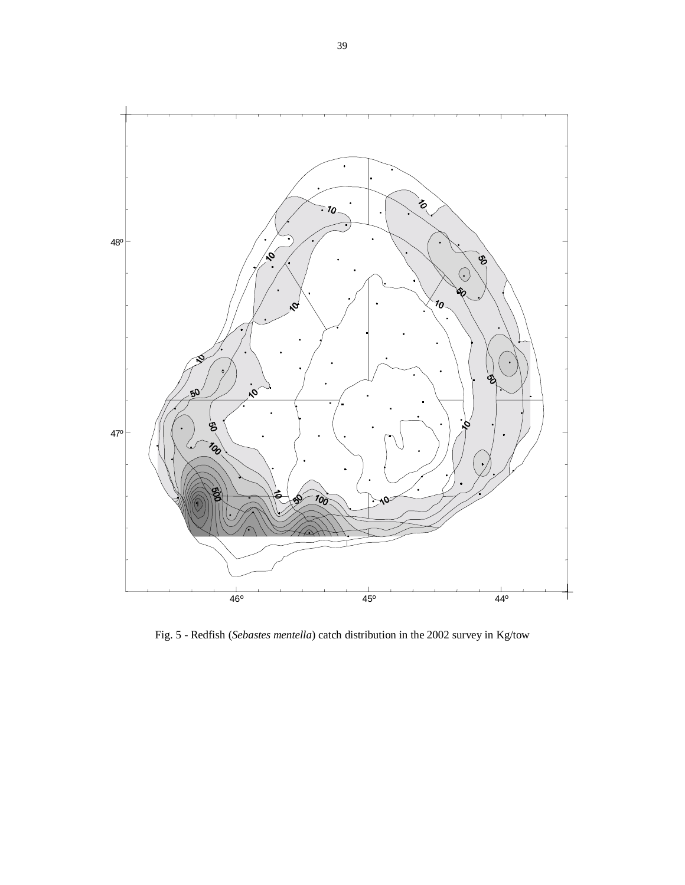

Fig. 5 - Redfish (*Sebastes mentella*) catch distribution in the 2002 survey in Kg/tow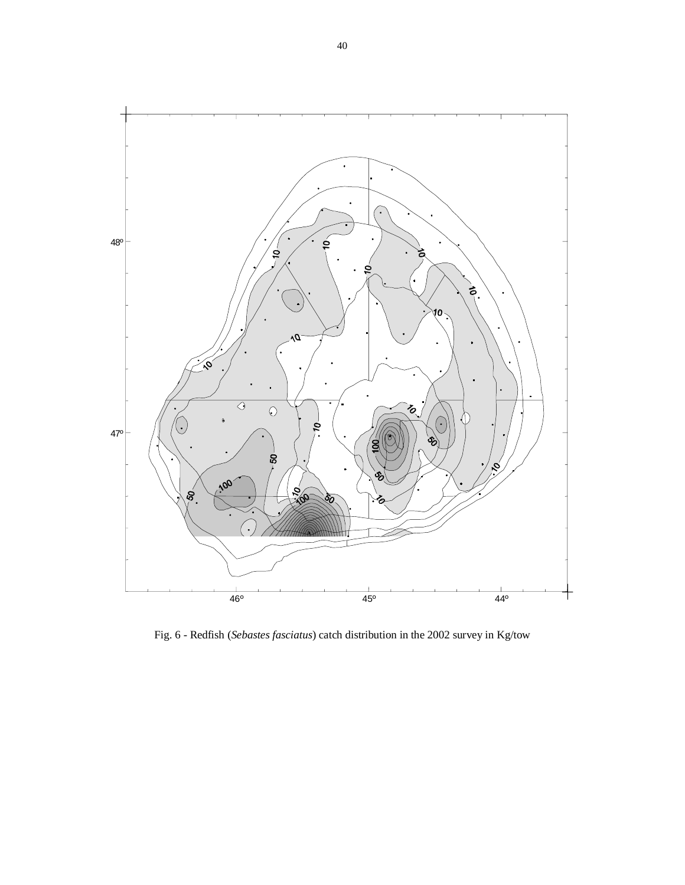

Fig. 6 - Redfish (*Sebastes fasciatus*) catch distribution in the 2002 survey in Kg/tow